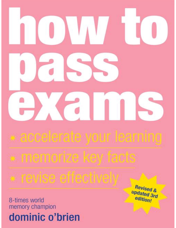8-times world memory champion dominic o'brien

Revised & updated 3rd edition!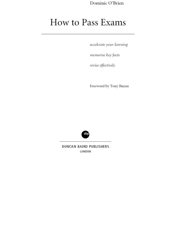Dominic O'Brien

# How to Pass Exams

accelerate your learning

memorise key facts

revise effectively

Foreword by Tony Buzan



DUNCAN BAIRD PUBLISHERS LONDON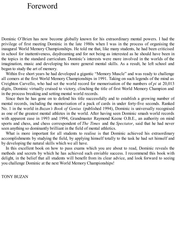# <span id="page-2-0"></span>Foreword

Dominic O'Brien has now become globally known for his extraordinary mental powers. I had the privilege of first meeting Dominic in the late 1980s when I was in the process of organising the inaugural World Memory Championships. He told me that, like many students, he had been criticised in school for inattentiveness, daydreaming and for not being as interested as he should have been in the topics in the standard curriculum. Dominic's interests were more involved in the worlds of the imagination, music and developing his more general mental skills. As a result, he left school and began to study the art of memory.

Within five short years he had developed a gigantic "Memory Muscle" and was ready to challenge all comers at the first World Memory Championships in 1991. Taking on such legends of the mind as Creighton Carvello, who had set the world record for memorisation of the numbers of *pi* at 20,013 digits, Dominic virtually cruised to victory, clinching the title of first World Memory Champion and in the process breaking and setting mental world records.

Since then he has gone on to defend his title successfully and to establish a growing number of mental records, including the memorisation of a pack of cards in under forty-five seconds. Ranked No. 1 in the world in *Buzan's Book of Genius* (published 1994), Dominic is universally recognised as one of the greatest mental athletes in the world. After having seen Dominic smash world records with apparent ease in 1993 and 1994, Grandmaster Raymond Keene O.B.E., an authority on mind sports and chess, and chess correspondent of *The Times* and the *Spectator*, said that he had never seen anything so dominantly brilliant in the field of mental athletics.

What is more important for all students to realise is that Dominic achieved his extraordinary accomplishments by studying the field, by applying himself totally to the task he had set himself and by developing the natural skills which we all have.

In this excellent book on how to pass exams which you are about to read, Dominic reveals the methods and secrets by which he has achieved such enviable success. I recommend this book with delight, in the belief that all students will benefit from its clear advice, and look forward to seeing you challenge Dominic at the next World Memory Championships!

TONY BUZAN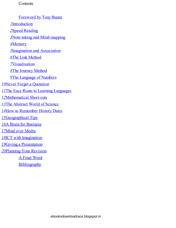### **Contents**

[Foreword](#page-2-0) by Tony Buzan [Introduction](#page-4-0) Speed [Reading](#page-6-0) Note-taking and [Mind-mapping](#page-12-0) [Memory](#page-23-0) Imagination and [Association](#page-27-0) The Link [Method](#page-31-0) [Visualisation](#page-35-0) The [Journey](#page-38-0) Method The [Language](#page-44-0) of Numbers Never Forget a [Quotation](#page-56-0) The Easy Route to Learning [Languages](#page-66-0) [Mathematical](#page-76-0) Short-cuts The [Abstract](#page-81-0) World of Science How to [Remember](#page-92-0) History Dates [Geographical](#page-98-0) Tips A Brain for [Business](#page-102-0) Mind over [Media](#page-105-0) ICT with [Imagination](#page-108-0) Giving a [Presentation](#page-111-0) Planning Your [Revision](#page-118-0) A Final [Word](#page-122-0) **[Bibliography](#page-123-0)**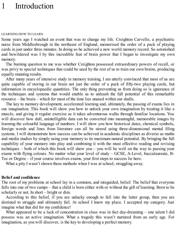# <span id="page-4-0"></span>1 Introduction

#### LEARNING HOW TO LEARN

Some years ago I watched an event that was to change my life. Creighton Carvello, a psychiatric nurse from Middlesbrough in the northeast of England, memorised the order of a pack of playing cards in just under three minutes. In doing so he achieved a new world memory record. So astonished and bewildered was I by this incredible feat of brain power that I began to investigate my own memory.

The burning question to me was whether Creighton possessed extraordinary powers of recall, or was privy to special techniques that could be used by the rest of us to train our own brains, producing equally stunning results.

After many years of intensive study in memory training, I am utterly convinced that most of us are quite capable of storing in our brain not just the order of a pack of fifty-two playing cards, but information in encyclopaedic quantities. The only thing preventing us from doing so is ignorance of the techniques and systems that would enable us to unleash the full potential of this remarkable resource – the brain – which for most of the time lies unused within our skulls.

The key to memory development, accelerated learning and, ultimately, the passing of exams lies in our imagination. This book will show you how to unlock your own imagination by treating it like a muscle, and giving it regular exercise as it takes adventurous walks through familiar locations. You will discover how dull, unintelligible data can be converted into meaningful, memorable images by learning the colourful language of numbers. I will show you how historical dates, chemical symbols, foreign words and lines from literature can all be stored using three-dimensional mental filing systems. I will demonstrate how success can be achieved in academic disciplines as diverse as maths and media studies by simply using your memory to its maximum natural potential. By bringing the full capability of your memory into play and combining it with the most effective reading and revising techniques – both of which this book will show you – you will be well on the way to passing your exams with flying colours. No matter what your level of study – GCSE, A-Level, baccalaureate, B-Tec or Degree – if your course involves exams, your first steps to success lie here.

What a pity I wasn't shown these methods when I was at school, struggling away.

#### **Belief and confidence**

The root of my problems at school lay in a common, and misguided, belief. The belief that everyone falls into one of two camps – that a child is born either with or without the gift of learning. Born to be scholarly or not. In short – bright or dim.

According to this belief, if you are unlucky enough to fall into the latter group, then you are destined to struggle and ultimately fail. At school I knew my place. I accepted my category. Just imagine what that did for my confidence!

What appeared to be a lack of concentration in class was in fact day-dreaming – one talent I did possess was an active imagination. What a tragedy this wasn't nurtured from an early age. For imagination, as you will discover, is the key to developing a perfect memory.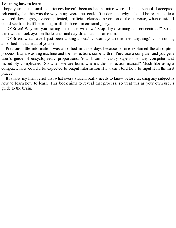#### **Learning how to learn**

I hope your educational experiences haven't been as bad as mine were – I hated school. I accepted, reluctantly, that this was the way things were, but couldn't understand why I should be restricted to a watered-down, grey, overcomplicated, artificial, classroom version of the universe, when outside I could see life itself beckoning in all its three-dimensional glory.

"O'Brien! Why are you staring out of the window? Stop day-dreaming and concentrate!" So the trick was to lock eyes on the teacher and day-dream at the same time.

"O'Brien, what have I just been talking about? … Can't you remember anything? … Is nothing absorbed in that head of yours?"

Precious little information was absorbed in those days because no one explained the absorption process. Buy a washing machine and the instructions come with it. Purchase a computer and you get a user's guide of encyclopaedic proportions. Your brain is vastly superior to any computer and incredibly complicated. So when we are born, where's the instruction manual? Much like using a computer, how could I be expected to output information if I wasn't told how to input it in the first place?

It is now my firm belief that what every student really needs to know before tackling any subject is how to learn how to learn. This book aims to reveal that process, so treat this as your own user's guide to the brain.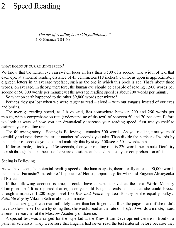# <span id="page-6-0"></span>**Speed Reading**

*"The art of reading is to skip judiciously."* — P. G. Hamerton (1834–94)

#### WHAT HOLDS UP OUR READING SPEED?

We know that the human eye can switch focus in less than  $1/500$  of a second. The width of text that each eye, at a normal reading distance of 45 centimetres (18 inches), can focus upon is approximately eighteen letters in an average typeface, such as the one in which this book is set. That's about three words, on average. In theory, therefore, the human eye should be capable of reading 1,500 words per second or 90,000 words per minute; yet the average reading speed is about 200 words per minute.

So what on earth happened to the other 89,800 words per minute?

Perhaps they got lost when we were taught to read – aloud – with our tongues instead of our eyes and brains.

The average reading speed, as I have said, lies somewhere between 200 and 250 words per minute, with a comprehension rate (understanding of the text) of between 50 and 70 per cent. Before we look at ways of how you can dramatically increase your reading speed, first test yourself to estimate your reading rate.

The following story – Seeing is Believing – contains 500 words. As you read it, time yourself carefully and note down the exact number of seconds you take. Then divide the number of words by the number of seconds you took, and multiply this by sixty:  $500/sec \times 60 = words/min$ .

If, for example, it took you 136 seconds, then your reading rate is 220 words per minute. Don't try to rush through the text, because there are questions at the end that test your comprehension of it.

#### Seeing is Believing

As we have seen, the potential reading speed of the human eye is, theoretically at least, 90,000 words per minute. Fantastic? Incredible? Impossible? Not so, apparently, for whiz-kid Eugenia Alexeyenko of Russia.

If the following account is true, I could have a serious rival at the next World Memory Championships! It is reported that eighteen-year-old Eugenia reads so fast that she could breeze through a massive 1,200-page novel like *War and Peace* by Leo Tolstoy or the equally bulky *A Suitable Boy* by Vikram Seth in about ten minutes.

"This amazing girl can read infinitely faster than her fingers can flick the pages – and if she didn't have to slow herself down by doing this, she would read at the rate of 416,250 words a minute," said a senior researcher at the Moscow Academy of Science.

A special test was arranged for the superkid at the Kiev Brain Development Centre in front of a panel of scientists. They were sure that Eugenia had never read the test material before because they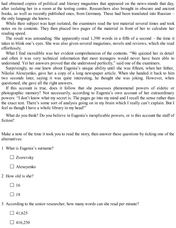had obtained copies of political and literary magazines that appeared on the news-stands that day, after isolating her in a room at the testing centre. Researchers also brought in obscure and ancient books, as well as recently published ones, from Germany. These had been translated into Russian – the only language she knows.

While their subject was kept isolated, the examiners read the test material several times and took notes on its contents. They then placed two pages of the material in front of her to calculate her reading speed.

The result was astounding. She apparently read 1,390 words in a fifth of a second – the time it takes to blink one's eyes. She was also given several magazines, novels and reviews, which she read effortlessly.

What I find incredible was her evident comprehension of the contents. "We quizzed her in detail and often it was very technical information that most teenagers would never have been able to understand. Yet her answers proved that she understood perfectly," said one of the examiners.

Surprisingly, no one knew about Eugenia's unique ability until she was fifteen, when her father, Nikolai Alexeyenko, gave her a copy of a long newspaper article. When she handed it back to him two seconds later, saying it was quite interesting, he thought she was joking. However, when questioned, she gave all the right answers.

If this account is true, does it follow that she possesses phenomenal powers of eidetic or photographic memory? Not necessarily, according to Eugenia's own account of her extraordinary powers: "I don't know what my secret is. The pages go into my mind and I recall the sense rather than the exact text. There's some sort of analysis going on in my brain which I really can't explain. But I feel as though I have a whole library in my head!"

What do you think? Do you believe in Eugenia's inexplicable powers, or is this account the stuff of fiction?

Make a note of the time it took you to read the story, then answer these questions by ticking one of the alternatives:

- 1 What is Eugenia's surname?
	- **Zverevsky**
	- **Alexeyenko**
- 2 How old is she?
	- $\Box$  16
	- $\Box$  18
- 3 According to the senior researcher, how many words can she read per minute?
	- $\Box$  41,625
	- $\Box$  416,250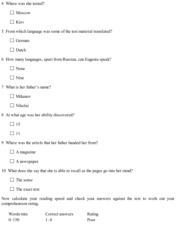4 Where was she tested?

**Moscow** 

**Kiev** 

5 From which language was some of the test material translated?

German

Dutch

6 How many languages, apart from Russian, can Eugenia speak?

**None** 

Nine

7 What is her father's name?

**Mikanov** 

- Nikolai
- 8 At what age was her ability discovered?

15

 $\begin{array}{c} \begin{array}{c} \end{array}$  11

9 Where was the article that her father handed her from?

A magazine

 $\Box$  A newspaper

10 What does she say that she is able to recall as the pages go into her mind?

The sense

 $\Box$  The exact text

Now calculate your reading speed and check your answers against the text to work out your comprehension rating.

| Words/min | Correct answers | Rating |
|-----------|-----------------|--------|
| $0 - 150$ | $1 - 4$         | Poor   |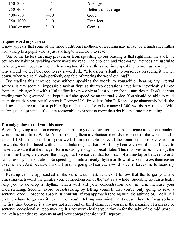| $150 - 250$  | $5 - 7$  | Average             |
|--------------|----------|---------------------|
| 250–400      | $6 - 8$  | Better than average |
| 400-750      | $7 - 10$ | Good                |
| 750-1000     | $8 - 10$ | Excellent           |
| 1000 or more | $8 - 10$ | Genius              |

#### **A quiet word in your ear**

It now appears that some of the more traditional methods of teaching may in fact be a hindrance rather than a help to a pupil who is just starting to learn how to read.

One of the factors that may prevent us from speeding up our reading is that right from the start, we get into the habit of speaking every word we read. The phonetic and "look–say" methods are useful to us to begin with because we are learning two skills at the same time: speaking as well as reading. But why should we feel the need to say a word like "television" silently to ourselves on seeing it written down, when we're already perfectly capable of uttering the word out loud?

Try reading this sentence now without speaking the words to yourself or hearing any internal sounds. It may seem an impossible task at first, as the two operations have been inextricably linked from an early age; but with a little effort it is possible at least to turn the volume down. Don't let your reading rate be governed and kept to a finite speed by an internal voice. You should be able to read even faster than you actually speak. Former U.S. President John F. Kennedy posthumously holds the talking speed record for a public figure, but even he only managed 300 words per minute. With technique and practice, it's quite reasonable to expect to more than double this rate for reading.

#### **I'm only going to tell you this once**

When I'm giving a talk on memory, as part of my demonstration I ask the audience to call out random words one at a time. While I'm memorising them a volunteer records the order of the words until a total of 100 is reached. If all goes well, I am then able to recall the exact sequence backwards or forwards. But I'm faced with an acute balancing act here. As I only hear each word once, I have to make quite sure that the image I form is strong enough to recall later. This involves time. In theory, the more time I take, the clearer the image, but I've noticed that too much of a time lapse between words can throw my concentration. So speeding up into a steady rhythm or flow of words makes them easier to remember. And because I know I'm only going to hear each word once, it forces me to focus my mind.

Reading can be approached in the same way. First, it doesn't follow that the longer you take digesting each word the greater your comprehension of the text as a whole. Speeding up can actually help you to develop a rhythm, which will aid your concentration and, in turn, increase your understanding. Second, avoid back-tracking by telling yourself that you're only going to read a sentence once in order to absorb its contents. If you approach reading with the attitude of, "Well, I'll probably have to go over it again", then you're telling your mind that it doesn't have to focus so hard the first time because it's always got a second or third chance. If you miss the meaning of a phrase or sentence occasionally, keep moving. It's not worth losing your rhythm for the sake of the odd word – maintain a steady eye movement and your comprehension will improve.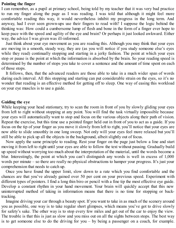#### **Pointing the finger**

I can remember, as a pupil at primary school, being told by my teacher that it was very bad practice to run my finger along the page as I was reading. I was told that although it might feel more comfortable reading this way, it would nevertheless inhibit my progress in the long term. And anyway, had I ever seen grown-ups use their fingers to read with? I suppose the logic behind the thinking was: How could a cumbersome lump of flesh and bone in the form of a finger ever hope to keep pace with the speed and agility of the eye and brain? Or perhaps it just looked awkward. Either way, the advice I was given was ill-informed.

Just think about your eye movement as you are reading this. Although you may think that your eyes are moving in a smooth, steady way, they are (as you will notice if you study someone else's eyes while they read) continually stopping and starting in a jerky fashion. The point at which your eyes stop or pause is the point at which the information is absorbed by the brain. So your reading speed is determined by the number of stops you take to cover a sentence and the amount of time spent on each of those stops.

It follows, then, that the advanced readers are those able to take in a much wider span of words during each interval. All this stopping and starting can put considerable strain on the eyes, so it's no wonder that reading is an effective method for getting off to sleep. One way of easing this workload on your eye muscles is to use a guide.

#### **Guiding the eye**

While keeping your head stationary, try to scan the room in front of you by slowly gliding your eyes from left to right without stopping at any point. You will find the task virtually impossible because your eyes will automatically want to stop and focus on the various objects along their path of vision. Repeat the exercise, but this time use a pointed finger held out in front of you to act as a guide. If you focus on the tip of your finger as you move it slowly from left to right, you'll notice that your eyes are now able to slide smoothly in one long sweep. Not only will your eyes feel more relaxed but you'll still be able to pick up all the objects in the background, albeit slightly out of focus.

Now apply the same principle to reading. Rest your finger on the page just below a line and start moving it from left to right until your eyes are able to follow the text without pausing. Gradually build up speed without worrying too much about the interpretation of the material, until the words become a blur. Interestingly, the point at which you can't distinguish any words is well in excess of 1,000 words per minute – so there are really no physical obstructions to hamper your progress. It's just your comprehension that needs to catch up.

Once you have found the upper limit, slow down to a rate which you find comfortable and the chances are that you've already gained over 50 per cent on your previous speed. Experiment with different types of pointers. I find a long thin biro or pencil with a fine tip the most effective eye guide. Develop a constant rhythm in your hand movement. Your brain will quickly accept that this new uninterrupted method of taking in information means that there is no time for stopping or backtracking.

Imagine driving your car through a beauty spot. If you want to take in as much of the scenery around you as possible, one way is to take regular short glimpses, which means you've got to drive slowly for safety's sake. The other way is to stop every few miles and get out of the car to enjoy the view. The trouble is that this is just as slow and you miss out on all the sights between stops. The best way is to get someone else to do the driving for you – by being a passenger on a coach, for example.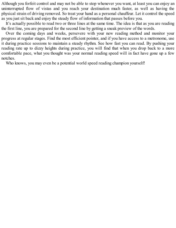Although you forfeit control and may not be able to stop whenever you want, at least you can enjoy an uninterrupted flow of vistas and you reach your destination much faster, as well as having the physical strain of driving removed. So treat your hand as a personal chauffeur. Let it control the speed as you just sit back and enjoy the steady flow of information that passes before you.

It's actually possible to read two or three lines at the same time. The idea is that as you are reading the first line, you are prepared for the second line by getting a sneak preview of the words.

Over the coming days and weeks, persevere with your new reading method and monitor your progress at regular stages. Find the most efficient pointer, and if you have access to a metronome, use it during practice sessions to maintain a steady rhythm. See how fast you can read. By pushing your reading rate up to dizzy heights during practice, you will find that when you drop back to a more comfortable pace, what you thought was your normal reading speed will in fact have gone up a few notches.

Who knows, you may even be a potential world speed reading champion yourself!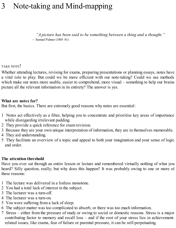# <span id="page-12-0"></span>3 Note-taking and Mind-mapping

*"A picture has been said to be something between a thing and a thought."* — Samuel Palmer (1805–81)

### TAKE NOTE!

Whether attending lectures, revising for exams, preparing presentations or planning essays, notes have a vital role to play. But could we be more efficient with our note-taking? Could we use methods which make our notes more usable, easier to comprehend, more visual – something to help our brains picture all the relevant information in its entirety? The answer is yes.

### **What are notes for?**

But first, the basics. There are extremely good reasons why notes are essential:

- 1 Notes act effectively as a filter, helping you to concentrate and prioritise key areas of importance while disregarding irrelevant padding.
- 2 They provide a quick reference for exam revision.
- 3 Because they are your own unique interpretation of information, they are in themselves memorable.
- 4 They aid understanding.
- 5 They facilitate an overview of a topic and appeal to both your imagination and your sense of logic and order.

### **The attention threshold**

Have you ever sat through an entire lesson or lecture and remembered virtually nothing of what you heard? Silly question, really; but why does this happen? It was probably owing to one or more of these reasons:

- 1 The lecture was delivered in a listless monotone.
- 2 You had a total lack of interest in the subject.
- 3 The lecturer was a turn-off.
- 4 The lecturer was a turn-on.
- 5 You were suffering from a lack of sleep.
- 6 The subject matter was too complicated to absorb, or there was too much information.
- 7 Stress either from the pressure of study or owing to social or domestic reasons. Stress is a major contributing factor to memory and recall loss – and if the root of your stress lies in achievementrelated issues, like exams, fear of failure or parental pressure, it can be self-perpetuating.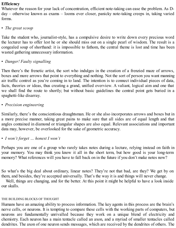### **Efficiency**

Whatever the reason for your lack of concentration, efficient note-taking can ease the problem. As Dday – otherwise known as exams – looms ever closer, panicky note-taking creeps in, taking varied forms.

• *The great scoop*

Take the student who, journalist-style, has a compulsive desire to write down every precious word the lecturer has to offer lest he or she should miss out on a single pearl of wisdom. The result is a congealed soup of shorthand: it is impossible to fathom, the central theme is lost and time has been wasted gathering unnecessary information.

• *Danger! Faulty signalling*

Then there's the frenetic artist, the sort who indulges in the creation of a frenzied maze of arrows, boxes and more arrows that point to everything and nothing. Not the sort of person you want manning air traffic control as you're coming in to land. The intention is to connect individual pieces of data, facts, theories or ideas, thus creating a grand, unified overview. A valiant, logical aim and one that we shall find the route to shortly; but without basic guidelines the central point gets buried in a spaghetti-like disarray.

• *Precision engineering*

Similarly, there's the conscientious draughtsman. He or she also incorporates arrows and boxes but in a more precise manner, taking great pains to make sure that all sides are of equal length and that angles contained in diamond or triangular shapes are also equal. Relevant associations and important data may, however, be overlooked for the sake of geometric accuracy.

• *I won't forget … honest I won't*

Perhaps you are one of a group who rarely takes notes during a lecture, relying instead on faith in your memory. You may think you know it all in the short term, but how good is your long-term memory? What references will you have to fall back on in the future if you don't make notes now?

So what's the big deal about ordinary, linear notes? They're not that bad, are they? We get by on them, and besides, they're accepted universally. That's the way it is and things will never change.

Well, things are changing, and for the better. At this point it might be helpful to have a look inside our skulls.

### THE BUILDING BLOCKS OF THOUGHT

Humans have an amazing ability to process information. The key agents in this process are the brain's nerve cells, or neurons. It is tempting to compare these cells with the working parts of computers, but neurons are fundamentally unrivalled because they work on a unique blend of electricity and chemistry. Each neuron has a main tentacle called an axon, and a myriad of smaller tentacles called dendrites. The axon of one neuron sends messages, which are received by the dendrites of others. The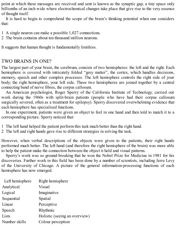point at which these messages are received and sent is known as the synaptic gap, a tiny space only billionths of an inch wide where electrochemical changes take place that give rise to the very essence of thought itself.

It is hard to begin to comprehend the scope of the brain's thinking potential when one considers that:

- 1 A single neuron can make a possible 1,027 connections.
- 2 The brain contains about ten thousand million neurons.

It suggests that human thought is fundamentally limitless.

# TWO BRAINS IN ONE?

The largest part of your brain, the cerebrum, consists of two hemispheres: the left and the right. Each hemisphere is covered with intricately folded "grey matter", the cortex, which handles decisions, memory, speech and other complex processes. The left hemisphere controls the right side of your body; the right hemisphere, your left side. These two hemispheres are joined together by a central connecting band of nerve fibres, the corpus callosum.

An American psychologist, Roger Sperry of the California Institute of Technology, carried out work during the 1960s with split-brain patients (people who have had their corpus callosum surgically severed, often as a treatment for epilepsy). Sperry discovered overwhelming evidence that each hemisphere has specialised functions.

In one experiment, patients were given an object to feel in one hand and then told to match it to a corresponding picture. Sperry noticed that:

- 1 The left hand helped the patient perform this task much better than the right hand.
- 2 The left and right hands gave rise to different strategies in solving the task.

However, when verbal descriptions of the objects were given to the patients, their right hands performed much better. The left hand (and therefore the right hemisphere of the brain) was more able to help the patient make the connection between the object it held and visual patterns.

Sperry's work was so ground-breaking that he won the Nobel Prize for Medicine in 1981 for his discoveries. Further work in this field has been done by a number of scientists, including Jerre Levy of the University of Chicago. A picture of the general information-processing functions of each hemisphere has now emerged.

| Left hemisphere | Right hemisphere              |
|-----------------|-------------------------------|
| Analytical      | <b>Visual</b>                 |
| Logical         | Imaginative                   |
| Sequential      | Spatial                       |
| Linear          | Perceptive                    |
| Speech          | Rhythmic                      |
| Lists           | Holistic (seeing an overview) |
| Number skills   | Colour perception             |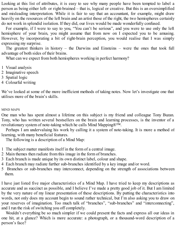Looking at this list of attributes, it is easy to see why many people have been tempted to label a person as being either left- or right-brained – that is, logical or creative. But this is an oversimplified and misleading interpretation. While it is fair to say that an accountant, for example, might draw heavily on the resources of the left brain and an artist those of the right, the two hemispheres certainly do not work in splendid isolation. If they did, our lives would be made wonderfully confused.

For example, if I were to say to you, "You can't be serious", and you were to use only the left hemisphere of your brain, you might assume that from now on I expected you to be amusing. However, by incorporating a bit of right-brain perception, you would realise that I was simply expressing my surprise.

The greatest thinkers in history – the Darwins and Einsteins – were the ones that took full advantage of both sides of their brains.

What can we expect from both hemispheres working in perfect harmony?

- 1 Visual analysis
- 2 Imaginative speech
- 3 Spatial logic
- 4 Colourful writing

We've looked at some of the more inefficient methods of taking notes. Now let's investigate one that utilises more of the brain's skills.

### MIND MAPS

One man who has spent almost a lifetime on this subject is my friend and colleague Tony Buzan. Tony, who has written several bestsellers on the brain and learning processes, is the inventor of a revolutionary system of note-taking which he calls Mind Mapping®™.

Perhaps I am undervaluing his work by calling it a system of note-taking. It is more a method of learning, with many beneficial features.

The following is a description of a Mind Map:

- 1 The subject matter manifests itself in the form of a central image.
- 2 Main themes then radiate from this image in the form of branches.
- 3 Each branch is made unique by its own distinct label, colour and shape.
- 4 Each branch may radiate further sub-branches identified by a key image and/or word.
- 5 Branches or sub-branches may interconnect, depending on the strength of associations between them.

I have just listed five major characteristics of a Mind Map. I have tried to keep my descriptions as accurate and as succinct as possible, and I believe I've made a pretty good job of it. But I am limited by the very nature of my linear presentation of these descriptions. By putting the characteristics into words, not only does my account begin to sound rather technical, but I'm also asking you to draw on your reserves of imagination. Too much talk of "branches", "sub-branches" and "interconnecting", and I run the risk of switching you off completely.

Wouldn't everything be so much simpler if we could present the facts and express all our ideas in one hit, at a glance? Which is more accurate: a photograph, or a thousand-word description of a person's face?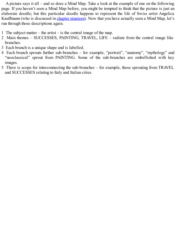A picture says it all – and so does a Mind Map. Take a look at the example of one on the following page. If you haven't seen a Mind Map before, you might be tempted to think that the picture is just an elaborate doodle; but this particular doodle happens to represent the life of Swiss artist Angelica Kauffmann (who is discussed in *chapter nineteen*). Now that you have actually seen a Mind Map, let's run through those descriptions again.

- 1 The subject matter the artist is the central image of the map.
- 2 Main themes SUCCESSES, PAINTING, TRAVEL, LIFE radiate from the central image like branches.
- 3 Each branch is a unique shape and is labelled.
- 4 Each branch sprouts further sub-branches for example, "portrait", "anatomy", "mythology" and "neoclassical" sprout from PAINTING. Some of the sub-branches are embellished with key images.
- 5 There is scope for interconnecting the sub-branches for example, those sprouting from TRAVEL and SUCCESSES relating to Italy and Italian cities.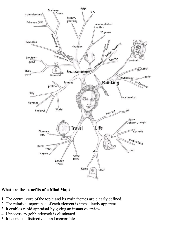

# **What are the benefits of a Mind Map?**

- The central core of the topic and its main themes are clearly defined.
- The relative importance of each element is immediately apparent.
- It enables rapid appraisal by giving an instant overview.
- Unnecessary gobbledegook is eliminated.
- It is unique, distinctive and memorable.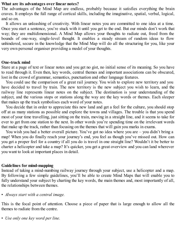### **What are its advantages over linear notes?**

The advantages of the Mind Map are endless, probably because it satisfies everything the brain craves. It employs the full range of cortical skills, including the imaginative, spatial, verbal, logical, and so on.

It allows an unleashing of creativity. With linear notes you are committed to one idea at a time. Once you start a sentence, you're stuck with it until you get to the end. But our minds don't work that way; they are multidimensional. A Mind Map allows your thoughts to radiate out, freed from the bounds of one-way, single-level thought. It enables a steady stream of random ideas to flow unhindered, secure in the knowledge that the Mind Map will do all the structuring for you, like your very own personal organiser providing a model of your thoughts.

#### **One-track mind**

Stare at a page of text or linear notes and you get no gist, no initial sense of its meaning. So you have to read through it. Even then, key words, central themes and important associations can be obscured, lost in the crowd of grammar, semantics, punctuation and other language features.

You could use the comparison of a great rail journey. You wish to explore new territory and you have decided to travel by train. The new territory is the new subject you wish to learn, and the railway line represents linear notes on the subject. The destination is your understanding of the subject, and the various stops or stations along the way are the key words or themes. Each sleeper that makes up the track symbolises each word of your notes.

You decide that in order to appreciate this new land and get a feel for the culture, you should stop off at as many stations as possible and explore the towns and villages. The trouble is that you spend most of your time travelling, just sitting on the train, moving in a straight line, and it seems to take for ever to get from one station to the next. In other words you're spending time on the irrelevant words that make up the track, rather than focusing on the themes that will gain you marks in exams.

You wish you had a better overall picture. You've got no idea where you are – you didn't bring a map! When you do finally reach your journey's end, you feel as though you've missed out. How can you get a proper feel for a country if all you do is travel in one straight line? Wouldn't it be better to charter a helicopter and take a map? It's quicker, you get a great overview and you can land wherever you want to look at important places in detail.

### **Guidelines for mind-mapping**

Instead of taking a mind-numbing railway journey through your subject, use a helicopter and a map. By following a few simple guidelines, you'll be able to create Mind Maps that will enable you to fully understand your subject by charting the key words, the main themes and, most importantly of all, the relationships between themes.

• *Always start with a central image.*

This is the focal point of attention. Choose a piece of paper that is large enough to allow all the themes to radiate from the centre.

• *Use only one key word per line.*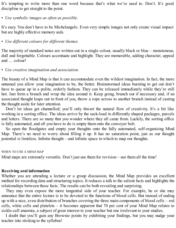It's tempting to write more than one word because that's what we're used to. Don't. It's good discipline to get straight to the point.

• *Use symbolic images as often as possible.*

It's easy. You don't have to be Michelangelo. Even very simple images not only create visual impact but are highly effective memory aids.

#### • *Use dif erent colours for dif erent themes.*

The majority of standard notes are written out in a single colour, usually black or blue – monotonous, dull and forgettable. Colours accentuate and highlight. They are memorable, adding character, appeal and … colour!

#### • *Use creative imagination and association.*

The beauty of a Mind Map is that it can accommodate even the wildest imagination. In fact, the more untamed you allow your imagination to be, the better. Brainstormed ideas bursting to get out don't have to queue up in a polite, orderly fashion. They can be released immediately while they're still hot. Just form a branch and wrap the idea around it. Keep going, branch out if necessary and, if an associated thought leaps out in front of you, throw a rope across to another branch instead of casting the thought aside for later attention.

Don't let ideas get channelled; you'll only thwart the natural flow of creativity. It's a bit like working in a sorting office. The ideas arrive by the sack-load in differently shaped packages, parcels and letters. There are so many that you wonder where they all came from. Luckily, the sorting office is fully automated, and all you have to do is empty them onto the conveyor belt.

So open the floodgates and empty your thoughts onto the fully automated, self-organising Mind Map. There's no need to worry about filling it up. It has no saturation point, just as our thought potential is limitless. Infinite thought – and infinite space in which to map our thoughts.

#### WHEN TO USE A MIND MAP

Mind maps are extremely versatile. Don't just use them for revision – use them all the time!

#### **Receiving oral information**

Whether you are attending a lecture or a group discussion, the Mind Map provides an excellent method for recording data and structuring topics. It reduces a talk to the salient facts and highlights the relationships between those facts. The results can be both revealing and surprising.

They may even expose the more tangential side of your teacher. For example, he or she may announce that the entire lecture is to be devoted to the functions of blood cells. But instead of ending up with a nice, even distribution of branches covering the three main components of blood cells – red cells, white cells and platelets – it becomes apparent that 70 per cent of your Mind Map relates to sickle-cell anaemia, a subject of great interest to your teacher but one irrelevant to your studies.

I doubt that you'll gain any Brownie points by exhibiting your findings, but you may nudge your teacher into sticking to the syllabus!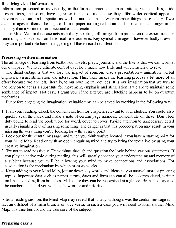### **Receiving visual information**

Information presented to us visually, in the form of practical demonstrations, videos, films, slide presentations, and so on, have a greater impact on us because they offer wider cortical appeal – movement, colour, and a spatial as well as aural element. We remember things more easily if we attach images to them. The sight of litmus paper turning red in an acid is retained far longer in the memory than a written or oral account of that reaction.

The Mind Map in this case acts as a diary, sparking off images from past scientific experiments or reminding us of scenes from historical re-enactments. Key symbolic images – however badly drawn – play an important role here in triggering off these visual recollections.

### **Processing written information**

The advantage of learning from textbooks, novels, plays, journals, and the like is that we can work at our own pace. We have ultimate control over how much, how little and which material to read.

The disadvantage is that we lose the impact of someone else's presentation – animation, verbal emphasis, visual stimulation and interaction. This, then, makes the learning process a bit more of an effort because we are left, literally, to our own mental devices. It is our imagination that we turn to and rely on to act as a substitute for movement, emphasis and stimulation if we are to maintain some semblance of impact. Not easy, I grant you, if the text you are clutching happens to be on quantum mechanics.

But before engaging the imagination, valuable time can be saved by working in the following way:

- 1 Plan your reading. Check the contents section for chapters relevant to your studies. You could also quickly scan the index and make a note of certain page numbers. Concentrate on these. Don't feel duty bound to read the book word for word, cover to cover. Paying attention to unnecessary detail usually signals a fear of missing something. The danger is that this preoccupation may result in your missing the very thing you're looking for – the central point.
- 2 Look out for the central message, and when you think you've located it you have a starting point for your Mind Map. Read on with an open, enquiring mind and try to bring the text alive by using your creative imagination.
- 3 Try not to read passively. Think things through and question the logic behind various statements. If you play an active role during reading, this will greatly enhance your understanding and memory of a subject because you will be allowing your mind to make connections and associations. For association is the mechanism by which memory works.
- 4 Keep adding to your Mind Map, jotting down key words and ideas as you unravel more supporting topics. Important data such as names, terms, dates and formulae can all be accommodated, written on lines extending from branches. Make sure they can be recognised at a glance. Branches may also be numbered, should you wish to show order and priority.

After a reading session, the Mind Map may reveal that what you thought was the central message is in fact an offshoot of a main branch, or vice versa. In such a case you will need to form another Mind Map, this time built round the true core of the subject.

### **Preparing essays**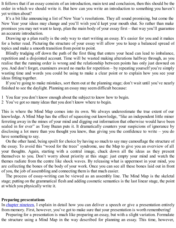It follows that if an essay consists of an introduction, main text and conclusion, then this should be the order in which we should write it. But how can you write an introduction to something you haven't yet written about?

It's a bit like announcing a list of New Year's resolutions. They all sound promising, but come the New Year your ideas may change and you'll wish you'd kept your mouth shut. So rather than make promises you may not want to keep, plan the main body of your essay first – that way you'll guarantee an accurate introduction.

Drawing up a plan really is the only way to start writing an essay. It's easier for you and it makes for a better read. Picturing the structure of your essay will allow you to keep a balanced spread of topics and make a smooth transition from point to point.

Blindly trudging off down the path of the first thing that enters your head can lead to imbalance, repetition and a disjointed account. Time will be wasted making alterations halfway through, as you realise that the running order is wrong and the relationship between points has only just dawned on you. And don't forget, examiners award no marks for repetition – by repeating yourself you're simply wasting time and words you could be using to make a clear point or to explain how you see your ideas fitting together.

If you're going to make mistakes, sort them out at the planning stage; don't wait until you've nearly finished to see the daylight. Planning an essay may seem difficult because:

- 1 You fear you don't know enough about the subject to know how to begin.
- 2 You've got so many ideas that you don't know where to begin.

This is where the Mind Map comes into its own. We always underestimate the true extent of our knowledge. A Mind Map has the effect of squeezing out knowledge, "like an independent little miner ferreting away in the mines of your mind and digging out information that otherwise would have been sealed in for ever" as Tony Buzan puts it. It dramatically counters your suspicions of ignorance by disclosing a lot more than you thought you knew, thus giving you the confidence to write – you do have something to say.

On the other hand, being spoilt for choice by having so much to say may camouflage the structure of the essay. To avoid this "wood for the trees" syndrome, use the Map to give you an overview of all your thoughts. Again, starting with a central image, chuck down all the ideas as they present themselves to you. Don't worry about priority at this stage: just empty your mind and watch the themes radiate from the centre like shock waves. By releasing what is uppermost in your mind, you are collecting the bones of the body of your work. Once you can see all these bones laid out in front of you, the job of assembling and connecting them is that much easier.

The process of essay-writing can be viewed as an assembly line. The Mind Map is the skeletal stage; putting on the grammatical flesh and adding cosmetic semantics is the last linear stage, the point at which you physically write it.

#### **Preparing presentations**

In chapter [nineteen](#page-111-0), I explain in detail how you can deliver a speech or give a presentation entirely from memory. First, however, you've got to make sure that your presentation is worth remembering!

Preparing for a presentation is much like preparing an essay, but with a slight variation. Formulate the structure using a Mind Map in the way described for planning an essay. This time, however,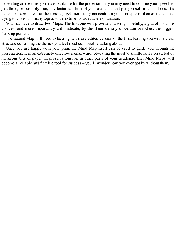depending on the time you have available for the presentation, you may need to confine your speech to just three, or possibly four, key features. Think of your audience and put yourself in their shoes: it's better to make sure that the message gets across by concentrating on a couple of themes rather than trying to cover too many topics with no time for adequate explanation.

You may have to draw two Maps. The first one will provide you with, hopefully, a glut of possible choices, and more importantly will indicate, by the sheer density of certain branches, the biggest "talking points".

The second Map will need to be a tighter, more edited version of the first, leaving you with a clear structure containing the themes you feel most comfortable talking about.

Once you are happy with your plan, the Mind Map itself can be used to guide you through the presentation. It is an extremely effective memory aid, obviating the need to shuffle notes scrawled on numerous bits of paper. In presentations, as in other parts of your academic life, Mind Maps will become a reliable and flexible tool for success – you'll wonder how you ever got by without them.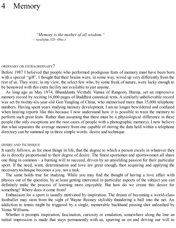# <span id="page-23-0"></span>4 Memory

*"Memory is the mother of all wisdom."*  $-$  Aeschylus (525–456 $_{\text{BCE}}$ )

#### ORDINARY OR EXTRAORDINARY?

Before 1987 I believed that people who performed prodigious feats of memory must have been born with a special "gift". I thought that their brains were, in some way, wired up very differently from the rest of us. They were, in my view, the select few who, by some freak of nature, were lucky enough to be bestowed with this extra facility not available to just anyone.

As long ago as May 1974, Bhanddanta Vicittabi Vumsa of Rangoon, Burma, set an impressive memory record by reciting 16,000 pages of Buddhist canonical texts. A similarly unbelievable record was set by twenty-six-year-old Gon Yangling of China, who memorised more than 15,000 telephone numbers. Having spent years studying memory development, I am no longer bewildered and confused when hearing reports like this because I now understand how it is possible to train the memory to perform such great feats. Rather than assuming that there must be a physiological difference in these people (the only exceptions are the rare cases of people with a photographic memory), I now believe that what separates the average memory from one capable of storing the data held within a telephone directory can be summed up in three simple words: desire and technique.

#### DESIRE AND TECHNIQUE

It surely follows, as for most things in life, that the degree to which a person excels in whatever they do is directly proportional to their degree of desire. The finest sportsmen and sportswomen all share one thing in common – a burning will to succeed, driven by an unyielding passion for their particular sport. If the need, want, determination and love are great enough, then acquiring and applying the necessary technique becomes a joy, not a task.

The same holds true for studying. While you may find the thought of having a love affair with physics out of the question, by at least getting interested in particular aspects of the subject you can definitely make the process of learning more enjoyable. But how do we create this desire for something? Where does it come from?

Enthusiasm for a sport is usually motivated by inspiration. The dream of becoming a world-class footballer may stem from the sight of Wayne Rooney stylishly thundering a ball into the net. An addiction to tennis might be triggered by a single, memorable backhand passing shot unleashed by Venus Williams.

Whether it prompts inspiration, fascination, curiosity or emulation, somewhere along the line an initial impression is made that stays permanently with us, spurring us on and driving our will to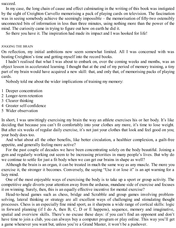succeed.

In my case, the long chain of cause and effect culminating in the writing of this book was instigated by the sight of Creighton Carvello memorising a pack of playing cards on television. The fascination was in seeing somebody achieve the seemingly impossible – the memorisation of fifty-two ostensibly unconnected bits of information in less than three minutes, using nothing more than the power of the mind. The curiosity came in trying to figure out how on earth he did it.

So there you have it. The inspiration had made its impact and I was hooked for life!

#### JOGGING THE BRAIN

On reflection, my initial ambitions now seem somewhat limited. All I was concerned with was beating Creighton's time and getting myself into the record books.

I hadn't realised that what I was about to embark on, over the coming weeks and months, was an object lesson in accelerated learning. I thought that at the end of my period of memory training, a tiny part of my brain would have acquired a new skill: that, and only that, of memorising packs of playing cards.

Nobody told me about the wider implications of training my memory:

- 1 Deeper concentration
- 2 Longer-term retention
- 3 Clearer thinking
- 4 Greater self-confidence
- 5 Wider observation

In short, I was unwittingly exercising my brain the way an athlete exercises his or her body. It's like deciding that because you can't fit comfortably into your clothes any more, it's time to lose weight. But after six weeks of regular daily exercise, it's not just your clothes that look and feel good on you; your body does too.

And what about all the other benefits, like better circulation, a healthier complexion, a guilt-free appetite, and generally feeling more active?

For the past couple of decades we have been concentrating solely on the body beautiful. Joining a gym and regularly working out seem to be increasing priorities in many people's lives. But why do we continue to settle for just a fit body when we can get our brains in shape as well?

Although the brain is an organ, it can be treated in much the same way as any muscle. The more you exercise it, the stronger it becomes. Conversely, the saying "Use it or lose it" is an apt warning for a lazy mind.

One of the most enjoyable ways of exercising the body is to take up a sport or group activity. The competitive angle diverts your attention away from the arduous, mundane side of exercise and focuses it on winning. Surely, then, this is an equally effective incentive for mental exercise?

Head-to-head games such as chess, bridge and Scrabble and group games involving problemsolving, lateral thinking or strategy are all excellent ways of challenging and stimulating thought processes. Chess is an especially fine mind sport, as it sharpens a wide range of cortical skills: logic in forward planning (if I do A, then B, C, D or E happens), sequence, memory and imaginative, spatial and overview skills. There's no excuse these days: if you can't find an opponent and don't have time to join a club, you can always buy a computer program or play online. This way you'll get a game whenever you want but, unless you're a Grand Master, it won't be a pushover.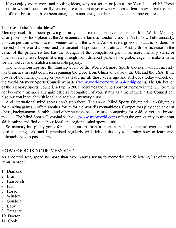If you enjoy group work and pooling ideas, why not set up or join a Use Your Head club? These clubs, to whom I occasionally lecture, are aimed at anyone who wishes to learn how to get the most out of their brains and have been emerging in increasing numbers at schools and universities.

#### **The rise of the "mentathlete"**

Memory itself has been growing rapidly as a mind sport ever since the first World Memory Championships took place at the Athenaeum, the famous London club, in 1991. Now held annually, this competition takes place in venues around the world. As the event grows in stature, so does the interest of the world's press and the amount of sponsorship it attracts. And with the increase in the value of the prizes, so too has the strength of the competition grown, as more memory stars, or "mentathletes", have begun filtering through from different parts of the globe, eager to make a name for themselves and snatch a memorable payday.

The Championships are the flagship event of the World Memory Sports Council, which currently has branches in eight countries, spanning the globe from China to Canada, the UK and the USA. If the power of the memory intrigues you – as it did me all those years ago and still does today – check out the World Memory Sports Council website ([www.worldmemorychampionship.com\)](http://www.worldmemorychampionship.com). The UK branch of the Memory Sports Council, set up in 2005, regulates the mind sport of memory in the UK. So why not become a member and gain official recognition of your status as a mentathlete? The Council can also put you in touch with local and regional memory clubs.

And international mind sports don't stop there. The annual Mind Sports Olympiad – an Olympics for thinking games – offers another forum for the world's mentathletes. Competitors play each other at chess, backgammon, Scrabble and other strategy-based games, competing for gold, silver and bronze medals. The Mind Sports Olympiad website ([www.msoworld.com\)](http://www.msoworld.com) offers the opportunity to test your skills online and find out about local and regional mind sports clubs.

So memory has plenty going for it. It is an art form, a sport, a method of mental exercise and a cortical tuning fork, and if practised regularly will deliver the key to learning how to learn and, ultimately how to pass exams.

# HOW GOOD IS YOUR MEMORY?

As a control test, spend no more than two minutes trying to memorise the following list of twenty items in order.

- 1 Diamond
- 2 Brain
- 3 Hairbrush
- 4 Fire
- 5 Horse
- 6 Window
- 7 Gondola
- 8 Baby
- 9 Treasure
- 10 Doctor
- 11 Cook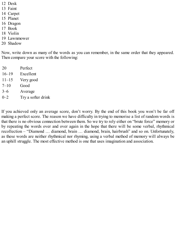- 12 Desk
- 13 Faint
- 14 Carpet
- 15 Planet
- 16 Dragon
- 17 Book
- 18 Violin
- 19 Lawnmower
- 20 Shadow

Now, write down as many of the words as you can remember, in the same order that they appeared. Then compare your score with the following:

- 20 Perfect
- 16–19 Excellent
- 11–15 Very good
- 7–10 Good
- 3–6 Average
- 0–2 Try a softer drink

If you achieved only an average score, don't worry. By the end of this book you won't be far off making a perfect score. The reason we have difficulty in trying to memorise a list of random words is that there is no obvious connection between them. So we try to rely either on "brute force" memory or by repeating the words over and over again in the hope that there will be some verbal, rhythmical recollection – "Diamond … diamond, brain … diamond, brain, hairbrush" and so on. Unfortunately, as these words are neither rhythmical nor rhyming, using a verbal method of memory will always be an uphill struggle. The most effective method is one that uses imagination and association.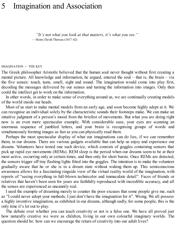# <span id="page-27-0"></span>5 Imagination and Association

*"It's not what you look at that matters, it's what you see."* — Henry David Thoreau (1817–62)

#### $IMAGINATION$  – THE KEY

The Greek philosopher Aristotle believed that the human soul never thought without first creating a mental picture. All knowledge and information, he argued, entered the soul – that is, the brain – via the five senses: touch, taste, smell, sight and sound. The imagination would come into play first, decoding the messages delivered by our senses and turning the information into images. Only then could the intellect get to work on the information.

In other words, in order to make sense of everything around us, we are continually creating models of the world inside our heads.

Most of us start to make mental models from an early age, and soon become highly adept at it. We can recognise an individual solely by the characteristic sounds their footsteps make. We can make an intuitive judgment of a person's mood from the briefest of movements. But what you are doing right now is an even more spectacular example. With considerable ease, your eyes are scanning an enormous sequence of jumbled letters, and your brain is recognising groups of words and simultaneously forming images as fast as you can physically read them.

Perhaps the most spectacular display of what our imaginations can do lies, if we can remember them, in our dreams. There are various gadgets available that can help us enjoy and experience our dreams. Volunteers have tested one such device, which consists of goggles containing sensors that pick up rapid eye movements (REMs). REM sleep is the period when our dreams seem to be at their most active, occurring only at certain times, and then only for short bursts. Once REMs are detected, the sensors trigger off tiny flashing lights fitted into the goggles. The intention is to make the volunteer gradually aware that he or she is in a dream state without waking them up. This semiconscious awareness allows for a fascinating ringside view of the virtual reality world of the imagination, with reports of "seeing everything in full-blown technicolor and immaculate detail". Faces of friends or relatives that haven't been seen for years are faithfully reproduced with incredible accuracy, and all the senses are experienced as uncannily real.

I used the example of dreaming merely to counter the poor excuses that some people give me, such as "I could never adopt your methods, I just don't have the imagination for it". Wrong. We all possess a highly inventive imagination, as exhibited in our dreams, although sadly, for some people, this is the only time it's let out to play.

The debate over whether you can teach creativity or not is a false one. We have all proved just how naturally creative we were as children, living in our own colourful imaginary worlds. The question should be: how can we encourage the return of creativity into our adult lives?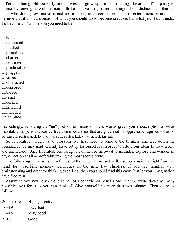Perhaps being told too early in our lives to "grow up" or "start acting like an adult" is partly to blame, by leaving us with the notion that an active imagination is a sign of childishness and that the ones who don't grow out of it end up in uncertain careers as comedians, entertainers or artists. I believe that it's not a question of what you should do to become creative, but what you should undo. To become an "un" person you need to be:

Unlocked Unbound Unrestrained Unleashed Unprejudiced **Unchained** Unrestricted Unpredictable Unplugged Untamed Unobstructed Uncensored Unbarred Unusual Uncorked Unhindered Unimpeded Uninhibited

Interestingly, removing the "un" prefix from many of these words gives you a description of what inevitably happens to creative freedom in countries that are governed by oppressive regimes – that is, censored, restrained, bound, barred, restricted, obstructed, tamed.

So if creative thought is to blossom, we first need to remove the blinkers and tear down the boundaries we may inadvertently have set up for ourselves in order to allow our ideas to flow freely and unchecked. Once liberated, our thoughts can then be allowed to meander, explore and wander in any direction at all – preferably taking the most scenic route.

The following exercise is a useful test of the imagination, and will also put you in the right frame of mind for absorbing memory techniques in the next few chapters. If you are familiar with brainstorming and creative thinking exercises, then you should find this easy. Just let your imagination have free rein.

Assuming you now own the original of Leonardo da Vinci's *Mona Lisa*, write down as many possible uses for it as you can think of. Give yourself no more than two minutes. Then score as follows:

| 20 or more | Highly creative |
|------------|-----------------|
| $16 - 19$  | Excellent       |
| $11 - 15$  | Very good       |
| $7 - 10$   | Good            |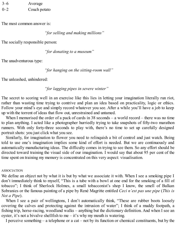3–6 Average 0–2 Couch potato

The most common answer is:

*"for selling and making millions"*

The socially responsible person:

*"for donating to a museum"*

The unadventurous type:

*"for hanging on the sitting-room wall"*

The unleashed, unhindered:

*"for lagging pipes in severe winter"*

The secret to scoring well in an exercise like this lies in letting your imagination literally run riot, rather than wasting time trying to contrive and plan an idea based on practicality, logic or ethics. Follow your mind's eye and simply record whatever you see. After a while you'll have a job to keep up with the torrent of ideas that flow out, unrestrained and untamed.

When I memorised the order of a pack of cards in 38 seconds – a world record – there was no time to plan anything. I acted like a photographer hurriedly trying to take snapshots of fifty-two marathon runners. With only forty-three seconds to play with, there's no time to set up carefully designed portrait shots: you just click what you see.

Similarly, for imagination to flower you need to relinquish a bit of control and just watch. Being told to use one's imagination implies some kind of effort is needed. But we are continuously and automatically manufacturing ideas. The difficulty comes in trying to see them. So any effort should be directed toward training the visual side of our imagination. I would say that about 95 per cent of the time spent on training my memory is concentrated on this very aspect: visualisation.

#### ASSOCIATION

We define an object not by what it is but by what we associate it with. When I see a smoking pipe I don't immediately think to myself, "This is a tube with a bowl at one end for the smoking of a fill of tobacco"; I think of Sherlock Holmes, a small tobacconist's shop I know, the smell of Balkan Sobranies or the famous painting of a pipe by René Magritte entitled *Ceci n'est pas une pipe* (*This is Not a Pipe*).

When I see a pair of wellingtons, I don't automatically think, "These are rubber boots loosely covering the calves and protecting against the intrusion of water"; I think of a muddy footpath, a fishing trip, horse-racing, woodland walks – anything but the dictionary definition. And when I see an oyster, it's not a bivalve shell fish to me – it's why my mouth is watering.

I perceive something – a telephone or a cat – not by its function or chemical constituents, but by the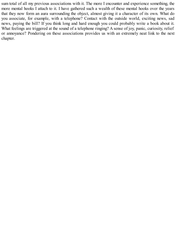sum total of all my previous associations with it. The more I encounter and experience something, the more mental hooks I attach to it. I have gathered such a wealth of these mental hooks over the years that they now form an aura surrounding the object, almost giving it a character of its own. What do you associate, for example, with a telephone? Contact with the outside world, exciting news, sad news, paying the bill? If you think long and hard enough you could probably write a book about it. What feelings are triggered at the sound of a telephone ringing? A sense of joy, panic, curiosity, relief or annoyance? Pondering on these associations provides us with an extremely neat link to the next chapter.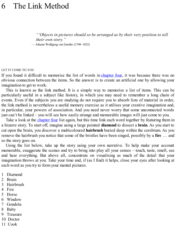# <span id="page-31-0"></span>6 The Link Method

*"'Objects in pictures should so be arranged as by their very position to tell their own story."*

— Johann Wolfgang von Goethe (1749–1832)

#### LET IT COME TO YOU

If you found it difficult to memorise the list of words in [chapter](#page-23-0) four, it was because there was no obvious connection between the items. So the answer is to create an artificial one by allowing your imagination to get to work.

This is known as the link method. It is a simple way to memorise a list of items. This can be particularly useful in a subject like history, in which you may need to remember a long chain of events. Even if the subjects you are studying do not require you to absorb lists of material in order, the link method is nevertheless a useful memory exercise as it utilises your creative imagination and, in particular, your powers of association. And you need never worry that some unconnected words just can't be linked – you will see how easily strange and memorable images will just come to you.

Take a look at the [chapter](#page-23-0) four list again, but this time link each word together by featuring them in a bizarre story. To start off, imagine using a large pointed **diamond** to dissect a **brain**. As you start to cut open the brain, you discover a multicoloured **hairbrush** buried deep within the cerebrum. As you remove the hairbrush you notice that some of the bristles have been singed, possibly by a **fire** … and so the story goes on.

Using the list below, take up the story using your own narrative. To help make your account memorable, exaggerate the scenes and try to bring into play all your senses – touch, taste, smell, see and hear everything. But above all, concentrate on visualising as much of the detail that your imagination throws at you. Take your time and, if (as I find) it helps, close your eyes after looking at each word as you try to form your mental pictures.

- 1 Diamond
- 2 Brain
- 3 Hairbrush
- 4 Fire
- 5 Horse
- 6 Window
- 7 Gondola
- 8 Baby
- 9 Treasure
- 10 Doctor
- 11 Cook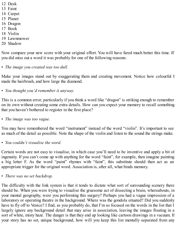- 12 Desk
- 13 Faint
- 14 Carpet
- 15 Planet
- 16 Dragon
- 17 Book
- 18 Violin
- 19 Lawnmower
- 20 Shadow

Now compare your new score with your original effort. You will have fared much better this time. If you did miss out a word it was probably for one of the following reasons:

• *The image you created was too dull.*

Make your images stand out by exaggerating them and creating movement. Notice how colourful I made the hairbrush, and how large the diamond.

• *You thought you'd remember it anyway.*

This is a common error, particularly if you think a word like "dragon" is striking enough to remember on its own without creating some extra details. How can you expect your memory to recall something that you haven't bothered to register in the first place?

• *The image was too vague.*

You may have remembered the word "instrument" instead of the word "violin". It's important to see as much of the detail as possible. Note the shape of the violin and listen to the sound the strings make.

• *You couldn't visualise the word.*

Certain words are not easy to visualise, in which case you'll need to be inventive and apply a bit of ingenuity. If you can't come up with anything for the word "faint", for example, then imagine painting a big letter F. As the word "paint" rhymes with "faint", this substitute should then act as an appropriate trigger for the original word. Association is, after all, what binds memory.

• *There was no set backdrop.*

The difficulty with the link system is that it tends to dictate what sort of surrounding scenery there should be. When you were trying to visualise the gruesome act of dissecting a brain, whereabouts, in your mental geography, were you performing this surgery? Perhaps you had a vague impression of a laboratory or operating theatre in the background. Where was the gondola situated? Did you suddenly have to fly off to Venice? I find, as you probably do, that I'm so focused on the words in the list that I largely ignore any background detail that may arise in association, leaving the images floating in a sort of white, misty haze. The danger is that they end up looking like cartoon drawings in a vacuum. If your story has no set, unique background, how will you keep this list mentally separated from any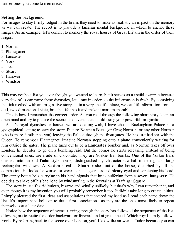#### **Setting the background**

For images to stay firmly lodged in the brain, they need to make as realistic an impact on the memory as we can create. The secret is to provide a familiar mental background in which to anchor these images. As an example, let's commit to memory the royal houses of Great Britain in the order of their reigns.

- 1 Norman
- 2 Plantaganet
- 3 Lancaster
- 4 York
- 5 Tudor
- 6 Stuart
- 7 Hanover
- 8 Windsor

This may not be a list you ever thought you wanted to learn, but it serves as a useful example because very few of us can name these dynasties, let alone in order, so the information is fresh. By combining the link method with an imaginative story set in a very specific place, we can lift information from its dull, two-dimensional state, breathe life into it and make it more memorable.

This is how I remember the correct order. As you read through the following short story, keep an open mind and try to picture the scenes and events that unfold using your powerful imagination.

As it's royal dynasties or houses we are dealing with, I have chosen Buckingham Palace as a geographical setting to start the story. Picture **Norman** Bates (or Greg Norman, or any other Norman who is more familiar to you) leaving the Palace through the front gates. He has just had tea with the Queen. To remember Plantaganet, imagine Norman stepping onto a **plane** conveniently waiting for him outside the gates. The plane turns out to be a **Lancaster** bomber and, as Norman takes off over London, he decides to go on a bombing raid. But the bombs he starts releasing, instead of being conventional ones, are made of chocolate. They are **Yorkie** Bar bombs. One of the Yorkie Bars crashes into an old **Tudor**-style house, distinguished by characteristic half-timbering and large rectangular windows. A Scotsman called **Stuart** rushes out of the house, disturbed by all the commotion. He looks the worse for wear as he staggers around bleary-eyed and scratching his head. The empty bottle he's carrying in his hand signals that he is suffering from a severe **hangover**. He decides to shake off his bad head by **windsur**fing in the fountains at Trafalgar Square!

The story in itself is ridiculous, bizarre and wholly unlikely, but that's why I can remember it, and even though it is my invention you will probably remember it too. It didn't take long to create, either. I simply pictured the first ideas and associations that entered my head as I read each name down the list. It's important to hold on to these first associations, as they are the ones most likely to repeat themselves at a later date.

Notice how the sequence of events running through the story has followed the sequence of the list, allowing me to recite the order backward or forward and at great speed. Which royal family follows York? By referring back to the scene over London, you'll know the answer is Tudor because you can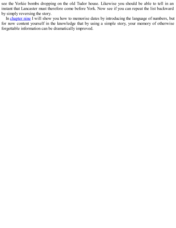see the Yorkie bombs dropping on the old Tudor house. Likewise you should be able to tell in an instant that Lancaster must therefore come before York. Now see if you can repeat the list backward by simply reversing the story.

In [chapter](#page-44-0) nine I will show you how to memorise dates by introducing the language of numbers, but for now content yourself in the knowledge that by using a simple story, your memory of otherwise forgettable information can be dramatically improved.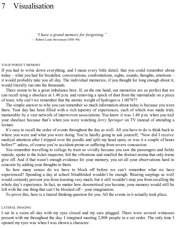# <span id="page-35-0"></span>**Visualisation**

*"I have a grand memory for forgetting."* — Robert Louis Stevenson (1850–94)

#### YOUR PERFECT MEMORY

If you had to write down everything, and I mean every little detail, that you could remember about today – what you had for breakfast, conversations, confrontations, sights, sounds, thoughts, emotions – it would probably take you all day. The individual memories, if you thought for long enough about it, would literally run into the thousands.

There seems to be a great imbalance here. If, on the one hand, our memories are so perfect that we can recall tying a shoelace at 1.40 p.m. and removing a speck of dust from the marmalade on a piece of toast, why can't we remember that the atomic weight of hydrogen is 1.00797?

The simple answer to why you can remember so much information about today is because you were there. Your day has been filled with a rich tapestry of experiences, each of which was made truly memorable by a vast network of interwoven associations. You know it was 1.40 p.m. when you tied your shoelace because that's when you were watching *Jerry Springer* on TV instead of attending a lecture.

It's easy to recall the order of events throughout the day as well. All you have to do is think back to where you were and what you were doing. You're hardly going to ask yourself, "Now did I receive medical attention after I tripped over the poodle and split my head open, or was it a couple of hours before?" unless, of course you're accident-prone or suffering from severe concussion.

You remember travelling to college by train so vividly because you saw the passengers and fields outside, spoke to the ticket inspector, felt the vibrations and smelled the distinct aroma that only trains give off. And if that wasn't enough evidence for your memory, you set all your observations hard in concrete by adding your thoughts to them.

So how many senses do we have to block off before we can't remember what we have experienced? Spending a day at school blindfolded wouldn't be enough. Wearing earplugs as well would certainly prevent you from learning very much, but it still wouldn't stop you from recalling the whole day's experience. In fact, no matter how desensitised you became, your memory would still be left with the one thing that can't be blocked off – your imagination.

To prove this, here is a lateral thinking question for you. All the events in it actually took place.

#### LATERAL IMAGING

I sat in a room all day with my eyes closed and my ears plugged. There were several witnesses present with me throughout the day. I imagined meeting 2,808 people in a set order. The only time I opened my eyes was when I was shown a character.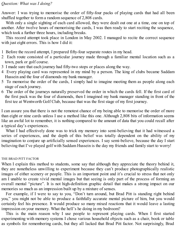## *Question: What was I doing?*

Answer: I was trying to memorise the order of fifty-four packs of playing cards that had all been shuffled together to form a random sequence of 2,808 cards.

With only a single sighting of each card allowed, they were dealt out one at a time, one on top of another. After twelve hours of memorising the cards, I was then ready to start reciting the sequence, which took a further three hours, including breaks.

This record attempt took place in London in May 2002. I managed to recite the correct sequence with just eight errors. This is how I did it:

- 1 Before the record attempt, I prepared fifty-four separate routes in my head.
- 2 Each route consisted of a particular journey made through a familiar mental location such as a town, park or golf course.
- 3 I made sure that each journey had fifty-two stops or places along the way.
- 4 Every playing card was represented in my mind by a person. The king of clubs became Saddam Hussein and the four of diamonds my bank manager.
- 5 To memorise the order of the cards, I simply had to imagine meeting them as people along each stage of each journey.
- 6 The order of the journeys naturally preserved the order in which the cards fell. If the first card of the first pack was the four of diamonds, then I imagined my bank manager standing in front of the first tee at Wentworth Golf Club, because that was the first stage of my first journey.

I can assure you that there is not the remotest chance of my being able to memorise the order of more than eight or nine cards unless I use a method like this one. Although 2,808 bits of information seems like an awful lot to remember, it is nothing compared to the amount of data that you could recall after a typical day's experiences.

What I had effectively done was to trick my memory into semi-believing that it had witnessed a series of experiences, and the depth of this belief was totally dependent on the ability of my imagination to conjure up artificially sensed experiences. I say semi-believe, because the day I start believing that I've played golf with Saddam Hussein is the day my friends and family start to worry!

#### THE BRAD PITT FACTOR

When I explain this method to students, some say that although they appreciate the theory behind it, they are nonetheless unwilling to experiment because they can't produce photographically realistic images of either scenery or people. This is an important point and it's crucial to stress that not only am I unable to create vivid mental images but that seeing is only part of the process of forming an overall mental "picture". It is not high-definition graphic detail that makes a strong impact on our memories so much as an impression built up by a mixture of senses.

For example, if I were to say to you, "Don't turn around, but Brad Pitt is standing right behind you," you might not be able to produce a faithfully accurate mental picture of him, but you would certainly feel his presence. It would produce so many mixed reactions that it would leave a lasting impression on your memory. What the hell's he doing in my bedroom?

This is the main reason why I use people to represent playing cards. When I first started experimenting with memory systems I chose various household objects such as a chair, book or table as symbols for remembering cards, but they all lacked that Brad Pitt factor. Not surprisingly, Brad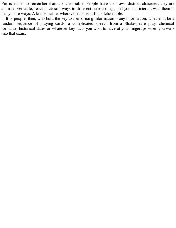Pitt is easier to remember than a kitchen table. People have their own distinct character; they are animate, versatile, react in certain ways to different surroundings, and you can interact with them in many more ways. A kitchen table, wherever it is, is still a kitchen table.

It is people, then, who hold the key to memorising information – any information, whether it be a random sequence of playing cards, a complicated speech from a Shakespeare play, chemical formulae, historical dates or whatever key facts you wish to have at your fingertips when you walk into that exam.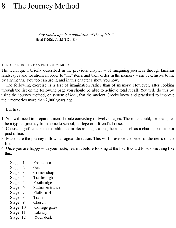# <span id="page-38-0"></span>8 The Journey Method

*"Any landscape is a condition of the spirit."* — Henri-Frédéric Amiel (1821–81)

#### THE SCENIC ROUTE TO A PERFECT MEMORY

The technique I briefly described in the previous chapter – of imagining journeys through familiar landscapes and locations in order to "fix" items and their order in the memory – isn't exclusive to me by any means. You too can use it, and in this chapter I show you how.

The following exercise is a test of imagination rather than of memory. However, after looking through the list on the following page you should be able to achieve total recall. You will do this by using the journey method, or system of *loci*, that the ancient Greeks knew and practised to improve their memories more than 2,000 years ago.

But first:

- 1 You will need to prepare a mental route consisting of twelve stages. The route could, for example, be a typical journey from home to school, college or a friend's house.
- 2 Choose significant or memorable landmarks as stages along the route, such as a church, bus stop or post office.
- 3 Make sure the journey follows a logical direction. This will preserve the order of the items on the list.
- 4 Once you are happy with your route, learn it before looking at the list. It could look something like this:
	- Stage 1 Front door
	- Stage 2 Gate
	- Stage 3 Corner shop
	- Stage 4 Traffic lights
	- Stage 5 Footbridge
	- Stage 6 Station entrance
	- Stage 7 Platform 4
	- Stage 8 Train
	- Stage 9 Church
	- Stage 10 College gates
	- Stage 11 Library
	- Stage 12 Your desk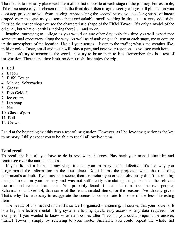The idea is to mentally place each item of the list opposite at each stage of the journey. For example, if the first stage of your chosen route is the front door, then imagine seeing a huge **bell** planted on your doorstep preventing you from leaving. Approaching the second stage, you see long strips of **bacon** draped over the gate as you sense that unmistakable smell wafting in the air  $-$  a very odd sight. Outside the corner shop you see the characteristic shape of the **Eiffel Tower**. It's only a model of the original, but what on earth is it doing there? … and so on.

Imagine journeying to college as you would on any other day, only this time you will experience some unusual encounters along the way. As well as visualising each item at each stage, try to conjure up the atmosphere of the location. Use all your senses – listen to the traffic; what's the weather like, mild or cold? Taste, smell and touch will play a part, and note your reactions as you see each item.

Tip: don't try to memorise the words, just try to bring them to life. Remember, this is a test of imagination. There is no time limit, so don't rush. Just enjoy the trip.

- 1 Bell
- 2 Bacon
- 3 Eiffel Tower
- 4 Michael Schumacher
- 5 Grease
- 6 Bob Geldof
- 7 Ice cream
- 8 Lux soap
- 9 Net
- 10 Glass of port
- 11 Bull
- 12 Crown

I said at the beginning that this was a test of imagination. However, as I believe imagination is the key to memory, I fully expect you to be able to recall all twelve items.

## **Total recall**

To recall the list, all you have to do is review the journey. Play back your mental cine-film and reminisce over the unusual scenes.

If you did hit a blank at any stage it's not your memory that's defective, it's the way you programmed the information in the first place. Don't blame the projector when the recording equipment's at fault. If you missed a scene, then the picture you created obviously didn't make a big enough impact on your memory and was not sufficiently stimulating, so go back to the relevant location and reshoot that scene. You probably found it easier to remember the two people, Schumacher and Geldof, than some of the less animated items, for the reasons I've already given. That's why it's necessary to exaggerate the scenes to compensate for some of the less interesting items.

The beauty of this method is that it's so well organised – assuming, of course, that your route is. It is a highly effective mental filing system, allowing quick, easy access to any data required. For example, if you wanted to know what item comes after "bacon", you could pinpoint the answer, "Eiffel Tower", simply by referring to your route. Similarly, you could repeat the whole list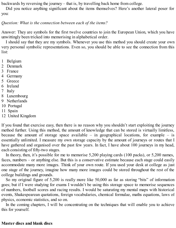backwards by reversing the journey – that is, by travelling back home from college.

Did you notice anything significant about the items themselves? Here's another lateral poser for you:

## *Question: What is the connection between each of the items?*

Answer: They are symbols for the first twelve countries to join the European Union, which you have unwittingly been tricked into memorising in alphabetical order.

I should say that they are my symbols. Whenever you use this method you should create your own very personal symbolic representations. Even so, you should be able to see the connection from this list:

- 1 Belgium
- 2 Denmark
- 3 France
- 4 Germany
- 5 Greece
- 6 Ireland
- 7 Italy
- 8 Luxembourg
- 9 Netherlands
- 10 Portugal
- 11 Spain
- 12 United Kingdom

If you found that exercise easy, then there is no reason why you shouldn't start exploiting the journey method further. Using this method, the amount of knowledge that can be stored is virtually limitless, because the amount of storage space available – in geographical locations, for example – is essentially unlimited. I measure my own storage capacity by the amount of journeys or routes that I have gathered and organised over the past few years. In fact, I have about 100 journeys in my head, each consisting of fifty-two stages.

In theory, then, it's possible for me to memorise 5,200 playing cards (100 packs), or 5,200 names, faces, numbers – or anything else. But this is a conservative estimate because each stage could easily accommodate many more images. Think of your own route. If you used your desk at college as just one stage of the journey, imagine how many more images could be stored throughout the rest of the college buildings and grounds.

So my original figure of 5,200 is really more like 50,000 as far as storing "bits" of information goes; but if I were studying for exams I wouldn't be using this storage space to memorise sequences of numbers, football scores and racing results. I would be saturating my mental maps with historical events, Shakespearean quotations, foreign vocabularies, chemical formulae, maths equations, laws of physics, economic statistics, and so on.

In the coming chapters, I will be concentrating on the techniques that will enable you to achieve this for yourself.

## **Master discs and blank discs**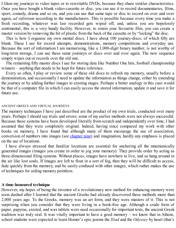I liken my journeys to video tapes or to rewritable DVDs, because they share similar characteristics. Once you have bought a blank video-cassette or disc, you can use it to record documentaries, films, sport, comedy, drama and so on, and you can use that same tape or disc to record on over and over again, *ad infinitum* according to the manufacturers. This is possible because every time you make a fresh recording, whatever was last recorded gets wiped off, and, unless you are hopelessly sentimental, this is a very handy facility. However, to retain your favourite film, you can create a master version by removing the bit of plastic from the back of the cassette or by "locking" the disc.

This is how I organise my own mental discs. I have about 100 journey-discs, of which fifty are blank. These I use for record attempts, demonstrations, memory competitions and everyday use. Because the sort of information I am memorising, like a 1,000-digit binary number, is not worthy of long-term storage, I can use these same journeys or discs over and over again. The new sequence simply wipes out or records over the old one.

The remaining fifty master discs I use for storing data like Number One hits, football championship winners – anything that needs to be kept for future reference.

Every so often, I play or review some of these old discs to refresh my memory, usually before a demonstration, and occasionally I need to update the information as things change, either by extending the journey or by adding further images to existing stages. Perhaps a better analogy in this case would be that of a computer file in which I can easily access the stored information, update it and save it for future use.

#### ANCIENT GREECE AND VIRTUAL JOURNEYS

The memory techniques I have just described are the product of my own trials, conducted over many years. Perhaps I should say trials and errors; some of my earlier methods were not always successful. Because these systems have been developed literally from scratch and independently over time, I had assumed that they were completely original. Indeed, having since compared my work with other books on memory, I have found that although many of them encourage the use of association, conversion of numbers into images (see [chapter](#page-44-0) nine) and imagination, hardly any emphasis is placed on the use of locations.

I have always stressed that familiar locations are essential for anchoring all the mnemonically generated images (images you create in order to jog your memory). They provide order by acting as three-dimensional filing systems. Without places, images have nowhere to live, and so hang around in the air like lost souls. If images are left to float in a sort of fog, then they will be difficult to access, fade quickly from the memory, and be easily confused with other images, which rather makes the use of techniques for aiding memory pointless.

#### **A time-honoured technique**

<span id="page-41-0"></span>However, my hopes of being the inventor of a revolutionary new method for enhancing memory were soon dashed after I learned that the ancient Greeks had already discovered these methods more than 2,000 years ago. To the Greeks, memory was an art form, and they were masters of it. This is not surprising when you consider that they were living in a book-free age. Although a crude form of paper, papyrus, existed, and wax tablets were used occasionally for important texts, the ancient Greek tradition was truly oral. It was vitally important to have a good memory – we know that in Athens, school students were expected to learn Homer's epic poems the *Iliad* and the *Odyssey* by heart (that's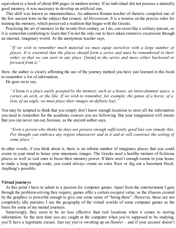equivalent to a book of about 800 pages in modern terms). If an individual did not possess a naturally good memory, it was necessary to develop an artificial one.

This skill was known as mnemotechnics. An unknown Roman teacher of rhetoric compiled one of the few ancient texts on the subject that remain: *Ad Herennium*. It is a treatise on the precise rules for training the memory, which preserved a tradition that began with the Greeks.

Practising the art of memory in the twenty-first century, as I do, can seem like a solitary pursuit, so it is somewhat comforting to learn that I'm not the only one to have taken extensive excursions through an internal, imaginary world. As the anonymous teacher says,

*"If we wish to remember much material we must equip ourselves with a large number of places. It is essential that the places should form a series and must be remembered in their order, so that we can start in any place* [locus] *in the series and move either backward or forward from it."*

Here, the author is clearly affirming the use of the journey method you have just learned in this book to remember a list of information.

He goes on to say,

*"A* locus *is a place easily grasped by the memory, such as a house, an intercolumnar space, a* corner, an arch, or the like. If we wish to remember, for example, the genus of a horse, of a *lion, of an eagle, we must place their images on definite* loci*."*

You may be tempted to think that you simply don't know enough locations to store all the information you need to remember for the academic courses you are following. But your imagination will ensure that you can never run out, because, as the ancient author says,

*"Even a person who thinks he does not possess enough suf iciently good* loci *can remedy this. For thought can embrace any region whatsoever and in it and at will construct the setting of some place."*

In other words, if you think about it, there is an infinite number of imaginary places that you could create in your mind to house your mnemonic images. The Greeks used a healthy mixture of fictitious places as well as real ones to boost their memory power. If there aren't enough rooms in your house to make a long enough route, you could always create an extra floor or dig out a basement block. Anything's possible.

## **Virtual journeys**

At this point I have to admit to a passion for computer games. Apart from the entertainment I gain through the problem-solving they require, games offer a certain escapist value, as the illusion created by the graphics is powerful enough to give one some sense of "being there". However, these are not completely idle pursuits; I use the geography of the virtual worlds of some computer games as the basis for some of my mental journeys.

Surprisingly, they seem to be no less effective than real locations when it comes to storing information. So the next time you are caught at the computer when you're supposed to be studying, you'll have a legitimate excuse. Just say you're swotting up on *Hamlet* – and if your accuser doesn't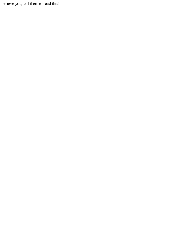believe you, tell them to read this!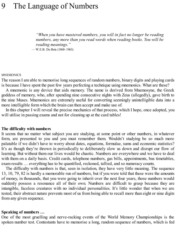# <span id="page-44-0"></span>9 The Language of Numbers

*"When you have mastered numbers, you will in fact no longer be reading numbers, any more than you read words when reading books. You will be reading meanings."*

— W.E.B. Du Bois (1868–1963)

#### **MNEMONICS**

The reason I am able to memorise long sequences of random numbers, binary digits and playing cards is because I have spent the past few years perfecting a technique using mnemonics. What are these?

A mnemonic is any device that aids memory. The name is derived from Mnemosyne, the Greek goddess of memory, who, after spending nine consecutive nights with Zeus (allegedly), gave birth to the nine Muses. Mnemonics are extremely useful for converting seemingly unintelligible data into a more intelligible form which the brain can then accept and make use of.

In this chapter I will reveal the precise mechanics of that process, which I hope, once adopted, you will utilise in passing exams and not for cleaning up at the card tables!

#### **The difficulty with numbers**

It seems that no matter what subject you are studying, at some point or other numbers, in whatever form, are presented to you and you must remember them. Wouldn't studying be so much more palatable if we didn't have to worry about dates, equations, formulae, sums and economic statistics? It's as though they're thrown in periodically to deliberately slow us down and disrupt our flow of learning. But without them our lives would be chaotic. Numbers are everywhere and we have to deal with them on a daily basis. Credit cards, telephone numbers, gas bills, appointments, bus timetables, exam results … everything has to be quantified, reckoned, tallied, and so numeracy counts.

The difficulty with numbers is that, seen in isolation, they have very little meaning. The sequence 13, 10, 79, 82 is hardly a memorable run of numbers, but if you were told that these were the amounts of money, in thousands, that you were going to inherit over the next four years, those numbers would suddenly possess a resonance all of their own. Numbers are difficult to grasp because they are intangible, faceless creatures with no individual personalities. It's little wonder that when we are tested, their abstract nature prevents most of us from being able to recall more than eight or nine digits from any given sequence.

#### **Speaking of numbers …**

One of the most gruelling and nerve-racking events of the World Memory Championships is the spoken number test. Contestants have to memorise a long, random sequence of numbers, which is fed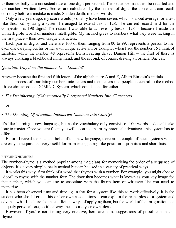to them verbally at a consistent rate of one digit per second. The sequence must then be recalled and the numbers written down. Scores are calculated by the number of digits the contestant can recall correctly before a mistake is made. Sudden death, in other words.

Only a few years ago, my score would probably have been seven, which is about average for a test like this, but by using a system I managed to extend this to 128. The current record held for the competition is 198 digits! The reason I was able to achieve my best of 128 is because I made the unintelligible world of numbers intelligible. My method gives to numbers what they were lacking in the first place – their own unique characters.

Each pair of digits, and there are 100 of them ranging from 00 to 99, represents a person to me, each one carrying out his or her own unique activity. For example, when I see the number 15 I think of Einstein, while the number 48 represents British racing driver Damon Hill – the first of these is always chalking a blackboard in my mind, and the second, of course, driving a Formula One car.

*Question: Why does the number 15 = Einstein?*

Answer: because the first and fifth letters of the alphabet are A and E, Albert Einstein's initials.

This process of translating numbers into letters and then letters into people is central to the method I have christened the DOMINIC System, which could stand for either:

• *The Deciphering Of Mnemonically Interpreted Numbers Into Characters*

or

• *The Decoding Of Mundane Incoherent Numbers Into Clarity!*

It's like learning a new language, but as the vocabulary only consists of 100 words it doesn't take long to master. Once you are fluent you will soon see the many practical advantages this system has to offer.

Before I reveal the nuts and bolts of this new language, there are a couple of basic systems which are easy to acquire and very useful for memorising things like positions, quantities and short lists.

#### RHYMING NUMBERS

The number–rhyme is a method popular among magicians for memorising the order of a sequence of objects. It's a very simple, basic method but can be used in a variety of practical ways.

It works this way: first think of a word that rhymes with a number. For example, you might choose "door" to rhyme with the number four. The door then becomes what is known as your key image for that number, which you can use to associate with the fourth item of whatever list you need to memorise.

It has been observed time and time again that for a system like this to work effectively, it is the student who should create his or her own associations. I can explain the principles of a system and advance what I feel are the most efficient ways of applying them, but the world of the imagination is a uniquely personal one, so it's always best to use your own ideas.

However, if you're not feeling very creative, here are some suggestions of possible number– rhymes: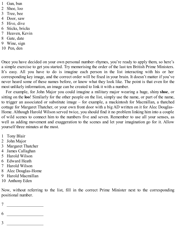- 1 Gun, bun
- 2 Shoe, loo
- 3 Tree, bee
- 4 Door, saw
- 5 Hive, dive
- 6 Sticks, bricks
- 7 Heaven, Kevin
- 8 Gate, date
- 9 Wine, sign
- 10 Pen, den

Once you have decided on your own personal number–rhymes, you're ready to apply them, so here's a simple exercise to get you started. Try memorising the order of the last ten British Prime Ministers. It's easy. All you have to do is imagine each person in the list interacting with his or her corresponding key image, and the correct order will be fixed in your brain. It doesn't matter if you've never heard some of these names before, or know what they look like. The point is that even for the most unlikely information, an image can be created to link it with a number.

For example, for John Major you could imagine a military major wearing a huge, shiny **shoe**, or sitting on the **loo**! Similarly for the other people on the list, simply use the name, or part of the name, to trigger an associated or substitute image – for example, a mackintosh for Macmillan, a thatched cottage for Margaret Thatcher, or your own front door with a big AD written on it for Alec Douglas-Home. Although Harold Wilson served twice, you should find it no problem linking him into a couple of wild scenes to connect him to the numbers five and seven. Remember to use all your senses, as well as adding movement and exaggeration to the scenes and let your imagination go for it. Allow yourself three minutes at the most.

- 1 Tony Blair
- 2 John Major
- 3 Margaret Thatcher
- 4 James Callaghan
- 5 Harold Wilson
- 6 Edward Heath
- 7 Harold Wilson
- 8 Alec Douglas-Home
- 9 Harold Macmillan
- 10 Anthony Eden

Now, without referring to the list, fill in the correct Prime Minister next to the corresponding positional number.

7 \_\_\_\_\_\_\_\_\_\_\_\_\_\_\_\_\_

- $6 \fbox{$
- 3 \_\_\_\_\_\_\_\_\_\_\_\_\_\_\_\_\_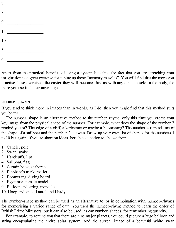| $\overline{2}$ |  |
|----------------|--|
| 8              |  |
| 9              |  |
| 1              |  |
| 10             |  |
| 5              |  |
|                |  |

Apart from the practical benefits of using a system like this, the fact that you are stretching your imagination is a great exercise for toning up those "memory muscles". You will find that the more you practise these exercises, the easier they will become. Just as with any other muscle in the body, the more you use it, the stronger it gets.

#### NUMBER-SHAPES

If you tend to think more in images than in words, as I do, then you might find that this method suits you better.

The number–shape is an alternative method to the number–rhyme, only this time you create your key image from the physical shape of the number. For example, what does the shape of the number 7 remind you of? The edge of a cliff, a kerbstone or maybe a boomerang? The number 4 reminds me of the shape of a sailboat and the number 2, a swan. Draw up your own list of shapes for the numbers 1 to 10 but again, if you're short on ideas, here's a selection to choose from:

- 1 Candle, pole
- 2 Swan, snake
- 3 Handcuffs, lips
- 4 Sailboat, flag
- 5 Curtain hook, seahorse
- 6 Elephant's trunk, mallet
- 7 Boomerang, diving board
- 8 Egg timer, female model
- 9 Balloon and string, monocle
- 10 Hoop and stick, Laurel and Hardy

The number–shape method can be used as an alternative to, or in combination with, number–rhymes for memorising a varied range of data. You used the number–rhyme method to learn the order of British Prime Ministers, but it can also be used, as can number–shapes, for remembering quantity.

For example, to remind you that there are nine major planets, you could picture a huge balloon and string encapsulating the entire solar system. And the surreal image of a beautiful white swan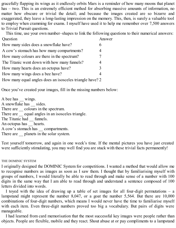gracefully flapping its wings as it endlessly orbits Mars is a reminder of how many moons that planet has – two. This is an extremely efficient method for absorbing massive amounts of information, no matter how obscure or trivial the detail; and because the images created are so bizarre and exaggerated, they leave a long-lasting impression on the memory. This, then, is surely a valuable tool to employ when cramming for exams. I myself have used it to help me remember over 7,500 answers to Trivial Pursuit questions.

This time, use your own number–shapes to link the following questions to their numerical answers:

| Question                                                 | Answer |
|----------------------------------------------------------|--------|
| How many sides does a snowflake have?                    | 6      |
| A cow's stomach has how many compartments?               | 4      |
| How many colours are there in the spectrum?              |        |
| The Titanic went down with how many funnels?             | 4      |
| How many hearts does an octopus have?                    | 3      |
| How many wings does a bee have?                          | 4      |
| How many equal angles does an isosceles triangle have? 2 |        |

Once you've created your images, fill in the missing numbers below:

A bee has wings. A snowflake has \_sides. There are  $\_\_$  colours in the spectrum. There are  $\_\_$  equal angles in an isosceles triangle. The Titanic had \_\_ funnels. An octopus has hearts. A cow's stomach has compartments. There are planets in the solar system.

Test yourself tomorrow, and again in one week's time. If the mental pictures you have just created were sufficiently stimulating, you may well find you are stuck with these trivial facts permanently!

#### THE DOMINIC SYSTEM

I originally designed the DOMINIC System for competitions. I wanted a method that would allow me to recognise numbers as images as soon as I saw them. I thought that by familiarising myself with groups of numbers, I would literally be able to read through and make sense of a number with 100 digits in the same way that I am able to read through and understand a sentence composed of 100 letters divided into words.

I toyed with the idea of drawing up a table of set images for all four-digit permutations – a lampstand might represent the number 8,047, or a goat the number 5,564. But there are 10,000 combinations of four-digit numbers, which means I would never have the time to familiarise myself with each item. Even three-digit numbers proved too big a vocabulary. But pairs of digits were manageable.

I had learned from card memorisation that the most successful key images were people rather than objects. People are flexible, mobile and they react. Shout abuse at or pay compliments to a lampstand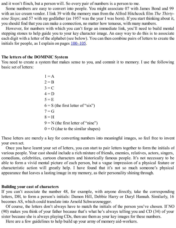and it won't flinch, but a person will. So every pair of numbers is a person to me.

Some numbers are easy to convert into people. You might associate 07 with James Bond and 99 with an ice cream vendor. I link 39 with the memory man from the Alfred Hitchcock film *The Thirtynine Steps*; and 57 with my godfather (as 1957 was the year I was born). If you start thinking about it, you should find that you can make a connection, no matter how tenuous, with many numbers.

However, for numbers with which you can't forge an immediate link, you'll need to build mental stepping stones to help guide you to your key character image. An easy way to do this is to associate each digit with a letter of the alphabet (see below). You can then combine pairs of letters to create the initials for people, as I explain on pages [100–105.](#page-49-0)

#### **The letters of the DOMINIC System**

You need to create a system that makes sense to you, and commit it to memory. I use the following basic set of letters:

| $1 = A$                              |
|--------------------------------------|
| $2 = B$                              |
| $3 = C$                              |
| $4=D$                                |
| $5 = E$                              |
| $6 = S$ (the first letter of "six")  |
| $7 = G$                              |
| $8 = H$                              |
| $9 = N$ (the first letter of "nine") |
| $0 = O$ (due to the similar shapes)  |

These letters are merely a key for converting numbers into meaningful images, so feel free to invent your own set.

<span id="page-49-0"></span>Once you have learnt your set of letters, you can start to pair letters together to form the initials of various people. Your cast should include a rich mixture of friends, enemies, relatives, actors, singers, comedians, celebrities, cartoon characters and historically famous people. It's not necessary to be able to form a vivid mental picture of each person, but a vague impression of a physical feature or characteristic action will greatly help. I have found that it's not so much someone's physical appearance that leaves a lasting image in my memory, as their personality shining through.

#### **Building your cast of characters**

If you can't associate the number 48, for example, with anyone directly, take the corresponding letters, DH, to form a person's initials: Damon Hill, Debbie Harry or Daryl Hannah. Similarly, 16 becomes AS, which could translate into Arnold Schwarzenegger.

Of course, the letters don't always have to match the initials of the person you've chosen. If NO (90) makes you think of your father because that's what he's always telling you and CD (34) of your sister because she is always playing CDs, then use them as your key images for these numbers.

Here are a few guidelines to help build up your army of memory aid-workers.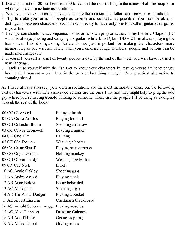- Draw up a list of 100 numbers from 00 to 99, and then start filling in the names of all the people for whom you have immediate associations.
- When you have exhausted this avenue, decode the numbers into letters and see whose initials fit.
- Try to make your army of people as diverse and colourful as possible. You must be able to distinguish between characters, so, for example, try to have only one footballer, guitarist or golfer in your list.
- Each person should be accompanied by his or her own prop or action. In my list Eric Clapton (EC  $= 53$ ) is always playing and carrying his guitar, while Bob Dylan (BD  $= 24$ ) is always playing the harmonica. This distinguishing feature is not just important for making the characters more memorable; as you will see later, when you memorise longer numbers, people and actions can be made interchangeable.
- If you set yourself a target of twenty people a day, by the end of the week you will have learned a new language.
- Familiarise yourself with the list. Get to know your characters by testing yourself whenever you have a dull moment – on a bus, in the bath or last thing at night. It's a practical alternative to counting sheep!

As I have always stressed, your own associations are the most memorable ones, but the following cast of characters with their associated actions are the ones I use and they might help to plug the odd gap where you're having trouble thinking of someone. These are the people I'll be using as examples through the rest of the book:

| 00 OO Olive Oyl                             | Eating spinach           |
|---------------------------------------------|--------------------------|
| 01 OA Ossie Ardiles                         | Playing football         |
| 02 OB Orlando Bloom                         | Shooting an arrow        |
| 03 OC Oliver Cromwell                       | Loading a musket         |
| 04 OD Otto Dix                              | Painting                 |
| 05 OE Old Etonian                           | Wearing a boater         |
| 06 OS Omar Sharif                           | Playing backgammon       |
| 07 OG Organ Grinder                         | Holding monkey           |
| 08 OH Oliver Hardy                          | Wearing bowler hat       |
| 09 ON Old Nick                              | In hell                  |
| 10 AO Annie Oakley                          | Shooting guns            |
| 11 AA Andre Agassi                          | Playing tennis           |
| 12 AB Anne Boleyn                           | Being beheaded           |
| 13 AC Al Capone                             | Smoking cigar            |
| 14 AD The Artful Dodger                     | Picking a pocket         |
| 15 AE Albert Einstein                       | Chalking a blackboard    |
| 16 AS Arnold Schwarzenegger Flexing muscles |                          |
| 17 AG Alec Guinness                         | <b>Drinking Guinness</b> |
| 18 AH Adolf Hitler                          | Goose-stepping           |
| 19 AN Alfred Nobel                          | Giving prizes            |
|                                             |                          |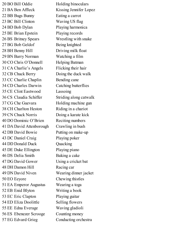20 BO Bill Oddie Holding binoculars BB Bugs Bunny Eating a carrot BC Bill Clinton Waving US flag BD Bob Dylan Playing harmonica 25 BE Brian Epstein Playing records BS Britney Spears Wrestling with snake 27 BG Bob Geldof Being knighted 28 BH Benny Hill Driving milk float BN Barry Norman Watching a film CO Chris O'Donnell Helping Batman 31 CA Charlie's Angels Flicking their hair CB Chuck Berry Doing the duck walk 33 CC Charlie Chaplin Bending cane CD Charles Darwin Catching butterflies CE Clint Eastwood Lassoing CG Che Guevara Holding machine gun CH Charlton Heston Riding in a chariot CN Chuck Norris Doing a karate kick DO Dominic O'Brien Reciting numbers DA David Attenborough Crawling in bush DB David Bowie Putting on make-up 43 DC Daniel Craig Playing poker DD Donald Duck Quacking DE Duke Ellington Playing piano 46 DS Delia Smith Baking a cake DG David Gower Using a cricket bat 48 DH Damon Hill Racing car EO Eeyore Chewing thistles EA Emperor Augustus Wearing a toga EB Enid Blyton Writing a book EC Eric Clapton Playing guitar 54 ED Eliza Doolittle Selling flowers EE Edna Everage Waving gladioli ES Ebenezer Scrooge Counting money 57 EG Edvard Grieg Conducting orchestra

21 BA Ben Affleck Kissing Jennifer Lopez CS Claudia Schiffer Striding along catwalk DN David Niven Wearing dinner jacket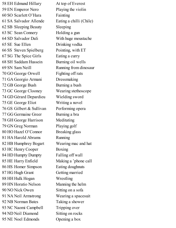EH Edmund Hillary At top of Everest 59 EN Emperor Nero Playing the violin SO Scarlett O'Hara Fainting SA Salvador Allende Eating a chilli (Chile) SB Sleeping Beauty Sleeping SC Sean Connery Holding a gun SD Salvador Dali With huge moustache SE Sue Ellen Drinking vodka 66 SS Steven Spielberg Pointing, with ET SG The Spice Girls Eating a curry SH Saddam Hussein Burning oil wells SN Sam Neill Running from dinosaur 70 GO George Orwell Fighting off rats GA Georgio Armani Dressmaking GB George Bush Burning a bush GC George Clooney Wearing stethoscope GD Gérard Depardieu Wielding sword GE George Eliot Writing a novel GS Gilbert & Sullivan Performing opera 77 GG Germaine Greer Burning a bra GH George Harrison Meditating GN Greg Norman Playing golf HO Hazel O'Connor Breaking glass 81 HA Harold Abrams Running HB Humphrey Bogart Wearing mac and hat 83 HC Henry Cooper Boxing 84 HD Humpty Dumpty Falling off wall HE Harry Enfield Making a 'phone call HS Homer Simpson Eating doughnuts 87 HG Hugh Grant Getting married HH Hulk Hogan Wrestling HN Horatio Nelson Manning the helm NO Nick Owen Sitting on a sofa NA Neil Armstrong Wearing a spacesuit NB Norman Bates Taking a shower 93 NC Naomi Campbell Tripping over 94 ND Neil Diamond Sitting on rocks NE Noel Edmonds Opening a box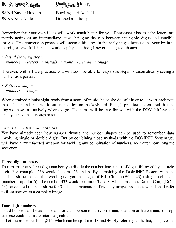| 99 NS Nancy Sinatra  | Duetting with Frank,   |
|----------------------|------------------------|
| 98 NH Nasser Hussein | Bowling a cricket ball |
| 99 NN Nick Nolte     | Dressed as a tramp     |

Remember that your own ideas will work much better for you. Remember also that the letters are merely acting as an intermediary stage, bridging the gap between intangible digits and tangible images. This conversion process will seem a bit slow in the early stages because, as your brain is learning a new skill, it has to work step by step through several stages of thought.

• *Initial learning steps: numbers* → *letters* → *initials* → *name* → *person* → *image*

However, with a little practice, you will soon be able to leap those steps by automatically seeing a number as a person.

• *Reflexive stage: numbers* → *image*

When a trained pianist sight-reads from a score of music, he or she doesn't have to convert each note into a letter and then work out its position on the keyboard. Enough practice has ensured that the fingers know instinctively where to go. The same will be true for you with the DOMINIC System once you have had enough practice.

#### HOW TO USE YOUR NEW LANGUAGE

You have already seen how number–rhymes and number–shapes can be used to remember data involving single or double digits. But by combining those methods with the DOMINIC System you will have a multifaceted weapon for tackling any combination of numbers, no matter how long the sequence.

#### **Three-digit numbers**

To remember any three-digit number, you divide the number into a pair of digits followed by a single digit. For example, 236 would become 23 and 6. By combining the DOMINIC System with the number–shape method this would give you the image of Bill Clinton (BC = 23) riding an elephant (number shape for 6). The number 433 would become 43 and 3, which produces Daniel Craig ( $DC =$ 43) handcuffed (number shape for 3). This combination of two key images produces what I shall refer to from now on as a **complex** image.

## **Four-digit numbers**

I said before that it was important for each person to carry out a unique action or have a unique prop, as these could be made interchangeable.

Let's take the number 1,846, which can be split into 18 and 46. By referring to the list, this gives us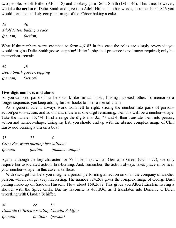two people: Adolf Hitler ( $AH = 18$ ) and cookery guru Delia Smith ( $DS = 46$ ). This time, however, we take the **action** of Delia Smith and give it to Adolf Hitler. In other words, to remember 1,846 you would form the unlikely complex image of the Führer baking a cake.

*18 46 Adolf Hitler baking a cake (person) (action)*

What if the numbers were switched to form 4,618? In this case the roles are simply reversed: you would imagine Delia Smith goose-stepping! Hitler's physical presence is no longer required; only his mannerisms remain.

*46 18 Delia Smith goose-stepping (person) (action)*

## **Five-digit numbers and above**

As you can see, pairs of numbers work like mental hooks, linking into each other. To memorise a longer sequence, you keep adding further hooks to form a mental chain.

As a general rule, I always work from left to right, slicing the number into pairs of person– action/person–action, and so on; and if there is one digit remaining, then this will be a number–shape. Take the number 35,774. First arrange the digits into 35, 77 and 4, then translate them into person, action and number–shape. Using my list, you should end up with the absurd complex image of Clint Eastwood burning a bra on a boat.

*35 77 4 Clint Eastwood burning bra sailboat (person) (action) (number–shape)*

Again, although the key character for 77 is feminist writer Germaine Greer (GG = 77), we only require her associated action, bra-burning. And, remember, the action always takes place in or near your number–shape, in this case, a sailboat.

With six-digit numbers you imagine a person performing an action on or in the company of another person, which can get very interesting. The number 724,268 gives the complex image of George Bush putting make-up on Saddam Hussein. How about 159,267? This gives you Albert Einstein having a shower with the Spice Girls. But my favourite is 408,836, as it translates into Dominic O'Brien wrestling with Claudia Schiffer.

*40 88 36 Dominic O'Brien wrestling Claudia Schif er (person) (action) (person)*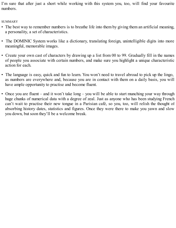I'm sure that after just a short while working with this system you, too, will find your favourite numbers.

SUMMARY

- The best way to remember numbers is to breathe life into them by giving them an artificial meaning, a personality, a set of characteristics.
- The DOMINIC System works like a dictionary, translating foreign, unintelligible digits into more meaningful, memorable images.
- Create your own cast of characters by drawing up a list from 00 to 99. Gradually fill in the names of people you associate with certain numbers, and make sure you highlight a unique characteristic action for each.
- The language is easy, quick and fun to learn. You won't need to travel abroad to pick up the lingo, as numbers are everywhere and, because you are in contact with them on a daily basis, you will have ample opportunity to practise and become fluent.
- Once you are fluent and it won't take long you will be able to start munching your way through huge chunks of numerical data with a degree of zeal. Just as anyone who has been studying French can't wait to practise their new tongue in a Parisian café, so you, too, will relish the thought of absorbing history dates, statistics and figures. Once they were there to make you yawn and slow you down, but soon they'll be a welcome break.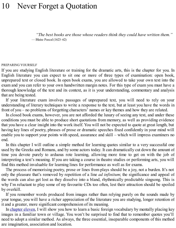## 10 Never Forget a Quotation

*"The best books are those whose readers think they could have written them."* — Blaise Pascal (1623–62)

#### PREPARING YOURSELF

If you are studying English literature or training for the dramatic arts, this is the chapter for you. In English literature you can expect to sit one or more of three types of examination: open book, unprepared text or closed book. In open book exams, you are allowed to take your own text into the exam and you can refer to your own handwritten margin notes. For this type of exam you must have a thorough knowledge of the text and its context, as it is your understanding, commentary and analysis that are being tested.

If your literature exam involves passages of unprepared text, you will need to rely on your understanding of literary techniques to write a response to the text, but at least you have the words in front of you – no problems of forgetting characters' names or key themes and how they are related.

In closed book exams, however, you are not afforded the luxury of seeing any text, and under these conditions you must be able to produce short quotations from memory, as well as providing evidence that you have a clear insight into the work itself. You will not be expected to quote at great length, but having key lines of poetry, phrases of prose or dramatic speeches fixed confidently in your mind will enable you to support your points with speed, assurance and skill – which will impress examiners no end.

In this chapter I will outline a simple method for learning quotes similar to a very successful one used by the Greeks and Romans, and by some actors today. It can dramatically cut down the amount of time you devote purely to arduous rote learning, allowing more time to get on with the job of interpreting a text's meaning. If you are taking a course in theatre studies or performing arts, you will find this method invaluable for learning lines for performance as well as for exams.

The process of memorising poetry, prose or lines from plays should be a joy, not a burden. It's not only the pleasure that's removed by repetition of a line *ad infinitum*; the significance and appeal of the words can also get lost as they dissolve into a bland, rhythmically predictable singsong. This is why I'm reluctant to play some of my favourite CDs too often, lest their attraction should be spoiled by overkill.

If you remember words produced from images rather than relying purely on the sounds made by your tongue, you will have a richer appreciation of the literature you are studying, longer retention of it and a greater, more significant comprehension of its meaning.

In [chapter](#page-66-0) eleven, I will show you how to learn a basic foreign vocabulary by mentally placing key images in a familiar town or village. You won't be surprised to find that to remember quotes you'll need to adopt a similar method. As always, the three essential, inseparable components of this method are imagination, association and location.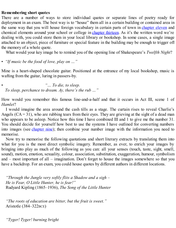#### **Remembering short quotes**

There are a number of ways to store individual quotes or separate lines of poetry ready for deployment in an exam. The best way is to "house" them all in a certain building or contained area in the same way that you will house foreign vocabulary in certain parts of town in [chapter](#page-66-0) eleven and chemical elements around your school or college in chapter [thirteen.](#page-81-0) As it's the written word we're dealing with, you could store them in your local library or bookshop. In some cases, a single image attached to an object, piece of furniture or special feature in the building may be enough to trigger off the memory of a whole quote.

What would your key image be to remind you of the opening line of Shakespeare's *Twelfth Night*?

• *"If music be the food of love, play on …"*

Mine is a heart-shaped chocolate guitar. Positioned at the entrance of my local bookshop, music is wafting from the guitar, luring in passers-by.

• *"… To die, to sleep. To sleep, perchance to dream. Ay, there's the rub …"*

How would you remember this famous line-and-a-half and that it occurs in Act III, scene 1 of *Hamlet*?

I would imagine the area around the cash tills as a stage. The curtain rises to reveal Charlie's Angels  $(CA = 31)$ , who are rubbing tears from their eyes. They are grieving at the sight of a dead man who appears to be asleep. Notice how this time I have combined III and 1 to give me the number 31. You should decide for yourself how best to use the systems I have outlined for converting numbers into images (see *[chapter](#page-44-0) nine*); then combine your number image with the information you need to memorise.

Now try to memorise the following quotations and short literary extracts by translating them into what for you is the most direct symbolic imagery. Remember, as ever, to enrich your images by bringing into play as much of the following as you can: all your senses (touch, taste, sight, smell, sound), motion, emotion, sexuality, colour, association, substitution, exaggeration, humour, symbolism and – most important of all – imagination. Don't forget to house the images somewhere so that you have a backdrop. For an exam, you could house quotes by different authors in different locations.

*"Through the Jungle very softly flits a Shadow and a sigh – He is Fear, O Little Hunter, he is fear!"* Rudyard Kipling (1865–1936), *The Song of the Little Hunter*

*"The roots of education are bitter, but the fruit is sweet."* Aristotle (384–322BCE)

*"Tyger! Tyger! burning bright*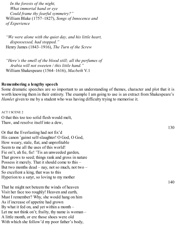*In the forests of the night, What immortal hand or eye Could frame thy fearful symmetry?"* William Blake (1757–1827), *Songs of Innocence and of Experience*

*"We were alone with the quiet day, and his little heart, dispossessed, had stopped."* Henry James (1843–1916), *The Turn of the Screw*

*"Here's the smell of the blood still; all the perfumes of Arabia will not sweeten / this little hand."* William Shakespeare (1564–1616), *Macbeth* V.1

#### **Remembering a lengthy speech**

Some dramatic speeches are so important to an understanding of themes, character and plot that it is worth knowing them in their entirety. The example I am going to use is an extract from Shakespeare's *Hamlet* given to me by a student who was having difficulty trying to memorise it.

ACT I SCENE 2 O that this too too solid flesh would melt, Thaw, and resolve itself into a dew,

Or that the Everlasting had not fix'd His canon 'gainst self-slaughter! O God, O God, How weary, stale, flat, and unprofitable Seem to me all the uses of this world! Fie on't, ah fie, fie! 'Tis an unweeded garden, That grows to seed; things rank and gross in nature Possess it merely. That it should come to this – But two months dead – nay, not so much, not two – So excellent a king, that was to this Hyperion to a satyr, so loving to my mother

That he might not beteem the winds of heaven Visit her face too roughly! Heaven and earth, Must I remember? Why, she would hang on him As if increase of appetite had grown By what it fed on, and yet within a month – Let me not think on't; frailty, thy name is woman – A little month, or ere those shoes were old With which she follow'd my poor father's body,

130

140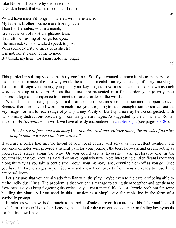Like Niobe, all tears, why she, even she – O God, a beast, that wants discourse of reason

Would have mourn'd longer – married with mine uncle, My father's brother, but no more like my father Than I to Hercules; within a month, Ere yet the salt of most unrighteous tears Had left the flushing of her galled eyes, She married. O most wicked speed, to post With such dexterity to incestuous sheets! It is not, nor it cannot come to good. But break, my heart, for I must hold my tongue.

159

This particular soliloquy contains thirty-one lines. So if you wanted to commit this to memory for an exam or performance, the best way would be to take a mental journey consisting of thirty-one stages. To learn a foreign vocabulary, you place your key images in various places around a town as each word comes up at random. But as these lines are presented in a fixed order, your journey must possess a logical set sequence to protect the natural order of the words.

When I'm memorising poetry I find that the best locations are ones situated in open spaces. Because there are several words on each line, you are going to need enough room to spread out the key images formed for each stage of your journey. A city or built-up area may be too congested, with far too many distractions obscuring or confusing these images. As suggested by the anonymous Roman author of *Ad Herennium* – a work we have already encountered in [chapter](#page-38-0) eight (see pages [85–86](#page-41-0)):

## *"It is better to form one's memory* loci *in a deserted and solitary place, for crowds of passing people tend to weaken the impressions."*

If you are a golfer like me, the layout of your local course will serve as an excellent location. The sequence of holes will provide a natural path for your journey, the tees, fairways and greens acting as progressive stages along the way. Or you could use a favourite walk, preferably one in the countryside, that you knew as a child or make regularly now. Note interesting or significant landmarks along the way as you take a gentle stroll down your memory lane, counting them off as you go. Once you have thirty-one stages in your journey and know them back to front, you are ready to absorb the entire soliloquy.

Let's assume that you are already familiar with the play, maybe even to the extent of being able to recite individual lines. The problem is that you can't manage to string them together and get them to flow because you keep forgetting the order, or you get a mental block – a chronic problem for some budding thespians. All you need in this situation is a simple cue for each line in the form of a symbolic prompt.

Hamlet, as we know, is distraught to the point of suicide over the murder of his father and his evil uncle's marriage to his mother. Leaving this aside for the moment, concentrate on finding key symbols for the first few lines:

<sup>•</sup> *Stage 1:*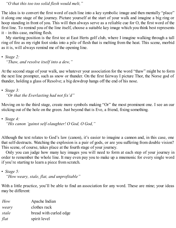*"O that this too too solid flesh would melt,"*

The idea is to convert the first word of each line into a key symbolic image and then mentally "place" it along one stage of the journey. Picture yourself at the start of your walk and imagine a big ring or hoop standing in front of you. This will then always serve as a reliable cue for O, the first word of the first line. To remind you of the line itself, choose a suitable key image which you think best represents it – in this case, melting flesh.

My starting position is the first tee at East Herts golf club, where I imagine walking through a tall ring of fire as my right foot sinks into a pile of flesh that is melting from the heat. This scene, morbid as it is, will always remind me of the opening line.

• *Stage 2: "Thaw, and resolve itself into a dew,"*

At the second stage of your walk, use whatever your association for the word "thaw" might be to form the next line prompter, such as snow or thunder. On the first fairway I picture Thor, the Norse god of thunder, holding a glass of Resolve; a big dewdrop hangs off the end of his nose.

• *Stage 3:*

*"Or that the Everlasting had not fix'd"*

Moving on to the third stage, create more symbols making "Or" the most prominent one. I see an oar sticking out of the hole on the green. Just beyond that is Eve, a friend, fixing something.

• *Stage 4:*

*"His canon 'gainst self-slaughter! O God, O God,"*

Although the text relates to God's law (canon), it's easier to imagine a cannon and, in this case, one that self-destructs. Watching the explosion is a pair of gods, or are you suffering from double vision? This scene, of course, takes place at the fourth stage of your journey.

Only you can judge how many key images you will need to form at each step of your journey in order to remember the whole line. It may even pay you to make up a mnemonic for every single word if you're starting to learn a piece from scratch.

• *Stage 5:*

*"How weary, stale, flat, and unprofitable"*

With a little practice, you'll be able to find an association for any word. These are mine; your ideas may be different:

| How   | Apache Indian          |
|-------|------------------------|
| weary | clothes rack           |
| stale | bread with curled edge |
| flat  | spirit level           |
|       |                        |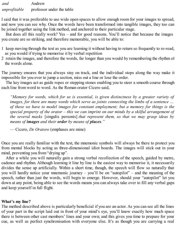*and* Andrew *unprofitable* professor under the table

I said that it was preferable to use wide open spaces to allow enough room for your images to spread, and now you can see why. Once the words have been transformed into tangible images, they too can be joined together using the link method, and anchored to their particular stage.

But does all this really work? Yes – and for good reasons. You'll notice that because the images you create are so striking, and therefore memorable, you will be able to:

- 1 keep moving through the text as you are learning it without having to return so frequently to re-read, as you would if trying to memorise it by verbal repetition
- 2 retain the images, and therefore the words, far longer than you would by remembering the rhythm of the words alone.

The journey ensures that you always stay on track, and the individual stops along the way make it impossible for you ever to jump a section, miss out a line or lose the order.

The key images act as guide ropes or stepping stones enabling you to steer a smooth course through each line from word to word. As the Roman orator Cicero said,

*"Memory for words, which for us is essential, is given distinctness by a greater variety of images, for there are many words which serve as joints connecting the limbs of a sentence … of these we have to model images for constant employment; but a memory for things is the special property of the orator – this we can imprint on our minds by a skilful arrangement of the several masks* [singulis personis] *that represent them, so that we may grasp ideas by means of images and their order by means of places."*

— Cicero, *De Oratore* (emphases are mine)

Once you are really familiar with the text, the mnemonic symbols will always be there to protect you from mental blocks by acting as three-dimensional idiot boards. The images will stick out in your mind, preventing you from "drying up".

After a while you will naturally gain a strong verbal recollection of the speech, guided by metre, cadence and rhythm. Although learning it line by line is the easiest way to memorise it, it necessarily divides the sense up artificially. Within a short time, though, the speech will flow so naturally that you will hardly notice your mnemonic journey – you'll be on "autopilot" – and the meaning of the speech, rather than just the words, will begin to emerge. However, should your "autopilot" let you down at any point, being able to see the words means you can always take over to fill any verbal gaps and keep yourself in full flight.

#### **What's my line?**

The method described above is particularly beneficial if you are an actor. As you can see all the lines of your part in the script laid out in front of your mind's eye, you'll know exactly how much space there is between other cast members' lines and your own; and this gives you time to prepare for your cue, as well as perfect synchronisation with everyone else. It's as though you are carrying a real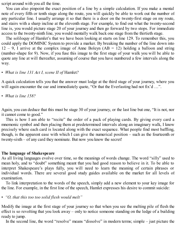script around with you all the time.

You can also pinpoint the exact position of a line by a simple calculation. If you make a mental note of every fifth or tenth stage along the route, you will quickly be able to work out the number of any particular line. I usually arrange it so that there is a door on the twenty-first stage on my route, and stairs with a sharp incline at the eleventh stage. For example, to find out what the twenty-second line is, you would picture stage 20 of your journey and then go forward by two stops. For immediate access to the twenty-ninth line, you would mentally walk back one stage from the thirtieth stage.

The soliloquy of Hamlet's that we have been looking at starts on line 129. To remember this, you could apply the DOMINIC System to provide a marker. By breaking the number of the line down into  $12 - 9$ , I arrive at the complex image of Anne Boleyn (AB = 12) holding a balloon and string (number-shape for 9). Now, if you fuse this image to the first stage of your walk you will be able to quote any line at will thereafter, assuming of course that you have numbered a few intervals along the way.

• *What is line 131 Act I, scene II of* Hamlet*?*

A quick calculation tells you that the answer must lodge at the third stage of your journey, where you will again encounter the oar and immediately quote, "Or that the Everlasting had not fix'd ...".

• *What is line 158?*

Again, you can deduce that this must be stage 30 of your journey, or the last line but one, "It is not, nor it cannot come to good."

This is how I am able to "recite" the order of a pack of playing cards. By giving every card a mnemonic symbol and then placing them at predetermined intervals along an imaginary walk, I know precisely where each card is located along with the exact sequence. What people find most baffling, though, is the apparent ease with which I can give the numerical position – such as the fourteenth or twenty-sixth – of any card they nominate. But now you know the secret!

## **The language of Shakespeare**

As all living languages evolve over time, so the meanings of words change. The word "silly" used to mean holy, and to "doubt" something meant that you had good reason to believe in it. To be able to interpret Shakespeare's plays fully, you will need to learn the meaning of certain phrases or individual words. There are several good study guides available on the market for all levels of examination.

To link interpretation to the words of the speech, simply add a new element to your key image for the line. For example, in the first line of the speech, Hamlet expresses his desire to commit suicide:

• *"O, that this too too solid flesh would melt"*

Modify the image at the first stage of your journey so that when you see the melting pile of flesh the effect is so revolting that you look away – only to notice someone standing on the ledge of a building ready to jump.

In the second line, the word "resolve" means "dissolve" in modern terms; simple – just picture the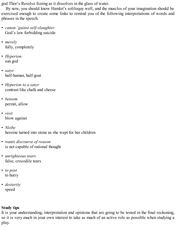god Thor's Resolve fizzing as it dissolves in the glass of water.

By now, you should know Hamlet's soliloquy well, and the muscles of your imagination should be exercised enough to create some links to remind you of the following interpretations of words and phrases in the speech.

- *canon 'gainst self-slaughter* God's law forbidding suicide
- *merely* fully, completely
- *Hyperion* sun god
- *satyr* half-human, half-goat
- *Hyperion to a satyr* contrast like chalk and cheese
- *beteem* permit, allow
- *visit* blow against
- *Niobe* heroine turned into stone as she wept for her children
- *wants discourse of reason* is not capable of rational thought
- *unrighteous tears* false, crocodile tears
- *to post* to hurry
- *dexterity* speed

## **Study tips**

It is your understanding, interpretation and opinions that are going to be tested in the final reckoning, so it is very much in your own interest to take as much of an active role as possible when studying a play.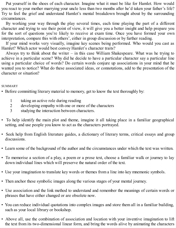Put yourself in the shoes of each character. Imagine what it must be like for Hamlet. How would you react to your mother marrying your uncle less than two months after he'd taken your father's life? Try to feel the grief and understand Hamlet's mental breakdown brought about by the surrounding circumstances.

By working your way through the play several times, each time playing the part of a different character and trying to see their point of view, it will give you a better insight and help prepare you for the sort of questions you're likely to receive at exam time. Once you have formed your own interpretation, compare this with others', either in group discussion or by further reading.

If your mind works very visually, imagine key scenes being performed. Who would you cast as Hamlet? Which actor would best convey Hamlet's character traits?

Always try to think about the writer – in this case William Shakespeare. What was he trying to achieve in a particular scene? Why did he decide to have a particular character say a particular line using a particular choice of words? Do certain words conjure up associations in your mind that he wanted you to notice? What do these associated ideas, or connotations, add to the presentation of the character or situation?

#### **SUMMARY**

- Before committing literary material to memory, get to know the text thoroughly by:
	- 1 taking an active role during reading
	- 2 developing empathy with one or more of the characters
	- 3 studying the interaction between characters.
- To help identify the main plot and theme, imagine it all taking place in a familiar geographical setting, and use people you know to act as the characters portrayed.
- Seek help from English literature guides, a dictionary of literary terms, critical essays and group discussions.
- Learn some of the background of the author and the circumstances under which the text was written.
- To memorise a section of a play, a poem or a prose text, choose a familiar walk or journey to lay down individual lines which will preserve the natural order of the text.
- Use your imagination to translate key words or themes from a line into key mnemonic symbols.
- Then anchor these symbolic images along the various stages of your mental journey.
- Use association and the link method to understand and remember the meanings of certain words or phrases that have either changed or are obsolete now.
- You can reduce individual quotations into complex images and store them all in a familiar building, such as your local library or bookshop.
- Above all, use the combination of association and location with your inventive imagination to lift the text from its two-dimensional linear form, and bring the words alive by animating the characters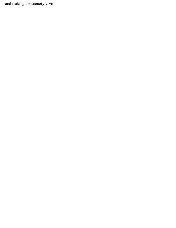and making the scenery vivid.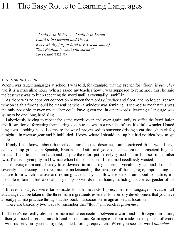## <span id="page-66-0"></span>11 The Easy Route to Learning Languages

*"I said it in Hebrew – I said it in Dutch – I said it in German and Greek; But I wholly forgot (and it vexes me much) That English is what you speak!"* — Lewis Carroll (1832–98)

THAT SINKING FEELING

When I was taught languages at school I was told, for example, that the French for "floor" is *plancher* and it is a masculine noun. When I asked my teacher how I was supposed to remember this, he said the best way was to keep repeating the word until it eventually "sank" in.

As there was no apparent connection between the words *plancher* and floor, and no logical reason why on earth a floor should be masculine when a window was feminine, it seemed to me that this was the only possible answer my teacher could have given me. In other words, learning a language was going to be one long, hard slog.

Laboriously having to repeat the same words over and over again, only to suffer the humiliation and frustration of forgetting them during vocab tests, was not my idea of fun. It's little wonder I hated languages. Looking back, I compare the way I progressed to someone driving a car through thick fog at night – in reverse gear and blindfolded! I knew where I should end up but had no idea how to get there.

If only I had known about the method I am about to describe, I am convinced that I would have achieved top grades in Spanish, French and Latin and gone on to become a competent linguist. Instead, I had to abandon Latin and despite the effort put in, only gained minimal passes in the other two. This is a great pity and I wince when I think back on all the time I needlessly wasted.

The average amount of study time devoted to mastering a foreign vocabulary can and should be severely cut, freeing up more time for understanding the structure of the language, appreciating the culture from which it arose and refining accent. If you follow the steps I am about to outline, it's possible to learn a basic vocabulary of 1,000 words in ten hours, including the correct gender of the nouns.

If ever a subject were tailor-made for the methods I prescribe, it's languages because full advantage can be taken of the three main ingredients essential for memory development that you have already put into practice throughout this book – association, imagination and location.

There are basically two ways to remember that "floor" in French is *plancher*:

1 If there's no really obvious or memorable connection between a word and its foreign translation, then you need to create an artificial association. So imagine a floor made out of planks of wood with its previously unintelligible, coded, foreign equivalent. When you see the word *plancher* in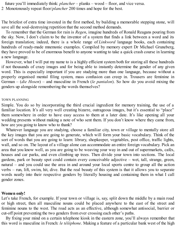future you'll immediately think: *plancher* – planks – wood – floor, and vice versa.

2 Monotonously repeat floor/*plancher* 200 times and hope for the best.

The briefest of extra time invested in the first method, by building a memorable stepping stone, will save all the soul-destroying repetition that the second method demands.

To remember that the German for rain is *Regen*, imagine hundreds of Ronald Reagans pouring from the sky. Now, I don't claim to be the inventor of a system that finds a link between a word and its foreign translation; indeed, there is a whole range of *Linkword* language books, each containing hundreds of ready-made mnemonic examples. Compiled by memory expert Dr Michael Gruneberg, they have proved to be of enormous benefit to anyone wanting to take a quick crash course in learning a new language.

However, what I will put my name to is a highly efficient system both for storing all these hundreds if not thousands of crazy images and for being able to instantly determine the gender of any given word. This is especially important if you are studying more than one language, because without a properly organised mental filing system, mass confusion can creep in. Trousers are feminine in German – (*die Hosen*) – and masculine in French (*le pantalon*). So how do you avoid mixing the genders up alongside remembering the words themselves?

#### TOWN PLANNING

Simple. You do so by incorporating the third crucial ingredient for memory training, the use of a familiar location. It's all very well creating bizarre, outrageous images, but it's essential to "place" them somewhere in order to have easy access to them at a later date. It's like opening all your wedding presents without making a note of who sent them. If you don't know where they came from, how are you going to know who to thank?

Whatever language you are studying, choose a familiar city, town or village to mentally store all the key images that you are going to generate, which will form your basic vocabulary. Think of the sort of words that you are going to learn: library, shopkeeper, vegetables, post office, traffic lights, wall, and so on. The layout of a village alone can accommodate an entire foreign vocabulary. Pick an area that you know well, as you are going to be weaving your way in and out of supermarkets, cafés, houses and car parks, and even climbing up trees. Then divide your town into sections. The local gardens, park or beauty spot could contain every conceivable adjective – wet, tall, strange, green, natural – and you could use the area in and around your local sports centre to group all the action verbs – run, lift, swim, hit, dive. But the real beauty of this system is that it allows you to separate words neatly into their respective genders by literally housing and containing them in what I call gender zones.

#### **Women only!**

Let's take French, for example. If your town or village is, say, split down the middle by a main road or high street, then all masculine nouns could be placed anywhere to the east of the street and feminine nouns to the west. The road acts as an effective, although somewhat antisocial, barrier or cut-off point preventing the two genders from ever crossing each other's paths.

By fixing your mind on a certain telephone kiosk in the eastern zone, you'll always remember that this word is masculine in French: *le téléphone*. Making a feature of a particular bank west of the high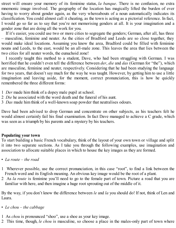street will ensure your memory of its feminine status, *la banque*. There is no confusion, no extra mnemonic image involved. The geography of the location has magically lifted the burden of ever having to worry about gender again, as the very whereabouts of a noun automatically indicates its classification. You could almost call it cheating, as the town is acting as a pictorial reference. In fact, I would go so far as to say that you're not memorising genders at all. It is your imagination and a gender zone that are doing all the work for you.

If it's easier, you could use two or more cities to segregate the genders; German, after all, has three – masculine, feminine and neuter. As the cities of Bradford and Leeds are so close together, they would make ideal locations. Assuming you know the area, Bradford could be filled with feminine nouns and Leeds, to the east, would be an all-male zone. This leaves the area that lies between the two cities for all neuter words, the eunuchoid zone!

I recently taught this method to a student, Dave, who had been struggling with German. I was horrified that he couldn't even tell the difference between *der*, *die* and *das* (German for "the"), which are masculine, feminine and neuter, respectively. Considering that he had been studying the language for two years, that doesn't say much for the way he was taught. However, by getting him to use a little imagination and leaving aside, for the moment, correct pronunciation, this is how he quickly remembered the three different forms:

- 1 *Der* made him think of a dopey male pupil at school.
- 2 *Die* he associated with the word death and the funeral of his aunt.
- 3 *Das* made him think of a well-known soap powder that neutralises odours.

Dave had been advised to drop German and concentrate on other subjects, as his teachers felt he would almost certainly fail his final examination. In fact Dave managed to achieve a C grade, which was seen as a triumph by his parents and a mystery by his teachers.

## **Populating your town**

To start building a basic French vocabulary, think of the layout of your own town or village and split it into two separate sections. As I take you through the following examples, use imagination and association to allocate suitable places in which to house the key images as they are formed.

- *La route – the road*
- 1 Wherever possible, use the correct pronunciation, in this case "root", to find a link between the French word and its English meaning. An obvious key image would be the root of a plant.
- 2 As *la route* is feminine you'll need to go to the female part of town. Picture a road that you are familiar with here, and then imagine a huge root sprouting out of the middle of it.

By the way, if you don't know the difference between *le* and *la* you should do! If not, think of Len and Laura.

- *Le chou – the cabbage*
- 1 As *chou* is pronounced "shoo", use a shoe as your key image.
- 2 This time, though, *le chou* is masculine, so choose a place in the males-only part of town where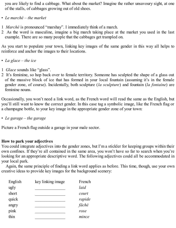you are likely to find a cabbage. What about the market? Imagine the rather unsavoury sight, at one of the stalls, of cabbages growing out of old shoes.

- *Le marché – the market*
- 1 *Marché* is pronounced "marshay". I immediately think of a march.
- 2 As the word is masculine, imagine a big march taking place at the market you used in the last example. There are so many people that the cabbages get trampled on.

As you start to populate your town, linking key images of the same gender in this way all helps to reinforce and anchor the images to their locations.

- *La glace – the ice*
- 1 *Glace* sounds like "glass".
- 2 It's feminine, so hop back over to female territory. Someone has sculpted the shape of a glass out of the massive block of ice that has formed in your local fountain (assuming it's in the female gender zone, of course). Incidentally, both sculpture (*la sculpture*) and fountain (*la fontaine*) are feminine nouns.

Occasionally, you won't need a link word, as the French word will read the same as the English, but you'll still want to know the correct gender. In this case tag a symbolic image, like the French flag or a champagne bottle, to your key image in the appropriate gender zone of your town:

• *Le garage – the garage*

Picture a French flag outside a garage in your male sector.

## **How to park your adjectives**

You could integrate adjectives into the gender zones, but I'm a stickler for keeping groups within their own confines. If they're all contained in the same area, you won't have so far to search when you're looking for an appropriate descriptive word. The following adjectives could all be accommodated in your local park.

Again, the same principle of finding a link word applies as before. This time, though, use your own creative ideas to provide key images for the background scenery:

| English | key linking image | French |
|---------|-------------------|--------|
| ugly    |                   | laid   |
| short   |                   | court  |
| quick   |                   | rapide |
| angry   |                   | fâché  |
| pink    |                   | rose   |
| thin    |                   | mince  |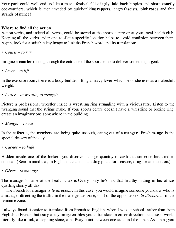Your park could well end up like a music festival full of ugly, **laid**-back hippies and short, **court**ly eco-warriers, which is then invaded by quick-talking **rap**pers, angry **fas**cists, pink **rose**s and thin strands of **mince**!

## **Where to find all the action**

Action verbs, and indeed all verbs, could be stored at the sports centre or at your local health club. Keeping all the verbs under one roof at a specific location helps to avoid confusion between them. Again, look for a suitable key image to link the French word and its translation:

• *Courir – to run*

Imagine a **courier** running through the entrance of the sports club to deliver something urgent.

• *Lever – to lift*

In the exercise room, there is a body-builder lifting a heavy **lever** which he or she uses as a makeshift weight.

• *Lutter – to wrestle, to struggle*

Picture a professional wrestler inside a wrestling ring struggling with a vicious **lute**. Listen to the twanging sound that the strings make. If your sports centre doesn't have a wrestling or boxing ring, create an imaginary one somewhere in the building.

• *Manger – to eat*

In the cafeteria, the members are being quite uncouth, eating out of a **manger**. Fresh **mang**o is the special dessert of the day.

• *Cacher – to hide*

Hidden inside one of the lockers you discover a huge quantity of **cash** that someone has tried to conceal. (Bear in mind that, in English, a cache is a hiding place for treasure, drugs or ammunition.)

• *Gérer – to manage*

The manager's name at the health club is **Ger**ry, only he's not that healthy, sitting in his office quaffing sherry all day.

The French for manager is *le directeur*. In this case, you would imagine someone you know who is a manager **direct**ing the traffic in the male gender zone, or if of the opposite sex, *la directrice*, in the feminine zone.

I always found it easier to translate from French to English, when I was at school, rather than from English to French, but using a key image enables you to translate in either direction because it works literally like a link, a stepping stone, a halfway point between one side and the other. Assuming you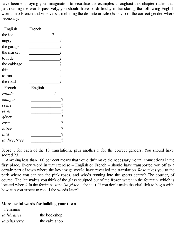have been employing your imagination to visualise the examples throughout this chapter rather than just reading the words passively, you should have no difficulty in translating the following English words into French and vice versa, including the definite article (*la* or *le*) of the correct gender where necessary:

| English     | French                   |
|-------------|--------------------------|
| the ice     | ?                        |
| angry       | ?                        |
| the garage  | $\overline{\mathcal{L}}$ |
| the market  | $\mathcal{P}$            |
| to hide     | $\gamma$                 |
| the cabbage | $\mathcal{P}$            |
| thin        | $\overline{\mathcal{C}}$ |
| to run      | $\overline{\mathcal{C}}$ |
| the road    | ?                        |
|             |                          |
| French      | English                  |
| rapide      | ?                        |
| manger      |                          |
| court       | $\gamma$                 |
| lever       | $\gamma$                 |
| gérer       | $\mathcal{P}$            |
| rose        | $\mathcal{P}$            |
| lutter      | $\overline{\mathcal{C}}$ |
| laid        | $\overline{?}$           |

Score 1 for each of the 18 translations, plus another 5 for the correct genders. You should have scored 23.

Anything less than 100 per cent means that you didn't make the necessary mental connections in the first place. Every word in that exercise – English or French – should have transported you off to a certain part of town where the key image would have revealed the translation. *Rose* takes you to the park where you can see the pink roses, and who's running into the sports centre? The courier, of course. The ice makes you think of the glass sculpted out of the frozen water in the fountain, which is located where? In the feminine zone (*la glace* – the ice). If you don't make the vital link to begin with, how can you expect to recall the words later?

#### **More useful words for building your town**

| Feminine      |               |
|---------------|---------------|
| la librairie  | the bookshop  |
| la pâtisserie | the cake shop |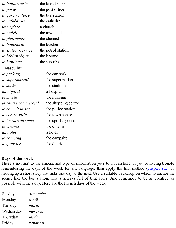| la boulangerie       | the bread shop      |
|----------------------|---------------------|
| la poste             | the post office     |
| la gare routière     | the bus station     |
| la cathédrale        | the cathedral       |
| une église           | a church            |
| la mairie            | the town hall       |
| la pharmacie         | the chemist         |
| la boucherie         | the butchers        |
| la station-service   | the petrol station  |
| la bibliothèque      | the library         |
| la banlieue          | the suburbs         |
| Masculine            |                     |
| le parking           | the car park        |
| le supermarché       | the supermarket     |
| le stade             | the stadium         |
| un hôpital           | a hospital          |
| le musée             | the museum          |
| le centre commercial | the shopping centre |
| le commissariat      | the police station  |
| le centre-ville      | the town centre     |
| le terrain de sport  | the sports ground   |
| le cinéma            | the cinema          |
| un hôtel             | a hotel             |
| le camping           | the campsite        |
| le quartier          | the district        |
|                      |                     |

## **Days of the week**

There's no limit to the amount and type of information your town can hold. If you're having trouble remembering the days of the week for any language, then apply the link method ([chapter](#page-31-0) six) by making up a short story that links one day to the next. Use a suitable backdrop on which to anchor the scene, like the bus station. That's always full of timetables. And remember to be as creative as possible with the story. Here are the French days of the week:

| Sunday    | dimanche |
|-----------|----------|
| Monday    | lundi    |
| Tuesday   | mardi    |
| Wednesday | mercredi |
| Thursday  | jeudi    |
| Friday    | vendredi |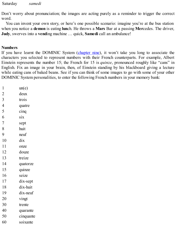Saturday *samedi*

Don't worry about pronunciation; the images are acting purely as a reminder to trigger the correct word.

You can invent your own story, or here's one possible scenario: imagine you're at the bus station when you notice a **demon** is eating **lun**ch. He throws a **Mars** Bar at a passing **Mer**cedes. The driver, **Judy**, swerves into a **vend**ing machine … quick, **Samedi** call an ambulance!

## **Numbers**

If you have learnt the DOMINIC System (*[chapter](#page-44-0) nine*), it won't take you long to associate the characters you selected to represent numbers with their French counterparts. For example, Albert Einstein represents the number 15; the French for 15 is *quinze*, pronounced roughly like "cans" in English. Fix an image in your brain, then, of Einstein standing by his blackboard giving a lecture while eating cans of baked beans. See if you can think of some images to go with some of your other DOMINIC System personalities, to enter the following French numbers in your memory bank:

| 1              | un(e)     |
|----------------|-----------|
| $\overline{2}$ | deux      |
| 3              | trois     |
| $\overline{4}$ | quatre    |
| 5              | cinq      |
| 6              | six       |
| $\overline{7}$ | sept      |
| 8              | huit      |
| 9              | neuf      |
| 10             | dix       |
| 11             | onze      |
| 12             | douze     |
| 13             | treize    |
| 14             | quatorze  |
| 15             | quinze    |
| 16             | seize     |
| 17             | dix-sept  |
| 18             | dix-huit  |
| 19             | dix-neuf  |
| 20             | vingt     |
| 30             | trente    |
| 40             | quarante  |
| 50             | cinquante |
| 60             | soixante  |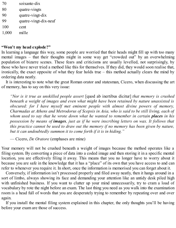| 70    | soixante-dix          |
|-------|-----------------------|
| 80    | quatre-vingts         |
| 90    | quatre-vingt-dix      |
| 99    | quatre-vingt-dix-neuf |
| 100   | cent                  |
| 1,000 | mille                 |
|       |                       |

## **"Won't my head explode?"**

In learning a language this way, some people are worried that their heads might fill up with too many mental images – that their thoughts might in some way get "crowded out" by an overwhelming population of bizarre scenes. These fears and criticisms are usually levelled, not surprisingly, by those who have never tried a method like this for themselves. If they did, they would soon realise that, ironically, the exact opposite of what they fear holds true – this method actually clears the mind by ordering data neatly.

It is interesting to note what the great Roman orator and statesman, Cicero, when discussing the art of memory, has to say on this very issue:

*"Nor is it true as unskilled people assert* [quod ab inertibus dicitur] *that memory is crushed beneath a weight of images and even what might have been retained by nature unassisted is obscured: for I have myself met eminent people with almost divine powers of memory, Charmadas at Athens and Metrodorus of Scepsis in Asia, who is said to be still living, each of whom used to say that he wrote down what he wanted to remember in certain places in his possession by means of images, just as if he were inscribing letters on wax. It follows that this practice cannot be used to draw out the memory if no memory has been given by nature, but it can undoubtedly summon it to come forth if it is in hiding."*

— Cicero, *De Oratore* (emphases are mine)

Your memory will not be crushed beneath a weight of images because the method operates like a filing system. By converting a piece of data into a coded image and then storing it in a specific mental location, you are effectively filing it away. This means that you no longer have to worry about it because you are safe in the knowledge that it has a "place" of its own that you have access to and can refer to whenever you require it. In short, once the information is memorised you can forget about it.

Conversely, if information isn't processed properly and filed away neatly, then it hangs around in a sort of limbo, always showing its face and demanding your attention like an untidy desk piled high with unfinished business. If you want to clutter up your mind unnecessarily, try to cram a load of vocabulary by rote the night before an exam. The last thing you need as you walk into the examination room is a head full of words that you are desperately trying to remember by repeating over and over again.

If you install the mental filing system explained in this chapter, the only thoughts you'll be having before your exam are those of success.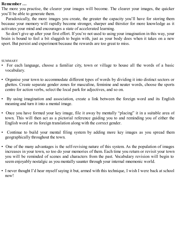## **Remember …**

The more you practise, the clearer your images will become. The clearer your images, the quicker you'll be able to generate them.

Paradoxically, the more images you create, the greater the capacity you'll have for storing them because your memory will rapidly become stronger, sharper and thirstier for more knowledge as it activates your mind and encourages a state of accelerated learning.

So don't give up after your first effort. If you're not used to using your imagination in this way, your brain is bound to feel a bit sluggish to begin with, just as your body does when it takes on a new sport. But persist and experiment because the rewards are too great to miss.

SUMMARY

- For each language, choose a familiar city, town or village to house all the words of a basic vocabulary.
- Organise your town to accommodate different types of words by dividing it into distinct sectors or ghettos. Create separate gender zones for masculine, feminine and neuter words, choose the sports centre for action verbs, select the local park for adjectives, and so on.
- By using imagination and association, create a link between the foreign word and its English meaning and turn it into a mental image.
- Once you have formed your key image, file it away by mentally "placing" it in a suitable area of town. This will then act as a pictorial reference guiding you to and reminding you of either the English word or its foreign translation along with the correct gender.
- Continue to build your mental filing system by adding more key images as you spread them geographically throughout the town.
- One of the many advantages is the self-revising nature of this system. As the population of images increases in your town, so too do your memories of them. Each time you return or revisit your town you will be reminded of scenes and characters from the past. Vocabulary revision will begin to seem enjoyably nostalgic as you mentally saunter through your internal mnemonic world.
- I never thought I'd hear myself saying it but, armed with this technique, I wish I were back at school now!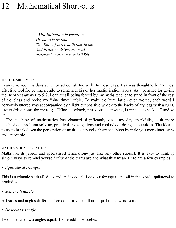# 12 Mathematical Short-cuts

*"Multiplication is vexation, Division is as bad; The Rule of three doth puzzle me And Practice drives me mad."* — anonymous Elizabethan manuscript (1570)

## MENTAL ARITHMETIC

I can remember my days at junior school all too well. In those days, fear was thought to be the most effective tool for getting a child to remember his or her multiplication tables. As a penance for giving the incorrect answer to 9 7, I can recall being forced by my maths teacher to stand in front of the rest of the class and recite my "nine times" table. To make the humiliation even worse, each word I nervously uttered was accompanied by a light but positive whack to the backs of my legs with a ruler, just to drive home the message. "Nine … whack, times one … thwack, is nine … whack …" and so on.

The teaching of mathematics has changed significantly since my day, thankfully, with more emphasis on problem-solving, practical investigations and methods of doing calculations. The idea is to try to break down the perception of maths as a purely abstract subject by making it more interesting and enjoyable.

## MATHEMATICAL DEFINITIONS

Maths has its jargon and specialised terminology just like any other subject. It is easy to think up simple ways to remind yourself of what the terms are and what they mean. Here are a few examples:

• *Equilateral triangle*

This is a triangle with all sides and angles equal. Look out for **equal** and **all** in the word **equil**ater**al** to remind you.

• *Scalene triangle*

All sides and angles different. Look out for **s**ides **al**l **n**ot **e**qual in the word **s**c**al**e**ne**.

• *Isosceles triangle*

Two sides and two angles equal. **1 s**ide **o**dd – **iso**sceles.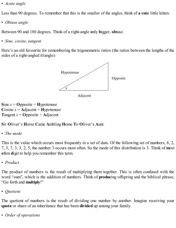• *Acute angle*

Less than 90 degrees. To remember that this is the smaller of the angles, think of **a cute** little kitten.

• *Obtuse angle*

Between 90 and 180 degrees. Think of a right-angle **o**nly **b**igger, **ob**tuse.

• *Sine, cosine, tangent*

Here's an old favourite for remembering the trigonometric ratios (the ratios between the lengths of the sides of a right-angled triangle):





**Sine**  $x =$  **Opposite**  $\div$  **<b>Hypotenuse Cosine**  $x =$  **Adjacent ÷ <b>H**ypotenuse **Tangent**  $x =$  **Opposite**  $\div$  **Adjacent** 

**S**ir **O**liver's **H**orse **C**ame **A**mbling **H**ome **T**o **O**liver's **A**unt.

• *The mode*

This is the value which occurs most frequently in a set of data. Of the following set of numbers, 6, 2, 7, 3, 7, 3, 3, 2, 5, the number 3 occurs most often. So the mode of this distribution is 3. Think of **m**ost **o**ften **d**igit to help you remember this term.

• *Product*

The product of numbers is the result of multiplying them together. This is often confused with the word "sum", which is the addition of numbers. Think of **produc**ing offspring and the biblical phrase, "Go forth and **multiply**!"

• *Quotient*

The quotient of numbers is the result of dividing one number by another. Imagine receiving your **quota** or share of an inheritance that has been **divided** up among your family.

• *Order of operations*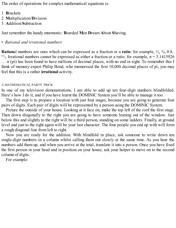The order of operations for complex mathematical equations is:

- 1 **B**rackets
- 2 **M**ultiplication/**D**ivision
- 3 **A**ddition/**S**ubtraction

Just remember the handy mnemonic: **B**earded **M**en **D**ream **A**bout **S**having.

# • *Rational and irrational numbers*

**Ration**al numbers are ones which can be expressed as a fraction or a **ratio**: for example, ½, ¾, 0.8, <sup>17</sup>/<sub>2</sub>. Irrational numbers cannot be expressed as either a fraction or a ratio: for example,  $\pi$  = 3.1415926  $\ldots$   $\pi$  (pi) has been found to have millions of decimal places, with no end in sight. To remember this I think of memory expert Philip Bond, who memorised the first 10,000 decimal places of pi; you may feel that this is a rather **irrational** activity.

## A MATHEMATICAL PARTY TRICK

In one of my television demonstrations, I am able to add up ten four-digit numbers blindfolded. Here's how I do it, and if you have learnt the DOMINIC System you'll be able to manage it too.

The first step is to prepare a location with just four stages, because you are going to generate four pairs of digits. Each pair of digits will be represented by a person using the DOMINIC System.

Picture the outside of your house. Looking at it face on, make the top left of the roof the first stage. Then down diagonally to the right you are going to have someone leaning out of the window. Just below this and slightly to the right will be a third person, standing on some ladders. Finally, at ground level and just to the right again will be your last character. The four people you end up with will form a rough diagonal line from left to right.

Now you are ready for the addition. With blindfold in place, ask someone to write down ten single-digit numbers in a column whilst calling them out slowly at the same time. As you hear the numbers add them up, and when you arrive at the total, translate it into a person. Once you have fixed the first person in your head and in position on your house, ask your helper to move on to the second column of digits.

For example: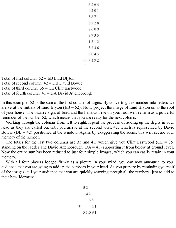Total of first column:  $52 = EB$  Enid Blyton Total of second column: 42 = DB David Bowie Total of third column:  $35 = CE$  Clint Eastwood Total of fourth column: 41 = DA David Attenborough

In this example, 52 is the sum of the first column of digits. By converting this number into letters we arrive at the initials of Enid Blyton ( $EB = 52$ ). Now, project the image of Enid Blyton on to the roof of your house. The bizarre sight of Enid and the Famous Five on your roof will remain as a powerful reminder of the number 52, which means that you are ready for the next column.

Working through the columns from left to right, repeat the process of adding up the digits in your head as they are called out until you arrive at the second total, 42, which is represented by David Bowie ( $DB = 42$ ) positioned at the window. Again, by exaggerating the scene, this will secure your memory of the number.

The totals for the last two columns are 35 and 41, which give you Clint Eastwood (CE =  $35$ ) standing on the ladder and David Attenborough ( $DA = 41$ ) supporting it from below at ground level. Now the entire sum has been reduced to just four simple images, which you can easily retain in your memory.

With all four players lodged firmly as a picture in your mind, you can now announce to your audience that you are going to add up the numbers in your head. As you prepare by reminding yourself of the images, tell your audience that you are quickly scanning through all the numbers, just to add to their bewilderment.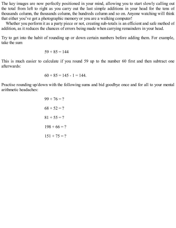The key images are now perfectly positioned in your mind, allowing you to start slowly calling out the total from left to right as you carry out the last simple additions in your head for the tens of thousands column, the thousands column, the hundreds column and so on. Anyone watching will think that either you've got a photographic memory or you are a walking computer!

Whether you perform it as a party piece or not, creating sub-totals is an efficient and safe method of addition, as it reduces the chances of errors being made when carrying remainders in your head.

Try to get into the habit of rounding up or down certain numbers before adding them. For example, take the sum

$$
59+85=144
$$

This is much easier to calculate if you round 59 up to the number 60 first and then subtract one afterwards:

$$
60 + 85 = 145 - 1 = 144.
$$

Practise rounding up/down with the following sums and bid goodbye once and for all to your mental arithmetic headaches:

> $99 + 76 = ?$  $68 + 52 = ?$  $81 + 55 = ?$  $198 + 66 = ?$  $151 + 75 = ?$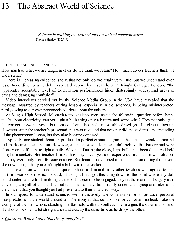# 13 The Abstract World of Science

*"Science is nothing but trained and organized common sense …"* — Thomas Huxley (1825–95)

#### RETENTION AND UNDERSTANDING

How much of what we are taught in class do we think we retain? How much do our teachers think we understand?

There is increasing evidence, sadly, that not only do we retain very little, but we understand even less. According to a widely respected report by researchers at King's College, London, "the apparently acceptable level of examination performances hides disturbingly widespread areas of gross and damaging confusion".

Video interviews carried out by the Science Media Group in the USA have revealed that the message imparted by teachers during lessons, especially in the sciences, is being misinterpreted, partly owing to our own preconceived ideas about the universe.

At Saugus High School, Massachusetts, students were asked the following question before being taught about electricity: can you light a bulb using only a battery and some wire? They not only gave the correct answer – yes – but some of them also made reasonable drawings of a circuit diagram. However, after the teacher's presentation it was revealed that not only did the students' understanding of the phenomenon lessen, but they also became confused.

Typically, one student, Jennifer, produced a perfect circuit diagram – the sort that would command full marks in an examination. However, after the lesson, Jennifer didn't believe that battery and wire alone were sufficient to light a bulb. Why not? During the class, light bulbs had been displayed held upright in sockets. Her teacher Jim, with twenty-seven years of experience, assumed it was obvious that they were only there for convenience. But Jennifer developed a misconception during the lesson: she now thought that you can't light a bulb without a socket.

This revelation was to come as quite a shock to Jim and many other teachers who agreed to take part in these experiments. He said, "I thought I had got this thing down to the point where any dolt could understand what I'm doing … the kids appear to be engaged, they sit there and nod sagely as if they're getting all of this stuff … but it seems that they didn't really understand, grasp and internalise the concept that you thought you had presented to them in a clear way."

In our quest to understand science, we instinctively use common sense to produce personal interpretations of the world around us. The irony is that common sense can often mislead. Take the example of the man who is standing in a flat field with two bullets, one in a gun, the other in his hand. He shoots the one bullet straight ahead at exactly the same time as he drops the other.

• *Question: Which bullet hits the ground first?*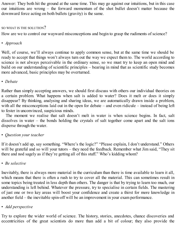Answer: They both hit the ground at the same time. This may go against our intuitions, but in this case our intuitions are wrong – the forward momentum of the shot bullet doesn't matter because the downward force acting on both bullets (gravity) is the same.

## SO WHAT IS THE SOLUTION?

How are we to control our wayward misconceptions and begin to grasp the rudiments of science?

# • *Approach*

Well, of course, we'll always continue to apply common sense, but at the same time we should be ready to accept that things won't always turn out the way we expect them to. The world according to science is not always perceivable in the ordinary sense, so we must try to keep an open mind and build on our understanding of scientific principles – bearing in mind that as scientific study becomes more advanced, basic principles may be overturned.

# • *Debate*

Rather than simply accepting answers, we should first discuss with others our individual theories on a certain problem. What happens when salt is added to water? Does it melt or does it simply disappear? By thinking, analysing and sharing ideas, we are automatically drawn inside a problem, with all the misconceptions laid out in the open for debate – and even ridicule – instead of being left to fester in unconvinced, suspicious minds.

The moment we realise that salt doesn't melt in water is when science begins. In fact, salt dissolves in water – the bonds holding the crystals of salt together come apart and the salt ions disperse through the water.

# • *Question your teacher*

If it doesn't add up, say something. "Where's the logic?" "Please explain, I don't understand." Others will be grateful and so will your tutors – they need the feedback. Remember what Jim said, "They sit there and nod sagely as if they're getting all of this stuff." Who's kidding whom?

# • *Be selective*

Inevitably, there is always more material in the curriculum than there is time available to learn it all, which means that there is often a rush to try to cover all the material. This can sometimes result in some topics being treated in less depth than others. The danger is that by trying to learn too much, our understanding is left behind. Whatever the pressure, try to specialise in certain fields. The mastering of just one or two key areas will boost your confidence and create a thirst for more knowledge in another field – the inevitable spin-off will be an improvement in your exam performance.

## • *Add perspective*

Try to explore the wider world of science. The history, stories, anecdotes, chance discoveries and eccentricities of the great scientists do more than add a bit of colour; they also provide the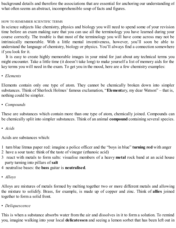background details and therefore the associations that are essential for anchoring our understanding of what often seems an abstract, incomprehensible soup of facts and figures.

## HOW TO REMEMBER SCIENTIFIC TERMS

In science subjects like chemistry, physics and biology you will need to spend some of your revision time before an exam making sure that you can use all the terminology you have learned during your course correctly. The trouble is that most of the terminology you will have come across may not be intrinsically memorable. With a little mental inventiveness, however, you'll soon be able to understand the language of chemistry, biology or physics. You'll always find a connection somewhere if you look for it.

It is easy to create highly memorable images in your mind for just about any technical terms you might encounter. Take a little time (it doesn't take long) to make yourself a list of memory aids for the key terms you will need in the exam. To get you in the mood, here are a few chemistry examples:

## • *Elements*

Elements contain only one type of atom. They cannot be chemically broken down into simpler substances. Think of Sherlock Holmes' famous exclamation, "**Element**ary, my dear Watson" – that is, nothing could be simpler.

# • *Compounds*

These are substances which contain more than one type of atom, chemically joined. Compounds can be chemically split into simpler substances. Think of an animal **compound** containing several species.

## • *Acids*

Acids are substances which:

- 1 turn blue litmus paper red: imagine a police officer and the "boys in blue" **turning red** with anger
- 2 have a sour taste: think of the taste of vinegar (ethanoic acid)
- 3 react with metals to form salts: visualise members of a heavy **metal** rock band at an acid house party turning into pillars of **salt**
- 4 neutralise bases: the **bass** guitar is **neutralised**.

## • *Alloys*

Alloys are mixtures of metals formed by melting together two or more different metals and allowing the mixture to solidify. Brass, for example, is made up of copper and zinc. Think of **allies** joined together to form a solid front.

• *Deliquescence*

This is when a substance absorbs water from the air and dissolves in it to form a solution. To remind you, imagine walking into your local **delicatessen** and seeing a lemon sorbet that has been left out in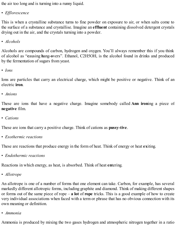the air too long and is turning into a runny liquid.

• *Ef lorescence*

This is when a crystalline substance turns to fine powder on exposure to air, or when salts come to the surface of a substance and crystallise. Imagine an **effluent** containing dissolved detergent crystals drying out in the air, and the crystals turning into a powder.

• *Alcohols*

Alcohols are compounds of carbon, hydrogen and oxygen. You'll always remember this if you think of alcohol as "**c**ausing **h**ang-**o**vers". Ethanol, C2H5OH, is the alcohol found in drinks and produced by the fermentation of sugars from yeast.

• *Ions*

Ions are particles that carry an electrical charge, which might be positive or negative. Think of an electric **iron**.

• *Anions*

These are ions that have a negative charge. Imagine somebody called **Ann iron**ing a piece of **negative** film.

• *Cations*

These are ions that carry a positive charge. Think of cations as **pussy-tive**.

• *Exothermic reactions*

These are reactions that produce energy in the form of heat. Think of energy or heat **ex**iting.

• *Endothermic reactions*

Reactions in which energy, as heat, is absorbed. Think of heat **en**tering.

• *Allotrope*

An allotrope is one of a number of forms that one element can take. Carbon, for example, has several markedly different allotropic forms, including graphite and diamond. Think of making different shapes or forms out of the same piece of rope – **a lot** of **rope** tricks. This is a good example of how to create very individual associations when faced with a term or phrase that has no obvious connection with its own meaning or definition.

• *Ammonia*

Ammonia is produced by mixing the two gases hydrogen and atmospheric nitrogen together in a ratio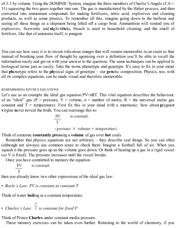of 3:1 by volume. Using the DOMINIC System, imagine the three members of Charlie's Angels (CA = 31) squeezing the two gases together into one. The gas is manufactured by the Haber process, and then converted into ammonium compounds for making fertilisers, nitric acid, explosives and cleaning products, as well as some plastics. To remember all this, imagine going down to the harbour and seeing all these things as a shipment being lifted off a cargo boat. Ammunition will remind you of explosives, fireworks and **ni**ght **tric**ks, bleach is used in household cleaning, and the smell of fertiliser, like that of ammonia itself, is pungent.

You can see how easy it is to invent ridiculous images that will remain memorable in an exam so that instead of breaking your flow of thought by agonising over a definition you'll be able to recall the information easily and get on with your answer to the question. The same techniques can be applied to biological terms just as easily. Take the terms phenotype and genotype. It's easy to fix in your mind that **ph**enotype refers to the **ph**ysical signs of genotype – our **gen**etic composition. Physics, too, with all its complex equations, can be made visual and therefore memorable.

## REMEMBERING PHYSICS EQUATIONS

Let's use as an example the ideal gas equation PV=nRT. This vital equation describes the behaviour of an "ideal" gas ( $\overline{P}$  = pressure,  $\overline{V}$  = volume, n = number of moles, R = the universal molar gas constant and  $T =$  temperature). First fix this in your mind with a mnemonic: how about **pregnant v**irgins **n**ever **r**eveal the **t**ruth. You can rearrange this to:

> $\frac{PV}{T}$  is constant. (pressure  $\times$  volume  $\div$  temperature)

Think of someone **constantly press**ing a **volume** of gas over **hot** coals.

Remember that physics equations are not arbitrary – they describe real things. So you can often (although not always) use common sense to check them. Imagine a football full of air. When you squash it the pressure goes up as the volume goes down. Or think of heating up a gas in a rigid vessel (so V is fixed). The pressure increases until the vessel breaks.

Once you have committed to memory the equation

 $\frac{PV}{T}$ is constant

then you already know two other expressions of the ideal gas law:

• *Boyle's Law: PV is constant at constant T*

Think of water **boil**ing at a constant temperature.

• *Charles's Law: is constant for fixed P*

Think of Prince **Charles** under constant media pressure.

These memory exercises can be taken even further. Returning to the world of chemistry, if you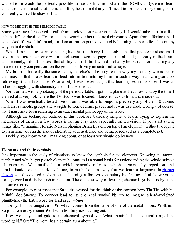wanted to, it would be perfectly possible to use the link method and the DOMINIC System to learn the entire periodic table of elements off by heart – not that you'll need to for a chemistry exam, but if you really wanted to show off …

## HOW TO MEMORISE THE PERIODIC TABLE

Some years ago I received a call from a television researcher asking if I would take part in a live "phone in" on daytime TV for students worried about taking their exams. Apart from offering tips, I was asked if I wouldn't mind, for demonstration purposes, quickly learning the periodic table on my way up to the studios.

When I'm asked to learn something like this in a hurry, I can only think that people must assume I have a photographic memory – a quick scan down the page and it's all lodged neatly in the brain. Unfortunately, I don't possess that ability and if I did I would probably be barred from entering any future memory competitions on the grounds of having an unfair advantage.

My brain is basically the same as anyone else's. The only reason why my memory works better than most is that I have learnt to feed information into my brain in such a way that I can guarantee retrieving it at a later date. What a pity I was never taught this learning technique when I was at school struggling with chemistry and all its elements.

Well, armed with a photocopy of the periodic table, I got on a plane at Heathrow and by the time I arrived at Liverpool, where the TV studio was located, I knew it back to front and inside out.

When I was eventually tested live on air, I was able to pinpoint precisely any of the 110 atomic numbers, symbols, groups and weights to four decimal places and it was assumed, wrongly of course, that I must have been referring to an exact mental photocopy of the table.

Although the techniques outlined in this book are basically simple to learn, trying to explain the mechanics of them in a few words is not an easy task, especially on television. If you start saying things like, "I imagine Horatio Nelson phoning Brian Epstein on top of an elephant" without adequate explanation, you run the risk of alienating your audience and being perceived as a complete nut.

Luckily, you know what I'm talking about, or at least you should do by now!

## **Elements and their symbols**

It is important in the study of chemistry to know the symbols for the elements. Knowing the atomic number and which group each element belongs to is a sound basis for understanding the whole subject of chemistry. We usually learn which symbols refer to which elements by repetition and [familiarisation](#page-66-0) over a period of time, in much the same way that we learn a language. In chapter eleven you discovered a short cut to learning a foreign vocabulary by finding a link between the foreign word and its English translation. The quickest way of learning chemical symbols is by using the same method.

For example, to remember that **Sn** is the symbol for **tin**, think of the cartoon hero **Tin Tin** with his faithful dog **Sn**owy. To connect **lead** to its chemical symbol **Pb**, try to imagine a **lead**-weighted **plumb**-line (the Latin word for lead is *plumbum*).

The symbol for **tungsten** is **W**, which comes from the name of one of the metal's ores: **Wolfram**. So picture a crazy mutant **Wolf** with **ten tongues** sticking out.

How would you link **gold** to its chemical symbol **Au**? What about: "I like the **au**ral ring of the word gold." Or: "The metal has a certain **au**ra about it."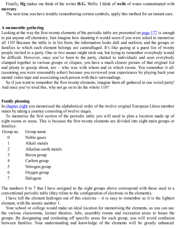Finally, **Hg** makes me think of the writer **H.G.** Wells; I think of **wells** of water contaminated with **mercury**.

The next time you have trouble remembering certain symbols, apply this method for an instant cure.

## **A memorable gathering**

Looking at the way the first twenty elements of the periodic table are presented on [page](#page-90-0) 177 is enough to put anyone off chemistry. Just imagine how daunting it would seem if you were asked to memorise all 110! Because the table is in list form, the information looks dull and uniform, and the groups or families to which each element belongs are camouflaged. It's like gazing at a guest list of twenty people invited to a party. One or two names might stick out, but trying to remember everybody would be difficult. However, once you've been to the party, chatted to individuals and seen everybody clumped together in various groups or cliques, you have a much clearer picture of that original list and plenty to gossip about, too – who was with whom and in which rooms. You remember it all (assuming you were reasonably sober) because you reviewed your experiences by playing back your mental video tape and associating each person with their surroundings.

So if you want to remember the first twenty elements, imagine them all gathered at one weird party! And once you've tried this, why not go on to do the whole 110?

## **Family planning**

In [chapter](#page-38-0) eight you memorised the alphabetical order of the twelve original European Union member states by taking a journey consisting of twelve stages.

To memorise the first section of the periodic table you will need to plan a location made up of eight rooms or areas. This is because the first twenty elements are divided into eight main groups or families:

| Group no. | Group name |
|-----------|------------|
|-----------|------------|

| $\overline{0}$ | Noble gases |
|----------------|-------------|
|----------------|-------------|

- 1 Alkali metals
- 2 Alkaline-earth metals
- 3 Boron group
- 4 Carbon group
- 5 Nitrogen group
- 6 Oxygen group
- 7 Halogens

The numbers 0 to 7 that I have assigned to the eight groups above correspond with those used in a conventional periodic table (they relate to the configuration of electrons in the elements).

I have left the element hydrogen out of this exercise – it is easy to remember as it is the lightest element, with the atomic number 1.

Your school or college would make an ideal location for memorising the elements, as you can use the various classrooms, lecture theatres, labs, assembly rooms and recreation areas to house the groups. By designating and cordoning off specific areas for each group, you will avoid confusion between families. Your understanding and knowledge of the elements will be greatly enhanced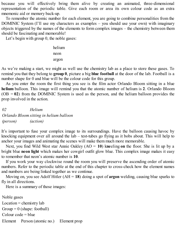because you will effectively bring them alive by creating an animated, three-dimensional representation of the periodic table. Give each room or area its own colour code as an extra mnemonic aid or memory back-up.

To remember the atomic number for each element, you are going to combine personalities from the DOMINIC System (I'll use my characters as examples – you should use your own) with imaginary objects triggered by the names of the elements to form complex images – the chemistry between them should be fascinating and memorable!

Let's begin with group 0, the noble gases:

helium neon argon

As we're making a start, we might as well use the chemistry lab as a place to store these gases. To remind you that they belong to **group 0**, picture a big **blue football** at the door of the lab. Football is a number shape for 0 and blue will be the colour code for this group.

As you enter the room the first thing you see is the film actor Orlando Bloom sitting in a blue **helium** balloon. This image will remind you that the atomic number of helium is **2**. Orlando Bloom  $(OB = 02)$  from the DOMINIC System is used as the person, and the helium balloon provides the prop involved in the action.

*02 Helium Orlando Bloom sitting in helium balloon (person) (action)*

It's important to fuse your complex image to its surroundings. Have the balloon causing havoc by knocking equipment over all around the lab – test-tubes go flying as it bobs about. This will help to anchor your images and animating the scenes will make them much more memorable.

Next, you find Wild West star Annie Oakley (AO = **10**) k**ne**eling **on** the floor. She is lit up by a bright blue **neon light** which makes her cowgirl outfit glow blue. This complex image makes it easy to remember that neon's atomic number is **10**.

If you work your way clockwise round the room you will preserve the ascending order of atomic numbers. Refer to the periodic table at the end of this chapter to cross-check how the element names and numbers are being linked together as we continue.

Moving on, you see Adolf Hitler (AH = **18**) doing a spot of **argon** welding, causing blue sparks to fly in all directions.

Here is a summary of those images:

```
Noble gases
Location = chemistry lab
Group = 0 (shape: football)
Colour code = blueElement Person (atomic no.) Element prop
```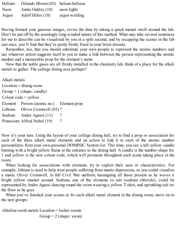| Helium | Orlando Bloom (02) helium balloon |               |
|--------|-----------------------------------|---------------|
| Neon   | Annie Oakley (10)                 | neon lights   |
| Argon  | Adolf Hitler (18)                 | argon welding |

Having formed your gaseous images, revise the data by taking a quick mental stroll around the lab. Don't be put off by the seemingly long-winded nature of this method. What may take several sentences for me to describe can be visualised by you in a split second, and by recapping the scenes in the lab just once, you'll find that they're pretty firmly fixed in your brain already.

Remember, too, that you should substitute your own people to represent the atomic numbers and use whatever action suggests itself to you to make a link between the person representing the atomic number and a memorable prop for the element's name.

Now that the noble gases are all firmly installed in the chemistry lab, think of a place for the alkali metals to gather. The college dining area perhaps?

Alkali metals  $Location = \dim\$ room Group  $= 1$  (shape: candle) Colour code = yellow Element Person (atomic no.) Element prop Lithium Oliver Cromwell (03)? Sodium Andre Agassi (11) ? Potassium Alfred Nobel (19) ?

Now it's your turn. Using the layout of your college dining hall, try to find a prop or association for each of the three alkali metal elements and an action to link it to each of the atomic number personalities from your own personal DOMINIC System list. This time, you see a tall yellow candle burning with a bright yellow flame at the entrance to the dining hall. A candle is the number shape for 1 and yellow is the new colour code, which will permeate throughout each scene taking place in the room.

When looking for associations with elements, try to exploit their uses or characteristics. For example, lithium is used to help treat people suffering from manic-depression, so you could visualise a manic Oliver Cromwell, in full Civil War uniform, haranguing all those present as he waves a bright yellow musket around. Sodium, one of the elements in salt (sodium chloride), could be represented by Andre Agassi dancing round the room wearing a yellow T-shirt, and sprinkling salt on the floor as he goes.

When you've finished your scenes to fix each alkali metal element in the dining room, move on to the next groups:

Alkaline-earth metals Location = locker rooms Group  $= 2$  (shape: swan)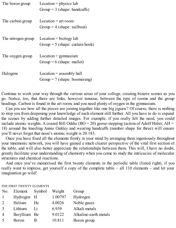| The boron group    | Location $=$ physics lab<br>Group = $3$ (shape: handcuffs)    |
|--------------------|---------------------------------------------------------------|
| The carbon group   | $Location = art room$<br>Group = 4 (shape: sailboat)          |
| The nitrogen group | $Location = biology$ lab<br>Group = $5$ (shape: curtain hook) |
| The oxygen group   | $Location = gymnasium$<br>Group = $6$ (shape: mallet)         |
| Halogens           | $Location = assembly hall$<br>Group = 7 (shape: boomerang)    |

Continue to work your way through the various areas of your college, creating bizarre scenes as you go. Notice, too, that there are links, however tenuous, between the type of rooms and the group headings. Carbon is found in the art room, and you need plenty of oxygen in the gymnasium.

Can you see how all the pieces are joining together like one big jigsaw? Of course, there is nothing to stop you from deepening your knowledge of each element still further. All you have to do is expand the scenes by adding further detailed images. For example, if you really felt the need, you could include atomic weights. A crazed Bill Oddie ( $BO = 20$ ) goose-stepping (action of Adolf Hitler;  $AH =$ 18) around the kneeling Annie Oakley and wearing handcuffs (number shape for three) will ensure you'll never forget that neon's atomic weight is 20.183.

Once you have fixed all the elements firmly in your mind by arranging them ingeniously throughout your mnemonic network, you will have gained a much clearer perspective of the vital first section of the table, and will also better appreciate the relationships between them. This will, I have no doubt, greatly facilitate your understanding of chemistry when you come to study the intricacies of molecular structures and chemical reactions.

<span id="page-90-0"></span>And once you've memorised the first twenty elements in the periodic table (listed right), if you really want to impress, get yourself a copy of the complete table – all 110 elements – and let your imagination go wild!

|                | THE FINST TWENTT ELEMENTS |              |         |                       |
|----------------|---------------------------|--------------|---------|-----------------------|
| No.            | Element                   | Symbol       | Weight  | Group                 |
|                | Hydrogen H                |              | 1.00797 | Hydrogen              |
| $\overline{2}$ | Helium                    | He           | 4.0026  | Noble gases           |
| $\mathcal{R}$  | Lithium                   | $\mathbf{I}$ | 6.939   | Alkali metals         |
| $\overline{4}$ | Beryllium Be              |              | 9.0122  | Alkaline-earth metals |
|                | <b>Boron</b>              | R            | 10.811  | Boron group           |

#### THE FIRST TWENTY ELEMENTS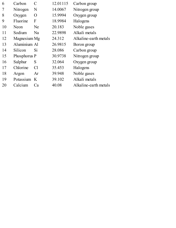| 6  | Carbon       | C   | 12.01115 | Carbon group          |
|----|--------------|-----|----------|-----------------------|
| 7  | Nitrogen     | N   | 14.0067  | Nitrogen group        |
| 8  | Oxygen       | O   | 15.9994  | Oxygen group          |
| 9  | Fluorine     | F   | 18.9984  | Halogens              |
| 10 | Neon         | Ne. | 20.183   | Noble gases           |
| 11 | Sodium       | Na  | 22.9898  | Alkali metals         |
| 12 | Magnesium Mg |     | 24.312   | Alkaline-earth metals |
| 13 | Aluminium Al |     | 26.9815  | Boron group           |
| 14 | Silicon      | Si  | 28.086   | Carbon group          |
| 15 | Phosphorus P |     | 30.9738  | Nitrogen group        |
| 16 | Sulphur      | S   | 32.064   | Oxygen group          |
| 17 | Chlorine     | C1  | 35.453   | Halogens              |
| 18 | Argon        | Ar  | 39.948   | Noble gases           |
| 19 | Potassium    | K   | 39.102   | Alkali metals         |
| 20 | Calcium      | Ca  | 40.08    | Alkaline-earth metals |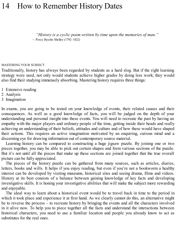# 14 How to Remember History Dates

*"History is a cyclic poem written by time upon the memories of man."* — Percy Bysshe Shelley (1792–1822)

### MASTERING YOUR SUBJECT

Traditionally, history has always been regarded by students as a hard slog. But if the right learning strategy were used, not only would students achieve higher grades by doing less work; they would also find their studying immensely absorbing. Mastering history requires three things:

- 1 Extensive reading
- 2 Analysis
- 3 Imagination

In exams, you are going to be tested on your knowledge of events, their related causes and their consequences. As well as a good knowledge of facts, you will be judged on the depth of your understanding and personal insight into these events. You will need to recreate the past by having an empathy with the major players and ordinary people of the time, getting inside their heads and really achieving an understanding of their beliefs, attitudes and culture and of how these would have shaped their actions. This requires an active imagination motivated by an enquiring, curious mind and a discerning eye for drawing information out of contemporary source material.

Learning history can be compared to constructing a huge jigsaw puzzle. By joining one or two pieces together, you may be able to pick out certain shapes and form various sections of the puzzle. But it's not until all the pieces that make up these sections are joined together that the true overall picture can be fully appreciated.

The pieces of the history puzzle can be gathered from many sources, such as articles, diaries, letters, books and wills. It helps if you enjoy reading, but even if you're not a bookworm a healthy interest can be developed by visiting museums, historical sites and seeing drama, films and videos. History at its best consists of a balance between gaining knowledge of key facts and developing investigative skills. It is honing your investigative abilities that will make the subject more rewarding and enjoyable.

The ideal way to learn about a historical event would be to travel back in time to the period in which it took place and experience it at first hand. As we clearly cannot do this, an alternative might be to reverse the process – to recreate history by bringing the events and all the characters involved in it alive now. To help you to piece together all the facts and understand the interactions between historical characters, you need to use a familiar location and people you already know to act as substitutes for the real ones.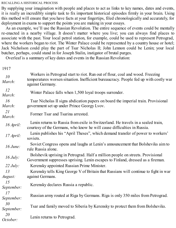#### RECALLING A HISTORICAL PROCESS

By supplying your imagination with people and places to act as links to key names, dates and events, it is really an incredibly simple task to fix important historical episodes firmly in your brain. Using this method will ensure that you have facts at your fingertips, filed chronologically and accurately, for deployment in exams to support the points you are making in your essays.

As an example, we'll use the Russian Revolution. The entire sequence of events could be mentally re-enacted in a nearby village. It doesn't matter where you live; you can always find places to associate with the past. Your local petrol station, for example, could be used to represent Petrograd, where the workers began to riot. The Winter Palace could be represented by a country house or hotel; Jack Nicholson could play the part of Tsar Nicholas II; John Lennon could be Lenin; your local butcher, perhaps, could stand in for Joseph Stalin, instigator of brutal purges.

Overleaf is a summary of key dates and events in the Russian Revolution:

1917

| 10<br>March:     | Workers in Petrograd start to riot. Run out of flour, coal and wood. Freezing<br>temperatures worsen situation. Inefficient bureaucracy. People fed up with costly war<br>against Germany. |
|------------------|--------------------------------------------------------------------------------------------------------------------------------------------------------------------------------------------|
| 12<br>March:     | Winter Palace falls when 1,500 loyal troops surrender.                                                                                                                                     |
| 16<br>March:     | Tsar Nicholas II signs abdication papers on board the imperial train. Provisional<br>government set up under Prince Georgy Lvov.                                                           |
| 21<br>March:     | Former Tsar and Tsarina arrested.                                                                                                                                                          |
| 16 April:        | Lenin returns to Russia from exile in Switzerland. He travels in a sealed train,<br>courtesy of the Germans, who know he will cause difficulties in Russia.                                |
| 17 April:        | Lenin publishes his "April Theses", which demand transfer of power to workers'<br>soviets.                                                                                                 |
| $16$ June:       | Soviet Congress opens and laughs at Lenin's announcement that Bolsheviks aim to<br>rule Russia alone.                                                                                      |
| $16$ July:       | Bolshevik uprising in Petrograd. Half a million people on streets. Provisional<br>Government suppresses uprising. Lenin escapes to Finland, dressed as a fireman.                          |
| $22 \, July:$    | Kerensky appointed Russian Prime Minister.                                                                                                                                                 |
| 13               | Kerensky tells King George V of Britain that Russians will continue to fight in war                                                                                                        |
| August:          | against Germans.                                                                                                                                                                           |
| 15<br>September: | Kerensky declares Russia a republic.                                                                                                                                                       |
| 17<br>September: | Russian army routed at Riga by Germans. Riga is only 350 miles from Petrograd.                                                                                                             |
| 30<br>September: | Tsar and family moved to Siberia by Kerensky to protect them from Bolsheviks.                                                                                                              |
| 20<br>October:   | Lenin returns to Petrograd.                                                                                                                                                                |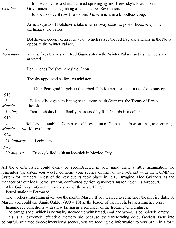| 23<br>October:           | Bolsheviks vote to start an armed uprising against Kerensky's Provisional<br>Government. The beginning of the October Revolution. |
|--------------------------|-----------------------------------------------------------------------------------------------------------------------------------|
|                          | Bolsheviks overthrow Provisional Government in a bloodless coup.                                                                  |
|                          | Armed squads of Bolsheviks take over railway stations, post offices, telephone<br>exchanges and banks.                            |
|                          | Bolsheviks occupy cruiser <i>Aurora</i> , which raises the red flag and anchors in the Neva<br>opposite the Winter Palace.        |
| 7<br>November:           | <i>Aurora</i> fires blank shell. Red Guards storm the Winter Palace and its members are<br>arrested.                              |
|                          | Lenin heads Bolshevik regime. Leon                                                                                                |
|                          | Trotsky appointed as foreign minister.                                                                                            |
|                          | Life in Petrograd largely undisturbed. Public transport continues, shops stay open.                                               |
| 1918                     |                                                                                                                                   |
| $\overline{3}$<br>March: | Bolsheviks sign humiliating peace treaty with Germans, the Treaty of Brest-<br>Litovsk.                                           |
| $16 \, July:$            | Tsar Nicholas II and family massacred by Red Guards in a cellar.                                                                  |
| 1919                     |                                                                                                                                   |
| $\overline{4}$           | Bolsheviks establish Comintern, abbreviation of Communist International, to encourage                                             |
| March:                   | world revolution.                                                                                                                 |
| 1924                     |                                                                                                                                   |
| 21 January:              | Lenin dies.                                                                                                                       |
| 1940                     |                                                                                                                                   |
| 20 August:               | Trotsky killed with an ice-pick in Mexico City.                                                                                   |
|                          |                                                                                                                                   |

All the events listed could easily be reconstructed in your mind using a little imagination. To remember the dates, you would combine your scenes of mental re-enactment with the DOMINIC System for numbers. Most of the key events took place in 1917. Imagine Alec Guinness as the manager of your local petrol station, confronted by rioting workers marching on his forecourt.

Alec Guinness ( $AG = 17$ ) reminds you of the year, 1917.

Petrol station = Petrograd.

The workers **march**ing gives you the month, March. If you wanted to remember the precise date, 10 March, you could use Annie Oakley  $(AO = 10)$  as the leader of the march, brandishing her guns.

Imagine icy conditions with snow falling as a reminder of the freezing temperatures.

The garage shop, which is normally stocked up with bread, coal and wood, is completely empty. This is an extremely effective memory aid because by transforming cold, faceless facts into

colourful, animated three-dimensional scenes, you are feeding the information to your brain in a form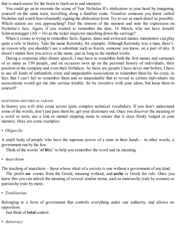that is much easier for the brain to latch on to and interpret.

You could go on to recreate the scene of Tsar Nicholas II's abdication in your head by imagining yourself on the same train, travelling along a familiar route. Visualise someone you know called Nicholas and watch him reluctantly signing the abdication form. Try to see as much detail as possible. Which station are you approaching? Feel the tension of the moment and note the expression on Nicholas's face. Again, if you wanted to remember the date, 16 March, why not have Arnold Schwarzenegger  $(AS = 16)$  as the ticket inspector marching down the carriage?

When it comes to trying to remember facts, figures, dates and awkward names, mnemonics can play quite a role in history. Take the name Kerensky, for example. Although Kerensky was a man, there's no reason why you shouldn't use a substitute such as Karen, someone you know, on a pair of skis. It doesn't matter how you arrive at the name, just as long as the method works.

During a corporate after-dinner speech, I may have to remember both the first names and surnames of as many as 150 people, and on occasion swot up on the personal history of individuals, their position in the company and even their birthdays. As these are people I have never met before, I have to use all kinds of outlandish, crazy and unspeakable associations to remember them by. So crazy, in fact, that I can't fail to remember them and so unspeakable that to reveal to certain individuals my associations would get me into serious trouble. So be inventive with your ideas, but keep them to yourself!

## MASTERING HISTORICAL JARGON

In history you will also come across quite complex technical vocabulary. If you don't understand some of the words, don't just pass them by; get your dictionary out. Once you discover the meaning of a word or term, use a link or mental stepping stone to ensure that it stays firmly lodged in your memory. Here are some examples:

• *Oligarchy*

A small body of people who have the supreme power of a state in their hands – in other words, a government run by the few.

Think of the words '**o**f **li**ttle' to help you remember the word and its meaning.

• *Anarchism*

The teaching of anarchists – those whose ideal of a society is one without a government of any kind.

The prefix **an**- comes from the Greek, meaning without; and **arche** is Greek for rule. Once you know this you can unlock the meaning of several similar terms, such as matriarchy (rule by women) or patriarchy (rule by men).

• *Totalitarian*

Belonging to a form of government that controls everything under one authority, and allows no opposition.

Just think of **total** control.

• *Autocracy*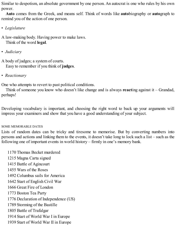Similar to despotism, an absolute government by one person. An autocrat is one who rules by his own power.

**Auto** comes from the Greek, and means self. Think of words like **auto**biography or **auto**graph to remind you of the action of one person.

• *Legislature*

A law-making body. Having power to make laws. Think of the word **legal**.

• *Judiciary*

A body of judges; a system of courts. Easy to remember if you think of **judges**.

• *Reactionary*

One who attempts to revert to past political conditions.

Think of someone you know who doesn't like change and is always **react**ing against it – Grandad, perhaps!

Developing vocabulary is important, and choosing the right word to back up your arguments will impress your examiners and show that you have a good understanding of your subject.

## SOME MEMORABLE DATES

Lists of random dates can be tricky and tiresome to memorise. But by converting numbers into persons and actions and linking them to the events, it doesn't take long to lock such a list – such as the following one of important events in world history – firmly in one's memory bank.

 Thomas Becket murdered Magna Carta signed Battle of Agincourt Wars of the Roses Columbus sails for America Start of English Civil War Great Fire of London Boston Tea Party Declaration of Independence (US) Storming of the Bastille Battle of Trafalgar Start of World War I in Europe Start of World War II in Europe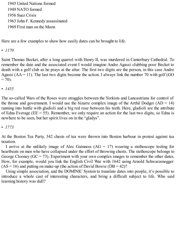United Nations formed NATO formed Suez Crisis John F. Kennedy assassinated First man on the Moon

Here are a few examples to show how easily dates can be brought to life.

• *1170*

Saint Thomas Becket, after a long quarrel with Henry II, was murdered in Canterbury Cathedral. To remember the date and the associated event I would imagine Andre Agassi clubbing poor Becket to death with a golf club as he prays at the altar. The first two digits are the person, in this case Andre Agassi ( $AA = 11$ ). The last two digits become the action. I always link the number 70 with golf (GO)  $= 70$ ).

• *1455*

The so-called Wars of the Roses were struggles between the Yorkists and Lancastrians for control of the throne and government. I would use the bizarre complex image of the Artful Dodger  $(AD = 14)$ running into battle with gladioli and a big red rose between his teeth. Here, gladioli are the attribute of Edna Everage (EE = 55). Remember, we only require an action for the last two digits, so Edna is nowhere to be seen, but her spirit lives on in the "gladys".

## • *1773*

At the Boston Tea Party, 342 chests of tea were thrown into Boston harbour in protest against tea taxation.

I arrive at the unlikely image of Alec Guinness  $(AG = 17)$  wearing a stethoscope testing for heartbeats on men who have collapsed under the effort of throwing chests. The stethoscope belongs to George Clooney ( $GC = 73$ ). Experiment with your own complex images to remember the other dates. How, for example, would you link the English Civil War with 1642 using Arnold Schwarzenegger  $(AS = 16)$  and putting on make-up (the action of David Bowie (DB = 42)?

Using simple association, and the DOMINIC System to translate dates into people, it's possible to introduce a whole cast of interesting characters, and bring a difficult subject to life. Who said learning history was dull?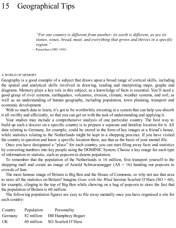# 15 Geographical Tips

*"For one country is dif erent from another; its earth is dif erent, as are its stones, wines, bread, meat, and everything that grows and thrives in a specific region."*

— Paracelsus (1493–1541)

#### A WORLD OF MEMORY

Geography is a good example of a subject that draws upon a broad range of cortical skills, including the spatial and analytical skills involved in drawing, reading and interpreting maps, graphs and diagrams. Memory plays a key role in this subject, as a knowledge of facts is essential. You'll need a good grasp of river systems, earthquakes, volcanoes, erosion, climate, weather systems, and soil, as well as an understanding of human geography, including population, town planning, transport and economic development.

With so much data to learn, it's got to be worthwhile investing in a system that can help you absorb it all swiftly and efficiently, so that you can get on with the task of understanding and applying it.

Your studies may include a comprehensive analysis of one particular country. The best way to build up such a dossier on a specific country is to prepare a separate and familiar location for it. All data relating to Germany, for example, could be stored in the form of key images at a friend's house, while statistics relating to the Netherlands might be kept in a shopping precinct. If you have visited the country in question and know a specific location there, use that as the basis of your mental file.

Once you have designated a "place" for each country, you can start filing away facts and statistics by converting numbers into key people using the DOMINIC System. Choose a key image for each type of information or statistic, such as popcorn to denote population.

To remember that the population of the Netherlands is 16 million, first transport yourself to the shopping mall and create an image of Arnold Schwarzenegger (AS = 16) handing out popcorn to crowds of fans.

The most famous image of Britain is Big Ben and the House of Commons, so why not use that area to store all the statistics on Britain? Imagine *Gone with the Wind* heroine Scarlett O'Hara (SO = 60), for example, clinging to the top of Big Ben while chewing on a bag of popcorn to store the fact that the population of Britain is 60 million.

The following population figures are easy to file away mentally once you have organised a site for each country:

| Country | Population | Personality               |
|---------|------------|---------------------------|
| Germany | 82 million | <b>HB Humphrey Bogart</b> |
| UK      | 60 million | SO Scarlett O'Hara        |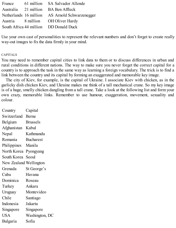| France | 61 million SA Salvador Allende                  |
|--------|-------------------------------------------------|
|        | Australia 21 million BA Ben Affleck             |
|        | Netherlands 16 million AS Arnold Schwarzenegger |
|        | Austria 8 million OH Oliver Hardy               |
|        | South Africa 44 million DD Donald Duck          |

Use your own cast of personalities to represent the relevant numbers and don't forget to create really way-out images to fix the data firmly in your mind.

## CAPITALS

You may need to remember capital cities to link data to them or to discuss differences in urban and rural conditions in different nations. The way to make sure you never forget the correct capital for a country is to approach the task in the same way as learning a foreign vocabulary. The trick is to find a link between the country and its capital by forming an exaggerated and memorable key image.

The city of Kiev, for example, is the capital of Ukraine. I associate Kiev with chicken, as in the garlicky dish chicken Kiev, and Ukraine makes me think of a tall mechanical crane. So my key image is of a huge, smelly chicken dangling from a tall crane. Take a look at the following list and form your own crazy, memorable links. Remember to use humour, exaggeration, movement, sexuality and colour.

| Country                | Capital          |
|------------------------|------------------|
| Switzerland            | Berne            |
| Belgium                | <b>Brussels</b>  |
| Afghanistan            | Kabul            |
| Nepal                  | Kathmandu        |
| Romania                | <b>Bucharest</b> |
| Philippines            | Manila           |
| North Korea            | Pyongyang        |
| South Korea            | Seoul            |
| New Zealand Wellington |                  |
| Grenada                | St George's      |
| Cuba                   | Havana           |
| Dominica               | Roseau           |
| Turkey                 | Ankara           |
| Uruguay                | Montevideo       |
| Chile                  | Santiago         |
| Indonesia              | Jakarta          |
| Singapore              | Singapore        |
| <b>USA</b>             | Washington, DC   |
| Bulgaria               | Sofia            |
|                        |                  |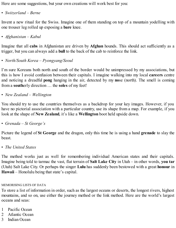Here are some suggestions, but your own creations will work best for you:

• *Switzerland – Berne*

Invent a new ritual for the Swiss. Imagine one of them standing on top of a mountain yodelling with one trouser leg rolled up exposing a **bare** knee.

• *Afghanistan – Kabul*

Imagine that all **cabs** in Afghanistan are driven by **Afghan** hounds. This should act sufficiently as a trigger, but you can always add a **bull** to the back of the cab to reinforce the link.

• *North/South Korea – Pyongyang/Seoul*

I'm sure Koreans both north and south of the border would be unimpressed by my associations, but this is how I avoid confusion between their capitals. I imagine walking into my local **careers** centre and noticing a dreadful **pong** hanging in the air, detected by my **no**se (north). The smell is coming from a **south**erly direction … the **soles** of my feet!

• *New Zealand – Wellington*

You should try to use the countries themselves as a backdrop for your key images. However, if you have no pictorial association with a particular country, use its shape from a map. For example, if you look at the shape of **New Zealand**, it's like a **Wellington** boot held upside down.

• *Grenada – St George's*

Picture the legend of **St George** and the dragon, only this time he is using a hand **grenade** to slay the beast.

• *The United States*

The method works just as well for remembering individual American states and their capitals. Imagine being told to tarmac the vast, flat terrain of **Salt Lake City** in Utah – in other words, **you tar** (Utah) Salt Lake City. Or perhaps the singer **Lulu** has suddenly been bestowed with a great **honour** in **Hawaii** – Honolulu being that state's capital.

## MEMORISING LISTS OF DATA

To store a list of information in order, such as the largest oceans or deserts, the longest rivers, highest mountains, and so on, use either the journey method or the link method. Here are the world's largest oceans and seas:

- 1 Pacific Ocean
- 2 Atlantic Ocean
- 3 Indian Ocean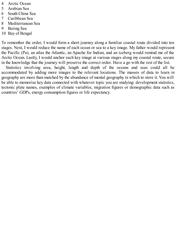- 4 Arctic Ocean
- 5 Arabian Sea
- 6 South China Sea
- 7 Caribbean Sea
- 8 Mediterranean Sea
- 9 Bering Sea
- 10 Bay of Bengal

To remember the order, I would form a short journey along a familiar coastal route divided into ten stages. Next, I would reduce the name of each ocean or sea to a key image. My father would represent the Pacific (Pa), an atlas the Atlantic, an Apache for Indian, and an iceberg would remind me of the Arctic Ocean. Lastly, I would anchor each key image at various stages along my coastal route, secure in the knowledge that the journey will preserve the correct order. Have a go with the rest of the list.

Statistics involving area, height, length and depth of the oceans and seas could all be accommodated by adding more images to the relevant locations. The masses of data to learn in geography are more than matched by the abundance of mental geography in which to store it. You will be able to memorise key data connected with whatever topic you are studying: development statistics, tectonic plate names, examples of climate variables, migration figures or demographic data such as countries' GDPs, energy consumption figures or life expectancy.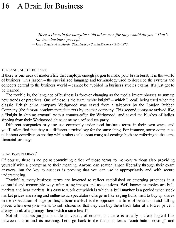# 16 A Brain for Business

*"Here's the rule for bargains: 'do other men for they would do you.' That's the true business precept."*

— Jonas Chuzzlewit in *Martin Chuzzlewit* by Charles Dickens (1812–1870)

#### THE LANGUAGE OF BUSINESS

If there is one area of modern life that employs enough jargon to make your brain burst, it is the world of business. This jargon – the specialised language and terminology used to describe the systems and concepts central to the business world – cannot be avoided in business studies exams. It's just got to be learned.

The trouble is, the language of business is forever changing as the media invent phrases to sum up new trends or practices. One of these is the term "white knight" – which I recall being used when the classic British china company Wedgwood was saved from a takeover by the London Rubber Company (the famous condom manufacturer) by another company. This second company arrived like a "knight in shining armour" with a counter-offer for Wedgwood, and saved the blushes of ladies sipping from their Wedgwood china at many a refined tea party.

Different companies may use use commonly understood business terms in their own ways, and you'll often find that they use different terminology for the same thing. For instance, some companies talk about contribution costing while others talk about marginal costing; both are referring to the same financial strategy.

## WHAT DOES IT MEAN?

Of course, there is no point committing either of those terms to memory without also providing yourself with a prompt as to their meaning. Anyone can scatter jargon liberally through their exam answers, but the key to success is proving that you can use it appropriately and with secure understanding.

Thankfully, many business terms are invented to reflect established or emerging practices in a colourful and memorable way, often using images and associations. Well known examples are bull markets and bear markets. It's easy to work out which is which: a **bull market** is a period when stock market prices are rising and enthusiastic speculators charge in like **raging bulls**, mad to buy up shares in the expectation of huge profits; a **bear market** is the opposite – a time of pessimism and falling prices when everyone wants to sell shares so that they can buy them back later at a lower price. I always think of a grumpy "**bear with a sore head**".

Not all business jargon is quite so visual, of course, but there is usually a clear logical link between a term and its meaning. Let's go back to the financial terms "contribution costing" and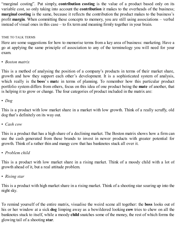"marginal costing". Put simply, **contribution costing** is the value of a product based only on its variable cost, so only taking into account the **contribution** it makes to the overheads of the business; **marginal costing** is the same, because it reflects the contribution the product makes to the business's profit **margin**. When committing these concepts to memory, you are still using associations – verbal instead of visual ones in this case – to fix term and meaning firmly together in your brain.

## TIME TO TALK TERMS

Here are some suggestions for how to memorise terms from a key area of business: marketing. Have a go at applying the same principle of association to any of the terminology you will need for your exam.

• *Boston matrix*

This is a method of analysing the position of a company's products in terms of their market share, growth and how they support each other's development. It is a sophisticated system of analysis, which really is the **boss**'s **mat**e in terms of planning. To remember how this particular product portfolio system differs from others, focus on this idea of one product being the **mate** of another, that is helping it to grow or change. The four categories of product included in the matrix are:

# • *Dog*

This is a product with low market share in a market with low growth. Think of a really scruffy, old dog that's definitely on its way out.

• *Cash cow*

This is a product that has a high share of a declining market. The Boston matrix shows how a firm can use the cash generated from these brands to invest in newer products with greater potential for growth. Think of a rather thin and mangy cow that has banknotes stuck all over it.

• *Problem child*

This is a product with low market share in a rising market. Think of a moody child with a lot of growth ahead of it, but a real attitude problem.

• *Rising star*

This is a product with high market share in a rising market. Think of a shooting star soaring up into the night sky.

To remind yourself of the entire matrix, visualise the weird scene all together: the **boss** looks out of his or her window at a sick **dog** limping away as a bewildered looking **cow** tries to chew on all the banknotes stuck to itself, while a moody **child** snatches some of the money, the rest of which forms the glowing tail of a shooting **star**.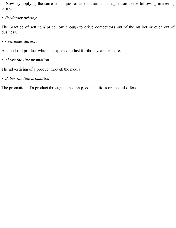Now try applying the same techniques of association and imagination to the following marketing terms:

• *Predatory pricing*

The practice of setting a price low enough to drive competitors out of the market or even out of business.

• *Consumer durable*

A household product which is expected to last for three years or more.

• *Above the line promotion*

The advertising of a product through the media.

• *Below the line promotion*

The promotion of a product through sponsorship, competitions or special offers.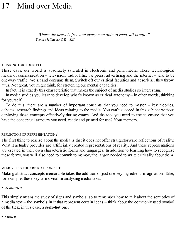# 17 Mind over Media

*"Where the press is free and every man able to read, all is safe."* — Thomas Jefferson (1743–1826)

## THINKING FOR YOURSELF

These days, our world is absolutely saturated in electronic and print media. These technological means of communication – television, radio, film, the press, advertising and the internet – tend to be one-way traffic. We sit and consume them. Switch off our critical faculties and absorb all they throw at us. Not great, you might think, for stretching our mental capacities.

In fact, it is exactly this characteristic that makes the subject of media studies so interesting.

In media studies you learn to develop what's known as critical autonomy – in other words, thinking for yourself.

To do this, there are a number of important concepts that you need to master – key theories, debates, research findings and ideas relating to the media. You can't succeed in this subject without deploying these concepts effectively during exams. And the tool you need to use to ensure that you have the conceptual armoury you need, ready and primed for use? Your memory.

## REFLECTION OR REPRESENTATION?

The first thing to realise about the media is that it does not offer straightforward reflections of reality. What it actually provides are artificially created representations of reality. And these representations are created in their own characteristic forms and languages. In addition to learning how to recognise these forms, you will also need to commit to memory the jargon needed to write critically about them.

## MEMORISING THE CRITICAL CONCEPTS

Making abstract concepts memorable takes the addition of just one key ingredient: imagination. Take, for example, these key terms vital in analysing media texts:

• *Semiotics*

This simply means the study of signs and symbols, so to remember how to talk about the semiotics of a media text – the symbols in it that represent certain ideas – think about the commonly used symbol of the **tick**, in this case, a **semi-hot** one.

• *Genre*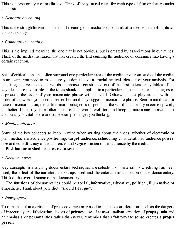This is a type or style of media text. Think of the **general** rules for each type of film or feature under discussion.

# • *Denotative meaning*

This is the straightforward, superficial meaning of a media text, so think of someone just **noting down** the text exactly.

# • *Connotative meaning*

This is the implied meaning: the one that is not obvious, but is created by associations in our minds. Think of the media institution that has created the text **conning** the audience or consumer into having a certain reaction.

Sets of critical concepts often surround one particular area of the media or of your study of the media. In an exam, you need to make sure you don't leave a crucial critical idea out of your analysis. For this, imaginative mnemonic words or phrases, constructed out of the first letters or syllables of the key ideas, are invaluable. If the ideas should be applied in a particular sequence or form the stages of a process, the order of your mnemonic phrase will be vital. Otherwise, just play around with the order of the words you need to remember until they suggest a memorable phrase. Bear in mind that for ease of memorisation, the sillier, more outrageous or personal the word or phrase you come up with, the better. Using rhyme or other sound effects works well too, and keeping mnemonic phrases short and punchy is vital. Here are some examples to get you thinking:

# • *Media audiences*

Some of the key concepts to keep in mind when writing about audiences, whether of electronic or print media, are audience **positioning**, **target** audience, **scheduling** considerations, audience **power**, size and **constituency** of the audience, and **segmentation** of the audience by the media.

**Position tar** in **shed** for **power con**-**se**nt.

# • *Documentaries*

Key concepts in analysing documentary techniques are **s**election of material, how **e**diting has been used, the effect of the **n**arrator, the **s**et-ups used and the **e**ntertainment function of the documentary. Think of the overall **sense** of the documentary.

The functions of documentaries could be **s**ocial, **i**nformative, **e**ducative, **p**olitical, **i**lluminative or **e**mpathetic. Think about your diet: "**s**hould **I e**at **pie**".

• *Newspapers*

To remember that a critique of press coverage may need to include considerations such as the dangers of inaccuracy and **fabrication**, issues of **privacy**, use of **sensationalism**, creation of **propaganda** and an emphasis on **personalities** rather than news, remember that a **fab private sense** creates a **prop**er **person**.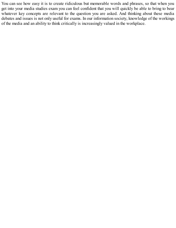You can see how easy it is to create ridiculous but memorable words and phrases, so that when you get into your media studies exam you can feel confident that you will quickly be able to bring to bear whatever key concepts are relevant to the question you are asked. And thinking about these media debates and issues is not only useful for exams. In our information society, knowledge of the workings of the media and an ability to think critically is increasingly valued in the workplace.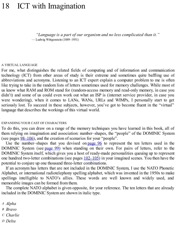## 18 ICT with Imagination

*"Language is a part of our organism and no less complicated than it."* — Ludwig Wittgenstein (1889–1951)

#### A VIRTUAL LANGUAGE

For me, what distinguishes the related fields of computing and of information and communication technology (ICT) from other areas of study is their extreme and sometimes quite baffling use of abbreviations and acronyms. Listening to an ICT expert explain a computer problem to me is often like trying to take in the random lists of letters sometimes used for memory challenges. While most of us know what RAM and ROM stand for (random-access memory and read-only memory, in case you didn't) and some of us could even work out what an ISP is (internet service provider, in case you were wondering), when it comes to LANs, WANs, URLs and WIMPs, I personally start to get seriously lost. To succeed in these subjects, however, you've got to become fluent in the "virtual" language that describes the workings of this virtual world.

#### EXPANDING YOUR CAST OF CHARACTERS

To do this, you can draw on a range of the memory techniques you have learned in this book, all of them relying on imagination and association: number–shapes, the "people" of the DOMINIC System (see pages  $98-106$ ), and the creation of scenarios for your "people".

Use the number–shapes that you devised on [page](#page-47-0) 96 to represent the ten letters used in the DOMINIC System (see [page](#page-49-0) 99) when standing on their own. For pairs of letters, refer to the DOMINIC System itself, which gives you a host of ready-made personalities queuing up to represent one hundred two-letter combinations (see pages  $102-105$ ) in your imagined scenes. You then have the potential to conjure up one thousand three-letter combinations.

If an acronym has letters that are not included in the DOMINIC System, I use the NATO Phonetic Alphabet, or international radiotelephony spelling alphabet, which was invented in the 1950s to make spellings intelligible to NATO's allies. These words are well known and widely used, and memorable images can be formed from them.

The complete NATO alphabet is given opposite, for your reference. The ten letters that are already included in the DOMINIC System are shown in italic type.

- *A Alpha*
- *B Bravo*
- *C Charlie*
- *D Delta*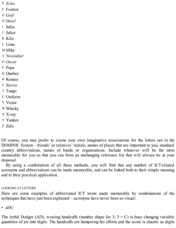- *E Echo*
- F Foxtrot
- *G Golf*
- *H Hotel*
- I India
- J Juliet
- K Kilo
- L Lima
- M Mike
- *N November*
- *O Oscar*
- P Papa
- Q Quebec
- R Romeo
- *S Sierra*
- T Tango
- U Uniform
- V Victor
- W Whisky
- X X-ray
- Y Yankee
- Z Zulu

Of course, you may prefer to create your own imaginative associations for the letters not in the DOMINIC System – friends' or relatives' initials, names of places that are important to you, standard country abbreviations, names of bands or organisations. Include whatever will be the most memorable for you so that you can form an unchanging reference list that will always be at your disposal.

By using a combination of all these methods, you will find that any number of ICT-related acronyms and abbreviations can be made memorable, and can be linked both to their simple meaning and to their practical application.

## LOOKING AT LETTERS

Here are some examples of abbreviated ICT terms made memorable by combinations of the techniques that have just been explained – acronyms have never been so visual:

• *ADC*

The Artful Dodger (AD), wearing handcuffs (number shape for 3;  $3 = C$ ) is busy changing variable quantities of air into digits. The handcuffs are hampering his efforts and the scene is chaotic as digits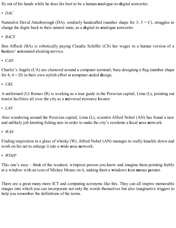fly out of his hands while he does his best to be a human **a**nalogue-to-**d**igital **c**onverter.

• *DAC*

Naturalist David Attenborough (DA), similarly handcuffed (number shape for 3;  $3 = C$ ), struggles to change the digits back to their natural state, as a **d**igital-to-**a**nalogue **c**onverter.

• *BACS*

Ben Affleck (BA) is robotically paying Claudia Schiffer (CS) her wages in a human version of a **b**ankers' **a**utomated **c**learing **s**ervice.

• *CAD*

Charlie's Angels (CA) are clustered around a computer terminal, busy designing a flag (number shape for  $4$ ;  $4 = D$ ) in their own stylish effort at **computer-aided design.** 

• *URL*

A uniformed (U) Romeo (R) is working as a tour guide in the Peruvian capital, Lima (L), pointing out tourist facilities all over the city as a **u**niversal **r**esource **l**ocator.

• *LAN*

Also wandering around the Peruvian capital, Lima (L), scientist Alfred Nobel (AN) has found a new and unlikely job knotting fishing nets in order to make the city's residents a **l**ocal **a**rea **n**etwork.

• *WAN*

Finding inspiration in a glass of whisky (W), Alfred Nobel (AN) manages to really knuckle down and work on his net to enlarge it into a **w**ide **a**rea **n**etwork.

• *WIMP*

This one's easy – think of the weakest, wimpiest person you know and imagine them pointing feebly at a window with an icon of Mickey Mouse on it, making them a **w**indows **i**con **m**ouse **p**ointer.

There are a great many more ICT and computing acronyms like this. They can all inspire memorable images into which you can incorporate not only the words themselves but also imaginative triggers to help you remember the definitions of the terms.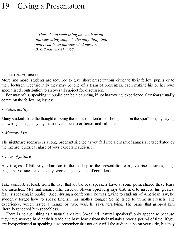# 19 Giving a Presentation

*"There is no such thing on earth as an uninteresting subject; the only thing that can exist is an uninterested person."* — G. K. Chesterton (1874–1936)

#### PRESENTING YOURSELF

More and more, students are required to give short presentations either to their fellow pupils or to their lecturer. Occasionally they may be one of a team of presenters, each making his or her own specialised contribution to an overall subject for discussion.

For may of us, speaking in public can be a daunting, if not harrowing, experience. Our fears usually centre on the following issues:

## • *Vulnerability*

Many students hate the thought of being the focus of attention or being "put on the spot" lest, by saying the wrong things, they lay themselves open to criticism and ridicule.

### • *Memory loss*

The nightmare scenario is a long, pregnant silence as you fall into a chasm of amnesia, exacerbated by the intense, quizzical glare of your expectant audience.

## • *Fear of failure*

Any images of failure you harbour in the lead-up to the presentation can give rise to stress, stage fright, nervousness and anxiety, worsening any lack of confidence.

Take comfort, at least, from the fact that all the best speakers have at some point shared these fears and anxieties. Multimillionaire film director Steven Spielberg says that, next to insects, his greatest fear is speaking in public. Once, during a conference he was giving to students of American law, he suddenly forgot how to speak English, his mother tongue! So he tried to think in French. The experience, which lasted a minute or two, was, he says, terrifying. The panic that gripped him literally rendered him speechless.

There is no such thing as a natural speaker. So-called "natural speakers" only appear so because they have worked hard at their trade and have learnt from their mistakes over a period of time. If you are inexperienced at speaking, just remember that not only will the audience be on your side, but they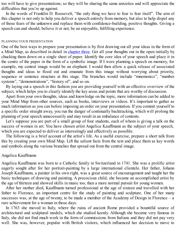too will have to give presentations; so they will be sharing the same anxieties and will appreciate the difficulties that you're up against.

In the words of Franklin D. Roosevelt, "the only thing we have to fear is fear itself". The aim of this chapter is not only to help you deliver a speech entirely from memory, but also to help dispel any of those fears of the unknown and replace them with confidence-building, positive thoughts. Giving a speech can and should, believe it or not, be an enjoyable, fulfilling experience.

#### PLANNING YOUR PRESENTATION

One of the best ways to prepare your presentation is by first drawing out all your ideas in the form of a Mind Map, as described in detail in [chapter](#page-12-0) three. Get all your thoughts out in the open initially by chucking them down on a single sheet of paper. Identify the core idea of your speech and place it in the centre of the paper in the form of a symbolic image. If I were planning a speech on memory, for example, my central image would be an elephant. I would then allow a quick release of associated thoughts and ideas to flood out and emanate from this image without worrying about priority, sequence or sentence structure at this stage. The branches would include "mnemonics", "number systems", "demonstrations", "history of", and so on.

By laying out a speech in this fashion you are providing yourself with an effective overview of the subject, which helps you to clearly identify the key areas and points that are worthy of discussion.

Apart from your own thoughts, ideas and knowledge on the topic, more information can be added to your Mind Map from other sources, such as books, interviews or videos. It's important to gather as much information as you can before imposing an order on your presentation. If you commit yourself to a specific order straight away, you run the danger of continually backtracking, which will prolong the planning of your speech unnecessarily and may result in an imbalance of contents.

Let's suppose you are part of a small group of four students, each of whom is giving a talk on the success of women in art. You have chosen artist Angelica Kauffmann as the subject of your speech, which you are expected to deliver as interestingly and effectively as possible.

The following is a brief account of the artist's life. As a useful exercise, prepare a short talk from this by creating your own Mind Map. Lift the salient facts from the text and place them as key words and symbols along the various branches that spread out from the central image.

### Angelica Kauffmann

Angelica Kauffmann was born to a Catholic family in Switzerland in 1741. She was a prolific artist eagerly sought after for her portrait-painting by a large international clientele. Her father, Johann Joseph Kauffmann, a painter in his own right, was a great source of encouragement and taught her the basic techniques of drawing and painting. A precocious child, she became an accomplished artist by the age of thirteen and showed skills in music too, then a more normal pursuit for young women.

After her mother died, Kauffmann turned professional at the age of sixteen and travelled with her father to Florence, an important centre for the study of painting and sculpture. One of her many successes was, at the age of twenty, to be made a member of the Academy of Design in Florence – a rare achievement for a woman in those days.

In 1763 she moved to Italy, where the ruins of ancient Rome provided a bountiful source of architectural and sculptural models, which she studied keenly. Although she became very famous in Italy, she did not find much work in the form of commissions from Italians and they did not pay very well. She was, however, popular with British visitors, which influenced her decision to move to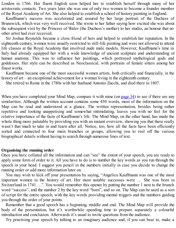London in 1766. Her fluent English soon helped her to establish herself through many of her aristocratic contacts. Two years later she was one of only two women to become a founder member of the Royal Academy of Art. She also helped to establish a school of history painting in England.

Kauffmann's success was accelerated and assured by her large portrait of the Duchess of Brunswick, which was very well received. She wrote to her father saying how excited she was about the subsequent visit by the Princess of Wales (the Duchess's mother) to her studio, an honour that no other artist had ever received.

Sir Joshua Reynolds became a close friend of hers and helped to establish her reputation. In the eighteenth century, women were usually restricted to still-life painting and were not allowed to attend life classes at the Royal Academy that involved nude male models. However, Kauffmann's time in Italy had already equipped her with a wide knowledge of ancient sculpture and understanding of human anatomy. This was to influence her paintings, which portrayed mythological gods and goddesses. Her style can be described as Neoclassical, with portraits of female sitters among her finest works.

Kauffmann became one of the most successful women artists, both critically and financially, in the history of art – an exceptional achievement for a woman living in the eighteenth century.

She retired to Rome in the 1780s with her husband Antonio Zucchi, and died there in 1807.

When you have completed your Mind Map, compare it with mine (on [page](#page-17-0) 34) to see if there are any similarities. Although the written account contains some 450 words, most of the information on the Map can be read and understood at a glance. The written representation, besides being rather repetitive and looking unappetising and somewhat intimidating, leaves you with no feel for the relative importance of the facts of Kauffmann's life. The Mind Map, on the other hand, has made the whole thing more palatable by providing you with an instant overview, showing you that there really wasn't that much to take in and learn after all. Notice, too, how all the facts have been efficiently sorted and connected to four main branches or groups, allowing you to reel off the various biographical details without having to search through numerous lines of text.

#### **Organising the running order**

Once you have collated all the information and can "see" the extent of your speech, you are ready to apply some form of order to it. All you have to do is to number the key words as you run through the speech in your head. I suggest you pencil in the numbers initially in case you decide to change the running order or add more information later on.

You may wish to kick off your presentation by saying, "Angelica Kauffmann was one of the most important women in the history of art. Her most notable successes were … She was born in Switzerland in 1741 …". You would remember this opener by putting the number 1 next to the branch word "success", and the number 2 by the key word "born", and so on. The Map can be used as a sort of script for the entire speech, with the key words providing mental triggers and the numbers guiding you through the order of your points.

Remember that a good speech has a beginning, middle and end. The Mind Map will provide the body of the presentation, but it's worthwhile spending time to prepare separately a colourful introduction and conclusion. Afterwards it's usual to invite questions from the audience.

Try practising your speech by talking to an imaginary audience and, if you can bear to, make a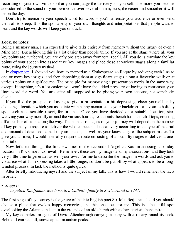recording of your own voice so that you can judge the delivery for yourself. The more you become accustomed to the sound of your own voice over several dummy runs, the easier and smoother it will be on the day.

Don't try to memorise your speech word for word – you'll alienate your audience or even send them off to sleep. It is the spontaneity of your own thoughts and interpretations that people want to hear, and the key words will keep you on track.

## **Look, no notes!**

Being a memory man, I am expected to give talks entirely from memory without the luxury of even a Mind Map. But achieving this is a lot easier than people think. If you are at the stage where all your key points are numbered, you are only one step away from total recall. All you do is translate the key points of your speech into associative key images and place these at various stages along a familiar route, using the journey method.

In [chapter](#page-56-0) ten, I showed you how to memorise a Shakespeare soliloquy by reducing each line to one or more key images, and then depositing them at significant stages along a favourite walk or at various points on a golf course. The principle for memorising a presentation works in the same way, except, if anything, it's a lot easier: you won't have the added pressure of having to remember your lines word for word. You are, after all, supposed to be giving your own account, not somebody else's.

If you find the prospect of having to give a presentation a bit depressing, cheer yourself up by choosing a location which you associate with happy memories as your backdrop – a favourite holiday spot, such as a seaside resort, for instance. Once you have decided on a suitable location, start weaving your way mentally around the various houses, restaurants, beach huts, and cliff tops, counting off a number of stops along the way. The number of stages on your journey will depend on the number of key points you require to deliver the whole speech. This can vary according to the type of material and amount of detail contained in your speech, as well as your knowledge of the subject matter. To give you an idea, I would normally require a route consisting of about fifty stages to deliver a onehour talk.

Now let's run through the first few lines of the account of Angelica Kauffmann using a holiday location in Rock, north Cornwall. Remember, these are my images and my associations, and they took very little time to generate, as will your own. For me to describe the images in words and ask you to visualise what I'm expressing takes a little longer, so don't be put off by what appears to be a longwinded process. In fact, the method is quite quick.

After briefly introducing myself and the subject of my talk, this is how I would remember the facts in order:

### • *Stage I:*

*Angelica Kauf mann was born to a Catholic family in Switzerland in 1741.*

The first stage of my journey is the grave of the late English poet Sir John Betjeman. I said you should choose a place that evokes happy memories, and this one does for me. This is a beautiful spot overlooking the Atlantic and set in the grounds of an old church with a characteristic bent spire.

My key complex image is of David Attenborough carrying a baby with a rosary round its neck. Behind, I can see tall, snowcapped mountain peaks.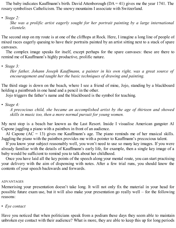The baby indicates Kauffmann's birth. David Attenborough ( $DA = 41$ ) gives me the year 1741. The rosary symbolises Catholicism. The snowy mountains I associate with Switzerland.

• *Stage 2:*

*She was a prolific artist eagerly sought for her portrait painting by a large international clientele.*

The second stop on my route is at one of the clifftops at Rock. Here, I imagine a long line of people of mixed races eagerly queuing to have their portraits painted by an artist sitting next to a stack of spare canvases.

The complex image speaks for itself, except perhaps for the spare canvases: these are there to remind me of Kauffmann's highly productive, prolific nature.

• *Stage 3:*

*Her father, Johann Joseph Kauf mann, a painter in his own right, was a great source of encouragement and taught her the basic techniques of drawing and painting.*

The third stage is down on the beach, where I see a friend of mine, Jojo, standing by a blackboard holding a paintbrush in one hand and a pencil in the other.

Jojo triggers the father's name and the blackboard is the symbol for teaching.

• *Stage 4:*

*A precocious child, she became an accomplished artist by the age of thirteen and showed skills in music too, then a more normal pursuit for young women.*

My next stop is a beach bar known as the Last Resort. Inside I visualise American gangster Al Capone juggling a piano with a paintbox in front of an audience.

Al Capone  $(AC = 13)$  gives me Kauffmann's age. The piano reminds me of her musical skills. Juggling the piano with the paintbox provides me with a pointer to Kauffmann's precocious talent.

If you know your subject reasonably well, you won't need to use so many key images. If you were already familiar with the details of Kauffmann's early life, for example, then a single key image of a baby would be sufficient to remind you to talk about her childhood.

Once you have laid all the key points of the speech along your mental route, you can start practising your delivery with the aim of dispensing with notes. After a few trial runs, you should know the contents of your speech backwards and forwards.

## ADVANTAGES

Memorising your presentation doesn't take long. It will not only fix the material in your head for possible future exam use, but it will also make your presentation go really well – for the following reasons:

• *Eye contact*

Have you noticed that when politicians speak from a podium these days they seem able to maintain unbroken eye contact with their audience? What is more, they are able to keep this up for long periods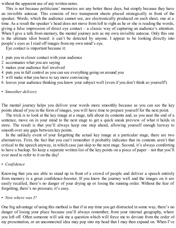without the apparent use of any written notes.

This is not because politicians' memories are any better these days, but simply because they have an invisible autocue. This consists of two transparent sheets placed strategically in front of the speaker. Words, which the audience cannot see, are electronically produced on each sheet, one at a time. As a result the speaker's head does not move from left to right as he or she is reading the words, giving a false impression of direct eye contact – a classic way of capturing an audience's attention. When I give a talk from memory, the mental journey acts as my own invisible autocue. Only this one is the ultimate idiot board: it can't be detected by anyone. I appear to be looking directly into people's eyes as I read off images from my own mind's eye.

Eye contact is important because it:

- 1 puts you in closer contact with your audience
- 2 accentuates what you are saying
- 3 makes your audience feel involved
- 4 puts you in full control as you can see everything going on around you
- 5 will make what you have to say more convincing
- 6 leaves your audience thinking you know your subject well (even if you don't think so yourself!)

• *Smoother delivery*

The mental journey helps you deliver your words more smoothly because as you can see the key points ahead of you in the form of images, you will have time to prepare yourself for the next point.

The trick is to look at the key image at a stage, talk about its contents and, as you near the end of a sentence, move on in your mind to the next stage to get a quick sneak preview of what it holds in store. The result is that you'll always keep one step ahead, allowing yourself enough leeway to smooth over any gaps between key points.

In the unlikely event of your forgetting the actual key image at a particular stage, there are two alternatives. First, the fact that you can't remember it probably indicates that its contents aren't that critical to the speech anyway, in which case just skip to the next stage. Second, it's always comforting to have a backup. So keep a separate written list of the key points on a piece of paper – not that you'll ever need to refer to it on the day!

• *Confidence*

Knowing that you are able to stand up in front of a crowd of people and deliver a speech entirely from memory is a great confidence-booster. If you know the journey well and the images on it are easily recalled, there's no danger of your drying up or losing the running order. Without the fear of forgetting, there's no pressure; it's easy.

• *Now where was I?*

One big advantage of using this method is that if at any time you get distracted in some way, there's no danger of losing your place because you'll always remember, from your internal geography, where you left off. Often someone will ask me a question which will force me to deviate from the order of my presentation, or an unconnected idea may pop into my head that I may then expand on. When I've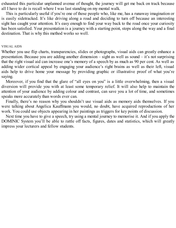exhausted this particular unplanned avenue of thought, the journey will get me back on track because all I have to do is recall where I was last standing on my mental walk.

This is particularly useful if you're one of those people who, like me, has a runaway imagination or is easily sidetracked. It's like driving along a road and deciding to turn off because an interesting sight has caught your attention. It's easy enough to find your way back to the road once your curiosity has been satisfied. Your presentation is a journey with a starting point, stops along the way and a final destination. That is why this method works so well.

#### VISUAL AIDS

Whether you use flip charts, transparencies, slides or photographs, visual aids can greatly enhance a presentation. Because you are adding another dimension – sight as well as sound – it's not surprising that the right visual aid can increase one's memory of a speech by as much as 90 per cent. As well as adding wider cortical appeal by engaging your audience's right brains as well as their left, visual aids help to drive home your message by providing graphic or illustrative proof of what you're saying.

Moreover, if you find that the glare of "all eyes on you" is a little overwhelming, then a visual diversion will provide you with at least some temporary relief. It will also help to maintain the attention of your audience by adding colour and contrast, can save you a lot of time, and sometimes speaks more accurately than words ever can.

Finally, there's no reason why you shouldn't use visual aids as memory aids themselves. If you were talking about Angelica Kauffmann you would, no doubt, have acquired reproductions of her work. You could use objects appearing in her paintings as triggers for key points of discussion.

Next time you have to give a speech, try using a mental journey to memorise it. And if you apply the DOMINIC System you'll be able to rattle off facts, figures, dates and statistics, which will greatly impress your lecturers and fellow students.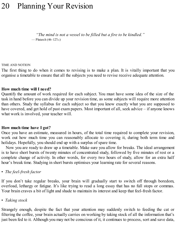## 20 Planning Your Revision

*"The mind is not a vessel to be filled but a fire to be kindled."* — Plutarch  $(46-127<sub>CE</sub>)$ 

#### TIME AND NOTION

The first thing to do when it comes to revising is to make a plan. It is vitally important that you organise a timetable to ensure that all the subjects you need to revise receive adequate attention.

## **How much time will I need?**

Quantify the amount of work required for each subject. You must have some idea of the size of the task in hand before you can divide up your revision time, as some subjects will require more attention than others. Study the syllabus for each subject so that you know exactly what you are supposed to have covered, and get hold of past exam papers. Most important of all, seek advice – if anyone knows what work is involved, your teacher will.

### **How much time have I got?**

Once you have an estimate, measured in hours, of the total time required to complete your revision, work out how much time you can reasonably allocate to covering it, during both term time and holidays. Hopefully, you should end up with a surplus of spare time.

Now you are ready to draw up a timetable. Make sure you allow for breaks. The ideal arrangement is to have short bursts of twenty minutes of concentrated study, followed by five minutes of rest or a complete change of activity. In other words, for every two hours of study, allow for an extra half hour's break time. Studying in short bursts optimises your learning rate for several reasons.

• *The feel-fresh factor*

If you don't take regular breaks, your brain will gradually start to switch off through boredom, overload, lethargy or fatigue. It's like trying to read a long essay that has no full stops or commas. Your brain craves a bit of light and shade to maintain its interest and keep that feel-fresh factor.

• *Taking stock*

Strangely enough, despite the fact that your attention may suddenly switch to feeding the cat or filtering the coffee, your brain actually carries on working by taking stock of all the information that's just been fed to it. Although you may not be conscious of it, it continues to process, sort and save data,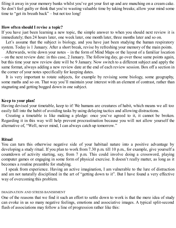filing it away in your memory banks whilst you've got your feet up and are munching on a cream cake. So don't feel guilty or think that you're wasting valuable time by taking breaks; allow your mind some time to "get its breath back" – but not too long!

### **How often should I revise a topic?**

If you have just been learning a new topic, the simple answer to when you should next review it is immediately; then 24 hours later, one week later, one month later, three months later and so on.

Let's assume that the subject is biology, and you have just been studying the human respiratory system. Today is 1 January. After a short break, revise by refreshing your memory of the main points.

Afterwards, write down your notes – in the form of Mind Maps or the layout of a familiar location – on the next review date: in this case, 2 January. The following day, go over those same points again, but this time your new review date will be 9 January. Now switch to a different subject and apply the same format, always adding a new review date at the end of each review session. Box off a section in the corner of your notes specifically for keeping dates.

It is very important to rotate subjects, for example by revising some biology, some geography, some maths and so on. That way you'll maintain your interest with an element of contrast, rather than stagnating and getting bogged down in one subject.

### **Keep to your plan!**

Having devised your timetable, keep to it! We humans are creatures of habit, which means we all too easily fall into the habit of avoiding tasks by using delaying tactics and allowing distractions.

Creating a timetable is like making a pledge: once you've agreed to it, it cannot be broken. Regarding it in this way will help prevent procrastination because you will not allow yourself the alternative of, "Well, never mind, I can always catch up tomorrow."

#### **Ritual**

You can turn this otherwise negative side of your habitual nature into a positive advantage by developing a study ritual. If you plan to work from 7.30 p.m. till 10 p.m., for example, give yourself a countdown of activity starting, say, from 7 p.m. This could involve doing a crossword, playing computer games or engaging in some form of physical exercise. It doesn't really matter, as long as it becomes a routine preamble for studying.

I speak from experience. Having an active imagination, I am vulnerable to the lure of distraction and am not naturally disciplined in the art of "getting down to it". But I have found a very effective way of overcoming this problem.

#### IMAGINATION AND STRESS BANISHMENT

One of the reasons that we find it such an effort to settle down to work is that the mere idea of study can evoke in us so many negative feelings, emotions and associative images. A typical split-second flash of associations may follow a line of progression rather like this: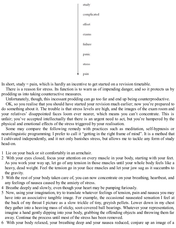

In short, study = pain, which is hardly an incentive to get started on a revision timetable.

There is a reason for stress. Its function is to warn us of impending danger, and so it protects us by prodding us into taking counteractive measures.

Unfortunately, though, this incessant prodding can go too far and end up being counterproductive.

OK, so you realise that you should have started your revision much earlier; now you're prepared to do something about it. The trouble is that stress levels are high, and the images of the exam room and your relatives' disappointed faces loom ever nearer, which means you can't concentrate. This is unfair; you've accepted intellectually that there is an urgent need to act, but you're hampered by the physical and emotional effects of the stress triggered by your realisation.

Some may compare the following remedy with practices such as meditation, self-hypnosis or neurolinguistic programming. I prefer to call it "getting in the right frame of mind". It is a method that I cultivated independently, and it not only banishes stress, but allows me to tackle any form of study head-on.

- 1 Lie on your back or sit comfortably in an armchair.
- 2 With your eyes closed, focus your attention on every muscle in your body, starting with your feet. As you work your way up, let go of any tension in those muscles until your whole body feels like a heavy, dead weight. Feel the tension go in your face muscles and let your jaw sag as it succumbs to the gravity.
- 3 With the rest of your body taken care of, you can now concentrate on your breathing, heartbeat, and any feelings of nausea caused by the anxiety of stress.
- 4 Breathe deeply and slowly, even though your heart may be pumping furiously.
- 5 Now, using your imagination, try to translate whatever feelings of tension, pain and nausea you may have into an associative tangible image. For example, the occasional nauseated sensation I feel at the back of my throat I picture as a slow trickle of tiny, greyish pellets. Lower down in my chest they gather into a heaving mass of sticky, soot-covered ball bearings. Whatever your representation, imagine a hand gently dipping into your body, grabbing the offending objects and throwing them far away. Continue the process until most of the stress has been removed.
- 6 With your body relaxed, your breathing deep and your nausea reduced, conjure up an image of a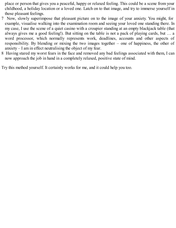place or person that gives you a peaceful, happy or relaxed feeling. This could be a scene from your childhood, a holiday location or a loved one. Latch on to that image, and try to immerse yourself in those pleasant feelings.

- 7 Now, slowly superimpose that pleasant picture on to the image of your anxiety. You might, for example, visualise walking into the examination room and seeing your loved one standing there. In my case, I use the scene of a quiet casino with a croupier standing at an empty blackjack table (that always gives me a good feeling!). But sitting on the table is not a pack of playing cards, but … a word processor, which normally represents work, deadlines, accounts and other aspects of responsibility. By blending or mixing the two images together – one of happiness, the other of anxiety – I am in effect neutralising the object of my fear.
- 8 Having stared my worst fears in the face and removed any bad feelings associated with them, I can now approach the job in hand in a completely relaxed, positive state of mind.

Try this method yourself. It certainly works for me, and it could help you too.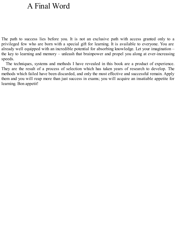# A Final Word

The path to success lies before you. It is not an exclusive path with access granted only to a privileged few who are born with a special gift for learning. It is available to everyone. You are already well equipped with an incredible potential for absorbing knowledge. Let your imagination – the key to learning and memory – unleash that brainpower and propel you along at ever-increasing speeds.

The techniques, systems and methods I have revealed in this book are a product of experience. They are the result of a process of selection which has taken years of research to develop. The methods which failed have been discarded, and only the most effective and successful remain. Apply them and you will reap more than just success in exams; you will acquire an insatiable appetite for learning. Bon appetit!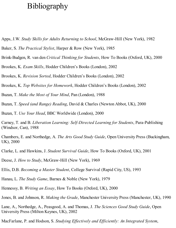# Bibliography

Apps, J.W. *Study Skills for Adults Returning to School*, McGraw-Hill (New York), 1982

Baker, S. *The Practical Stylist*, Harper & Row (New York), 1985

Brink-Budgen, R. van den *Critical Thinking for Students*, How To Books (Oxford, UK), 2000

Brookes, K. *Exam Skills*, Hodder Children's Books (London), 2002

Brookes, K. *Revision Sorted*, Hodder Children's Books (London), 2002

Brookes, K. *Top Websites for Homework*, Hodder Children's Books (London), 2002

Buzan, T. *Make the Most of Your Mind*, Pan (London), 1988

Buzan, T. *Speed (and Range) Reading*, David & Charles (Newton Abbot, UK), 2000

Buzan, T. *Use Your Head*, BBC Worldwide (London), 2000

Carney, T. and B. *Liberation Learning: Self-Directed Learning for Students*, Para-Publishing (Windsor, Can), 1988

Chambers, E. and Northedge, A. *The Arts Good Study Guide*, Open University Press (Buckingham, UK), 2000

Clarke, L. and Hawkins, J. *Student Survival Guide*, How To Books (Oxford, UK), 2001

Deese, J. *How to Study*, McGraw-Hill (New York), 1969

Ellis, D.B. *Becoming a Master Student*, College Survival (Rapid City, US), 1993

Hanau, L. *The Study Game*, Barnes & Noble (New York), 1979

Hennessy, B. *Writing an Essay*, How To Books (Oxford, UK), 2000

Jones, B. and Johnson, R. *Making the Grade*, Manchester University Press (Manchester, UK), 1990

Lane, A., Northedge, A., Peasgood, A. and Thomas, J. *The Sciences Good Study Guide*, Open University Press (Milton Keynes, UK), 2002

MacFarlane, P. and Hodson, S. *Studying Effectively and Efficiently: An Integrated System,*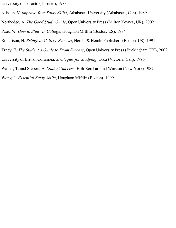- University of Toronto (Toronto), 1983
- Nilsson, V. *Improve Your Study Skills*, Athabasca University (Athabasca, Can), 1989
- Northedge, A. *The Good Study Guide*, Open University Press (Milton Keynes, UK), 2002
- Pauk, W. *How to Study in College*, Houghton Mifflin (Boston, US), 1984
- Robertson, H. *Bridge to College Success*, Heinle & Heinle Publishers (Boston, US), 1991
- Tracy, E. *The Student's Guide to Exam Success*, Open University Press (Buckingham, UK), 2002
- University of British Columbia, *Strategies for Studying*, Orca (Victoria, Can), 1996
- Walter, T. and Siebert, A. *Student Success*, Holt Reinhart and Winston (New York) 1987
- Wong, L. *Essential Study Skills*, Houghton Mifflin (Boston), 1999